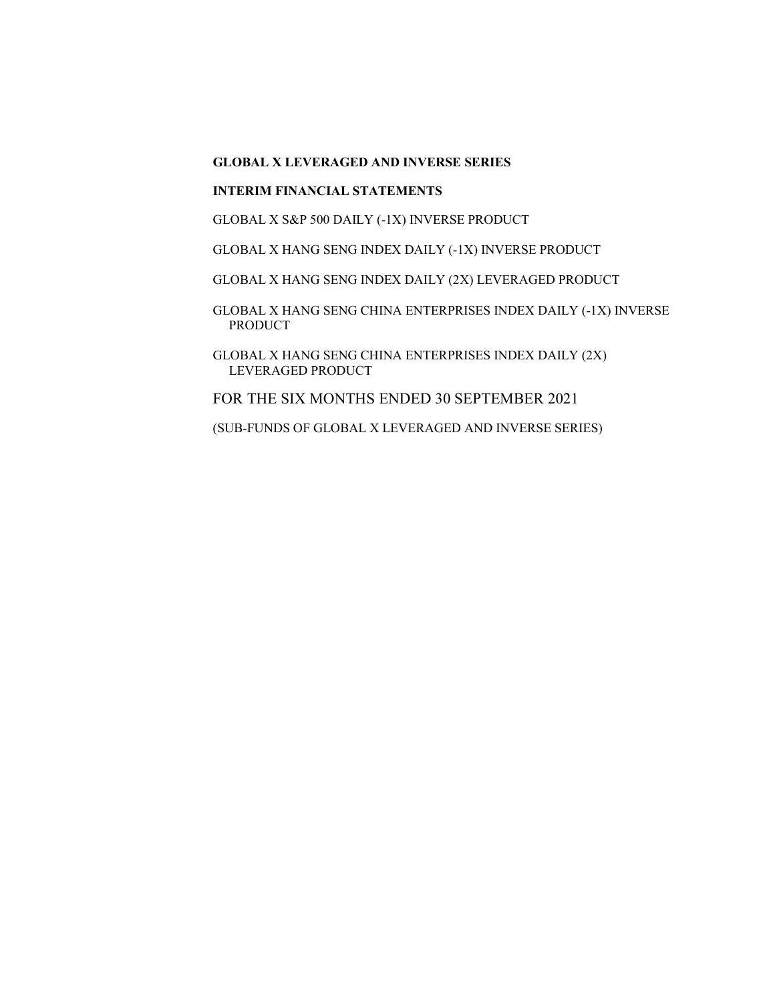## INTERIM FINANCIAL STATEMENTS

GLOBAL X S&P 500 DAILY (-1X) INVERSE PRODUCT

GLOBAL X HANG SENG INDEX DAILY (-1X) INVERSE PRODUCT

GLOBAL X HANG SENG INDEX DAILY (2X) LEVERAGED PRODUCT

GLOBAL X HANG SENG CHINA ENTERPRISES INDEX DAILY (-1X) INVERSE PRODUCT

GLOBAL X HANG SENG CHINA ENTERPRISES INDEX DAILY (2X) LEVERAGED PRODUCT

FOR THE SIX MONTHS ENDED 30 SEPTEMBER 2021

(SUB-FUNDS OF GLOBAL X LEVERAGED AND INVERSE SERIES)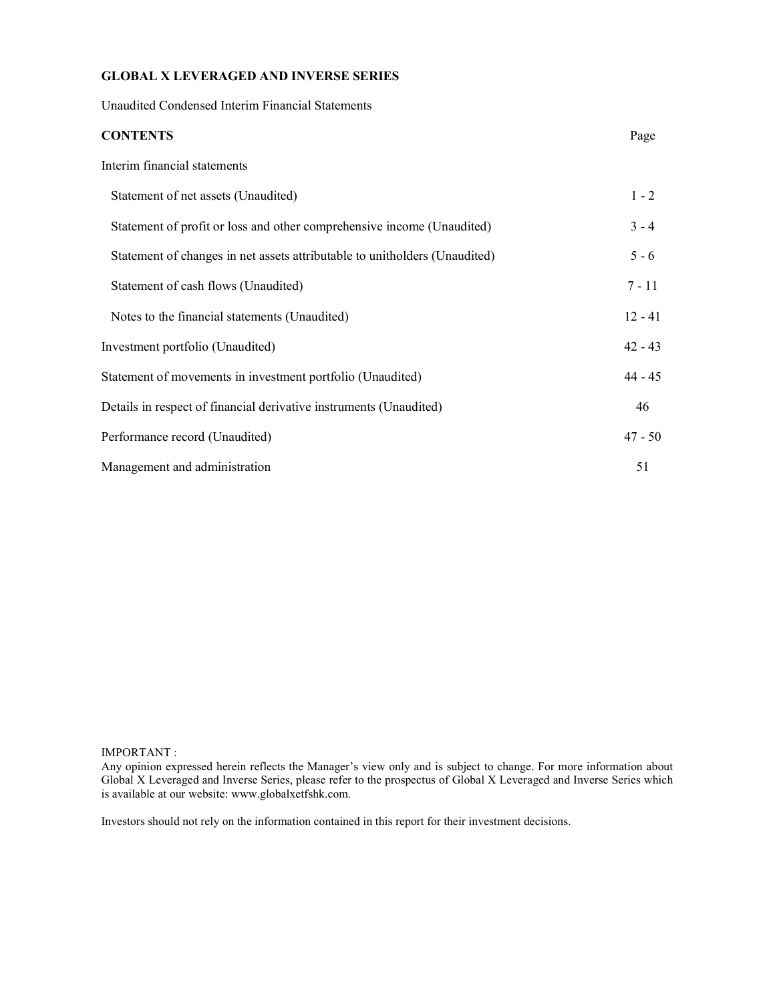Unaudited Condensed Interim Financial Statements

| <b>CONTENTS</b>                                                            | Page      |
|----------------------------------------------------------------------------|-----------|
| Interim financial statements                                               |           |
| Statement of net assets (Unaudited)                                        | $1 - 2$   |
| Statement of profit or loss and other comprehensive income (Unaudited)     | $3 - 4$   |
| Statement of changes in net assets attributable to unitholders (Unaudited) | $5 - 6$   |
| Statement of cash flows (Unaudited)                                        | $7 - 11$  |
| Notes to the financial statements (Unaudited)                              | $12 - 41$ |
| Investment portfolio (Unaudited)                                           | $42 - 43$ |
| Statement of movements in investment portfolio (Unaudited)                 | $44 - 45$ |
| Details in respect of financial derivative instruments (Unaudited)         | 46        |
| Performance record (Unaudited)                                             | $47 - 50$ |
| Management and administration                                              | 51        |

#### IMPORTANT :

Any opinion expressed herein reflects the Manager's view only and is subject to change. For more information about Global X Leveraged and Inverse Series, please refer to the prospectus of Global X Leveraged and Inverse Series which is available at our website: www.globalxetfshk.com.

Investors should not rely on the information contained in this report for their investment decisions.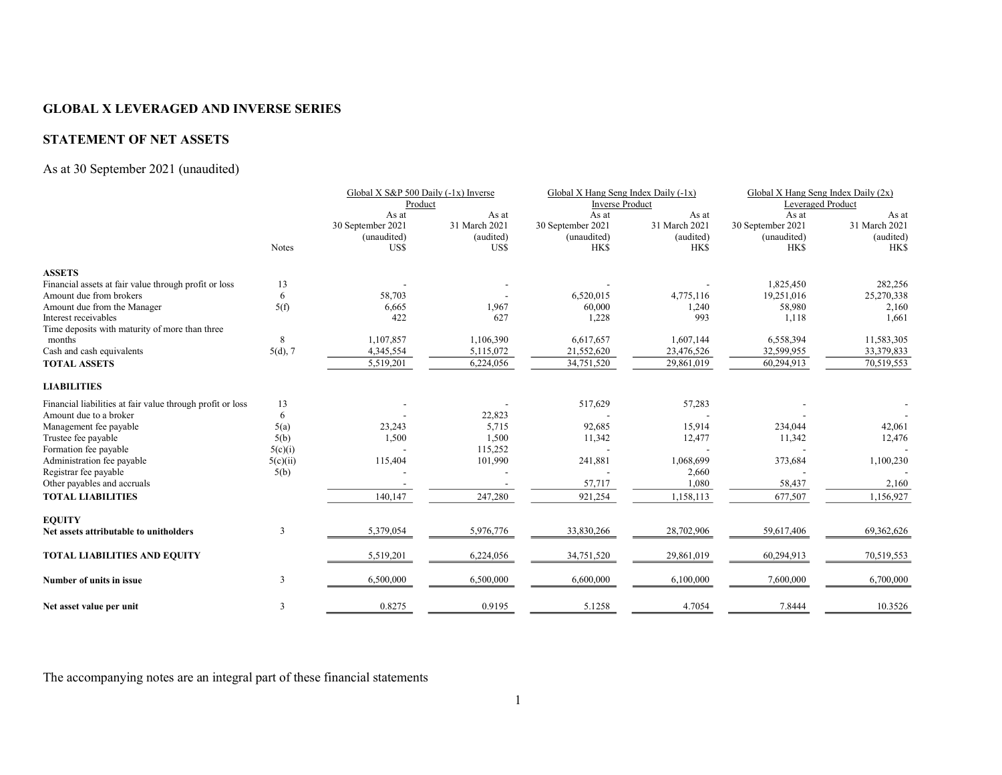## STATEMENT OF NET ASSETS

## As at 30 September 2021 (unaudited)

|                                                            |              | Global X S&P 500 Daily (-1x) Inverse |               | Global X Hang Seng Index Daily (-1x) |                        | Global X Hang Seng Index Daily (2x) |                   |  |
|------------------------------------------------------------|--------------|--------------------------------------|---------------|--------------------------------------|------------------------|-------------------------------------|-------------------|--|
|                                                            |              | Product                              |               |                                      | <b>Inverse Product</b> |                                     | Leveraged Product |  |
|                                                            |              | As at                                | As at         | As at                                | As at                  | As at                               | As at             |  |
|                                                            |              | 30 September 2021                    | 31 March 2021 | 30 September 2021                    | 31 March 2021          | 30 September 2021                   | 31 March 2021     |  |
|                                                            |              | (unaudited)                          | (audited)     | (unaudited)                          | (audited)              | (unaudited)                         | (audited)         |  |
|                                                            | <b>Notes</b> | US\$                                 | US\$          | <b>HKS</b>                           | <b>HKS</b>             | <b>HKS</b>                          | <b>HKS</b>        |  |
| <b>ASSETS</b>                                              |              |                                      |               |                                      |                        |                                     |                   |  |
| Financial assets at fair value through profit or loss      | 13           |                                      |               |                                      |                        | 1,825,450                           | 282,256           |  |
| Amount due from brokers                                    | 6            | 58,703                               |               | 6,520,015                            | 4,775,116              | 19,251,016                          | 25,270,338        |  |
| Amount due from the Manager                                | 5(f)         | 6,665                                | 1,967         | 60,000                               | 1,240                  | 58,980                              | 2,160             |  |
| Interest receivables                                       |              | 422                                  | 627           | 1,228                                | 993                    | 1,118                               | 1.661             |  |
| Time deposits with maturity of more than three             |              |                                      |               |                                      |                        |                                     |                   |  |
| months                                                     | 8            | 1,107,857                            | 1,106,390     | 6,617,657                            | 1,607,144              | 6,558,394                           | 11,583,305        |  |
| Cash and cash equivalents                                  | $5(d)$ , 7   | 4,345,554                            | 5,115,072     | 21,552,620                           | 23,476,526             | 32,599,955                          | 33,379,833        |  |
| <b>TOTAL ASSETS</b>                                        |              | 5,519,201                            | 6,224,056     | 34,751,520                           | 29,861,019             | 60,294,913                          | 70,519,553        |  |
| <b>LIABILITIES</b>                                         |              |                                      |               |                                      |                        |                                     |                   |  |
| Financial liabilities at fair value through profit or loss | 13           |                                      |               | 517,629                              | 57,283                 |                                     |                   |  |
| Amount due to a broker                                     | 6            |                                      | 22,823        |                                      |                        |                                     |                   |  |
| Management fee payable                                     | 5(a)         | 23,243                               | 5,715         | 92,685                               | 15,914                 | 234,044                             | 42,061            |  |
| Trustee fee payable                                        | 5(b)         | 1,500                                | 1,500         | 11,342                               | 12,477                 | 11,342                              | 12,476            |  |
| Formation fee payable                                      | 5(c)(i)      |                                      | 115,252       |                                      |                        |                                     |                   |  |
| Administration fee payable                                 | 5(c)(ii)     | 115,404                              | 101,990       | 241,881                              | 1,068,699              | 373,684                             | 1,100,230         |  |
| Registrar fee payable                                      | 5(b)         |                                      |               |                                      | 2,660                  |                                     |                   |  |
| Other payables and accruals                                |              |                                      |               | 57,717                               | 1,080                  | 58,437                              | 2,160             |  |
| <b>TOTAL LIABILITIES</b>                                   |              | 140,147                              | 247,280       | 921,254                              | 1,158,113              | 677,507                             | 1,156,927         |  |
| <b>EQUITY</b>                                              |              |                                      |               |                                      |                        |                                     |                   |  |
| Net assets attributable to unitholders                     | 3            | 5,379,054                            | 5,976,776     | 33,830,266                           | 28,702,906             | 59,617,406                          | 69,362,626        |  |
| <b>TOTAL LIABILITIES AND EQUITY</b>                        |              | 5,519,201                            | 6,224,056     | 34,751,520                           | 29,861,019             | 60,294,913                          | 70,519,553        |  |
| Number of units in issue                                   | 3            | 6,500,000                            | 6,500,000     | 6,600,000                            | 6,100,000              | 7,600,000                           | 6,700,000         |  |
| Net asset value per unit                                   | 3            | 0.8275                               | 0.9195        | 5.1258                               | 4.7054                 | 7.8444                              | 10.3526           |  |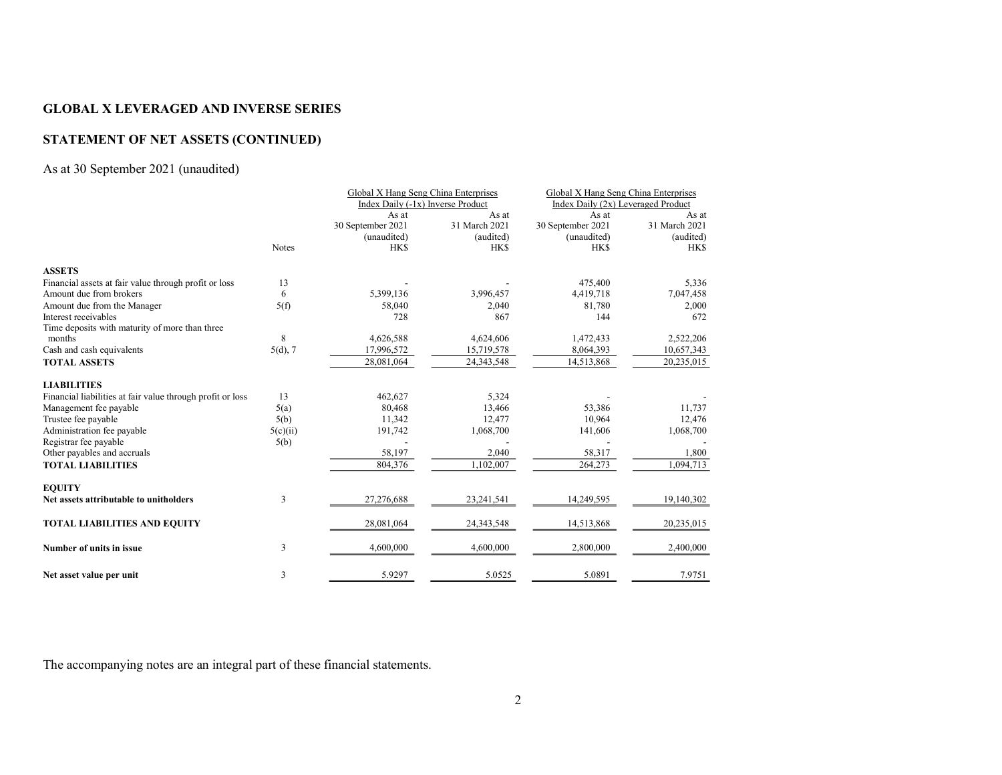## STATEMENT OF NET ASSETS (CONTINUED)

## As at 30 September 2021 (unaudited)

|                                                            |              | Global X Hang Seng China Enterprises |               | Global X Hang Seng China Enterprises |               |
|------------------------------------------------------------|--------------|--------------------------------------|---------------|--------------------------------------|---------------|
|                                                            |              | Index Daily (-1x) Inverse Product    |               | Index Daily (2x) Leveraged Product   |               |
|                                                            |              | As at                                | As at         | As at                                | As at         |
|                                                            |              | 30 September 2021                    | 31 March 2021 | 30 September 2021                    | 31 March 2021 |
|                                                            |              | (unaudited)                          | (audited)     | (unaudited)                          | (audited)     |
|                                                            | <b>Notes</b> | <b>HKS</b>                           | <b>HKS</b>    | <b>HKS</b>                           | <b>HKS</b>    |
| <b>ASSETS</b>                                              |              |                                      |               |                                      |               |
| Financial assets at fair value through profit or loss      | 13           |                                      |               | 475,400                              | 5,336         |
| Amount due from brokers                                    | 6            | 5,399,136                            | 3,996,457     | 4,419,718                            | 7,047,458     |
| Amount due from the Manager                                | 5(f)         | 58,040                               | 2,040         | 81,780                               | 2,000         |
| Interest receivables                                       |              | 728                                  | 867           | 144                                  | 672           |
| Time deposits with maturity of more than three             |              |                                      |               |                                      |               |
| months                                                     | 8            | 4,626,588                            | 4,624,606     | 1,472,433                            | 2,522,206     |
| Cash and cash equivalents                                  | 5(d), 7      | 17,996,572                           | 15,719,578    | 8,064,393                            | 10,657,343    |
| <b>TOTAL ASSETS</b>                                        |              | 28,081,064                           | 24,343,548    | 14,513,868                           | 20,235,015    |
| <b>LIABILITIES</b>                                         |              |                                      |               |                                      |               |
| Financial liabilities at fair value through profit or loss | 13           | 462,627                              | 5,324         |                                      |               |
| Management fee payable                                     | 5(a)         | 80,468                               | 13,466        | 53,386                               | 11,737        |
|                                                            |              | 11,342                               | 12,477        | 10.964                               | 12,476        |
| Trustee fee payable<br>Administration fee payable          | 5(b)         |                                      |               | 141,606                              |               |
|                                                            | 5(c)(ii)     | 191,742                              | 1,068,700     |                                      | 1,068,700     |
| Registrar fee payable                                      | 5(b)         |                                      |               |                                      |               |
| Other payables and accruals                                |              | 58,197                               | 2,040         | 58,317                               | 1,800         |
| <b>TOTAL LIABILITIES</b>                                   |              | 804,376                              | 1,102,007     | 264,273                              | 1,094,713     |
| <b>EOUITY</b>                                              |              |                                      |               |                                      |               |
| Net assets attributable to unitholders                     | 3            | 27,276,688                           | 23,241,541    | 14,249,595                           | 19,140,302    |
| <b>TOTAL LIABILITIES AND EQUITY</b>                        |              | 28,081,064                           | 24, 343, 548  | 14,513,868                           | 20,235,015    |
| Number of units in issue                                   | 3            | 4,600,000                            | 4,600,000     | 2,800,000                            | 2,400,000     |
| Net asset value per unit                                   | 3            | 5.9297                               | 5.0525        | 5.0891                               | 7.9751        |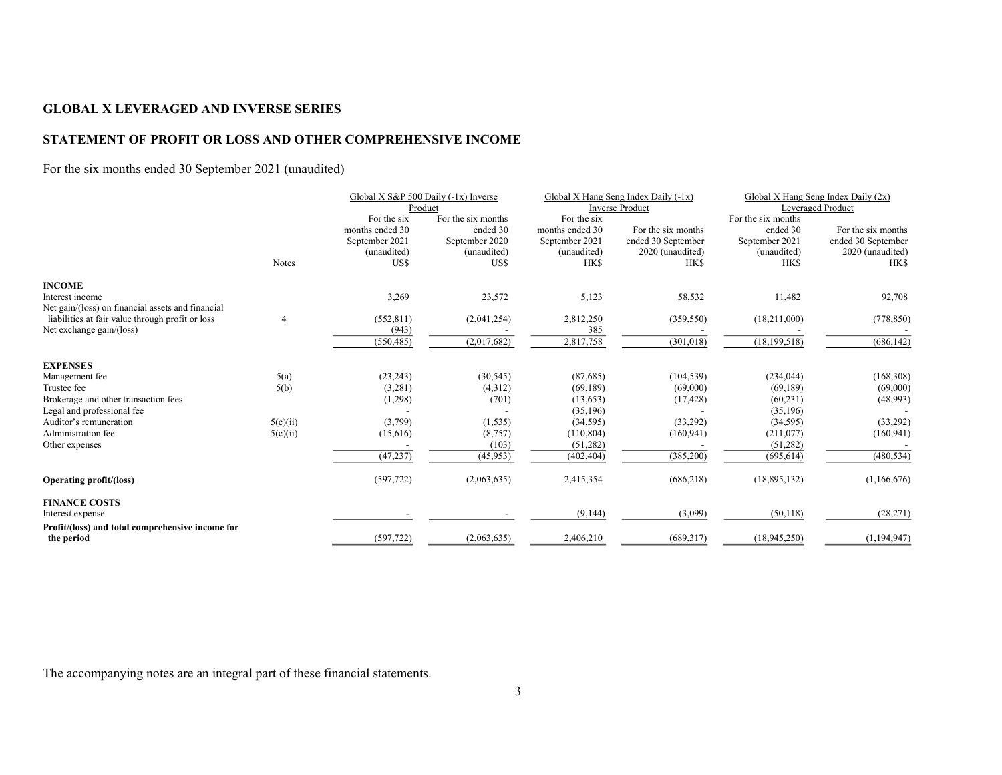## STATEMENT OF PROFIT OR LOSS AND OTHER COMPREHENSIVE INCOME

## For the six months ended 30 September 2021 (unaudited)

|                                                   |                | Global X S&P 500 Daily (-1x) Inverse |                    | Global X Hang Seng Index Daily $(-1x)$ |                        | Global X Hang Seng Index Daily (2x) |                    |
|---------------------------------------------------|----------------|--------------------------------------|--------------------|----------------------------------------|------------------------|-------------------------------------|--------------------|
|                                                   |                |                                      | Product            |                                        | <b>Inverse Product</b> |                                     | Leveraged Product  |
|                                                   |                | For the six                          | For the six months | For the six                            |                        | For the six months                  |                    |
|                                                   |                | months ended 30                      | ended 30           | months ended 30                        | For the six months     | ended 30                            | For the six months |
|                                                   |                | September 2021                       | September 2020     | September 2021                         | ended 30 September     | September 2021                      | ended 30 September |
|                                                   |                | (unaudited)                          | (unaudited)        | (unaudited)                            | 2020 (unaudited)       | (unaudited)                         | 2020 (unaudited)   |
|                                                   | Notes          | US\$                                 | US\$               | <b>HKS</b>                             | <b>HKS</b>             | <b>HKS</b>                          | <b>HKS</b>         |
| <b>INCOME</b>                                     |                |                                      |                    |                                        |                        |                                     |                    |
| Interest income                                   |                | 3,269                                | 23,572             | 5,123                                  | 58,532                 | 11,482                              | 92,708             |
| Net gain/(loss) on financial assets and financial |                |                                      |                    |                                        |                        |                                     |                    |
| liabilities at fair value through profit or loss  | $\overline{4}$ | (552, 811)                           | (2,041,254)        | 2,812,250                              | (359, 550)             | (18,211,000)                        | (778, 850)         |
| Net exchange gain/(loss)                          |                | (943)                                |                    | 385                                    |                        |                                     |                    |
|                                                   |                | (550, 485)                           | (2,017,682)        | 2,817,758                              | (301, 018)             | (18, 199, 518)                      | (686, 142)         |
| <b>EXPENSES</b>                                   |                |                                      |                    |                                        |                        |                                     |                    |
| Management fee                                    | 5(a)           | (23, 243)                            | (30, 545)          | (87,685)                               | (104, 539)             | (234, 044)                          | (168, 308)         |
| Trustee fee                                       | 5(b)           | (3,281)                              | (4,312)            | (69, 189)                              | (69,000)               | (69, 189)                           | (69,000)           |
| Brokerage and other transaction fees              |                | (1,298)                              | (701)              | (13, 653)                              | (17, 428)              | (60, 231)                           | (48,993)           |
| Legal and professional fee                        |                |                                      |                    | (35, 196)                              |                        | (35, 196)                           |                    |
| Auditor's remuneration                            | 5(c)(ii)       | (3,799)                              | (1, 535)           | (34, 595)                              | (33,292)               | (34, 595)                           | (33,292)           |
| Administration fee                                | 5(c)(ii)       | (15,616)                             | (8,757)            | (110, 804)                             | (160, 941)             | (211,077)                           | (160, 941)         |
| Other expenses                                    |                |                                      | (103)              | (51,282)                               |                        | (51, 282)                           |                    |
|                                                   |                | (47, 237)                            | (45, 953)          | (402, 404)                             | (385,200)              | (695, 614)                          | (480, 534)         |
| <b>Operating profit/(loss)</b>                    |                | (597, 722)                           | (2,063,635)        | 2,415,354                              | (686,218)              | (18,895,132)                        | (1,166,676)        |
| <b>FINANCE COSTS</b>                              |                |                                      |                    |                                        |                        |                                     |                    |
| Interest expense                                  |                |                                      |                    | (9,144)                                | (3,099)                | (50, 118)                           | (28, 271)          |
| Profit/(loss) and total comprehensive income for  |                |                                      |                    |                                        |                        |                                     |                    |
| the period                                        |                | (597, 722)                           | (2,063,635)        | 2,406,210                              | (689, 317)             | (18,945,250)                        | (1,194,947)        |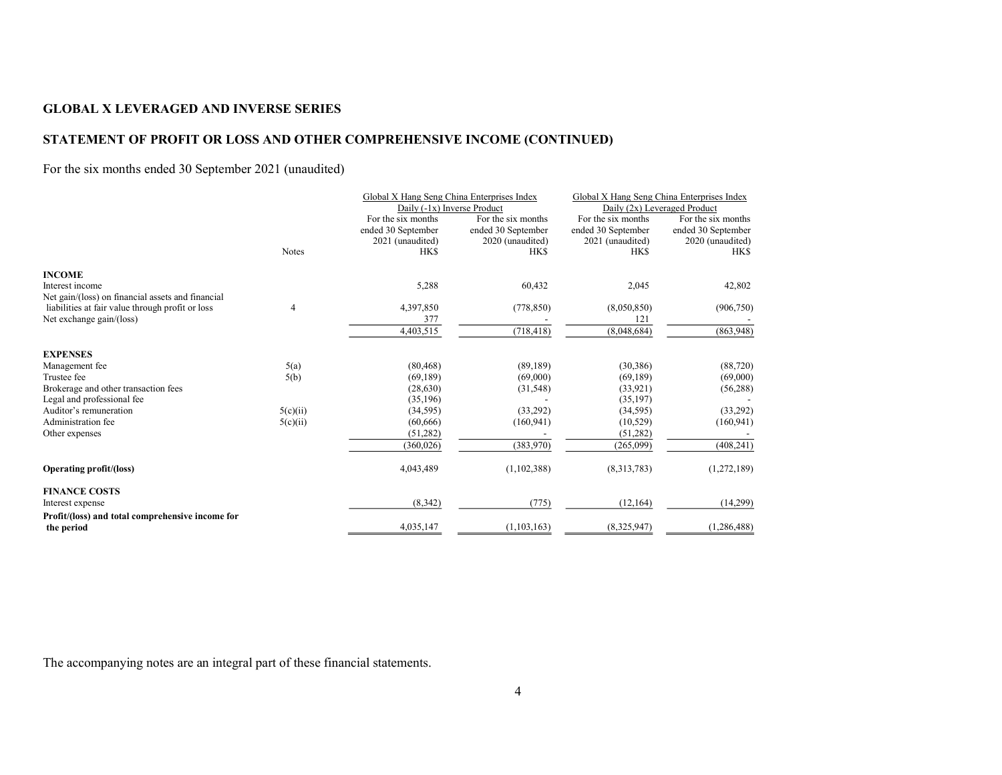## STATEMENT OF PROFIT OR LOSS AND OTHER COMPREHENSIVE INCOME (CONTINUED)

## For the six months ended 30 September 2021 (unaudited)

|                                                                |          | Global X Hang Seng China Enterprises Index |                    | Global X Hang Seng China Enterprises Index |                    |
|----------------------------------------------------------------|----------|--------------------------------------------|--------------------|--------------------------------------------|--------------------|
|                                                                |          | Daily (-1x) Inverse Product                |                    | Daily (2x) Leveraged Product               |                    |
|                                                                |          | For the six months                         | For the six months | For the six months                         | For the six months |
|                                                                |          | ended 30 September                         | ended 30 September | ended 30 September                         | ended 30 September |
|                                                                |          | 2021 (unaudited)                           | 2020 (unaudited)   | 2021 (unaudited)                           | 2020 (unaudited)   |
|                                                                | Notes    | <b>HKS</b>                                 | <b>HKS</b>         | <b>HKS</b>                                 | <b>HKS</b>         |
| <b>INCOME</b>                                                  |          |                                            |                    |                                            |                    |
| Interest income                                                |          | 5,288                                      | 60,432             | 2,045                                      | 42,802             |
| Net gain/(loss) on financial assets and financial              |          |                                            |                    |                                            |                    |
| liabilities at fair value through profit or loss               | 4        | 4,397,850                                  | (778, 850)         | (8,050,850)                                | (906, 750)         |
| Net exchange gain/(loss)                                       |          | 377                                        |                    | 121                                        |                    |
|                                                                |          | 4,403,515                                  | (718, 418)         | (8,048,684)                                | (863,948)          |
| <b>EXPENSES</b>                                                |          |                                            |                    |                                            |                    |
| Management fee                                                 | 5(a)     | (80, 468)                                  | (89, 189)          | (30, 386)                                  | (88, 720)          |
| Trustee fee                                                    | 5(b)     | (69, 189)                                  | (69,000)           | (69, 189)                                  | (69,000)           |
| Brokerage and other transaction fees                           |          | (28, 630)                                  | (31, 548)          | (33, 921)                                  | (56, 288)          |
| Legal and professional fee                                     |          | (35, 196)                                  |                    | (35, 197)                                  |                    |
| Auditor's remuneration                                         | 5(c)(ii) | (34, 595)                                  | (33,292)           | (34, 595)                                  | (33,292)           |
| Administration fee                                             | 5(c)(ii) | (60, 666)                                  | (160, 941)         | (10, 529)                                  | (160, 941)         |
| Other expenses                                                 |          | (51,282)                                   |                    | (51,282)                                   |                    |
|                                                                |          | (360, 026)                                 | (383,970)          | (265,099)                                  | (408, 241)         |
| <b>Operating profit/(loss)</b>                                 |          | 4,043,489                                  | (1,102,388)        | (8,313,783)                                | (1,272,189)        |
| <b>FINANCE COSTS</b>                                           |          |                                            |                    |                                            |                    |
| Interest expense                                               |          | (8,342)                                    | (775)              | (12, 164)                                  | (14,299)           |
| Profit/(loss) and total comprehensive income for<br>the period |          | 4,035,147                                  | (1, 103, 163)      | (8,325,947)                                | (1,286,488)        |
|                                                                |          |                                            |                    |                                            |                    |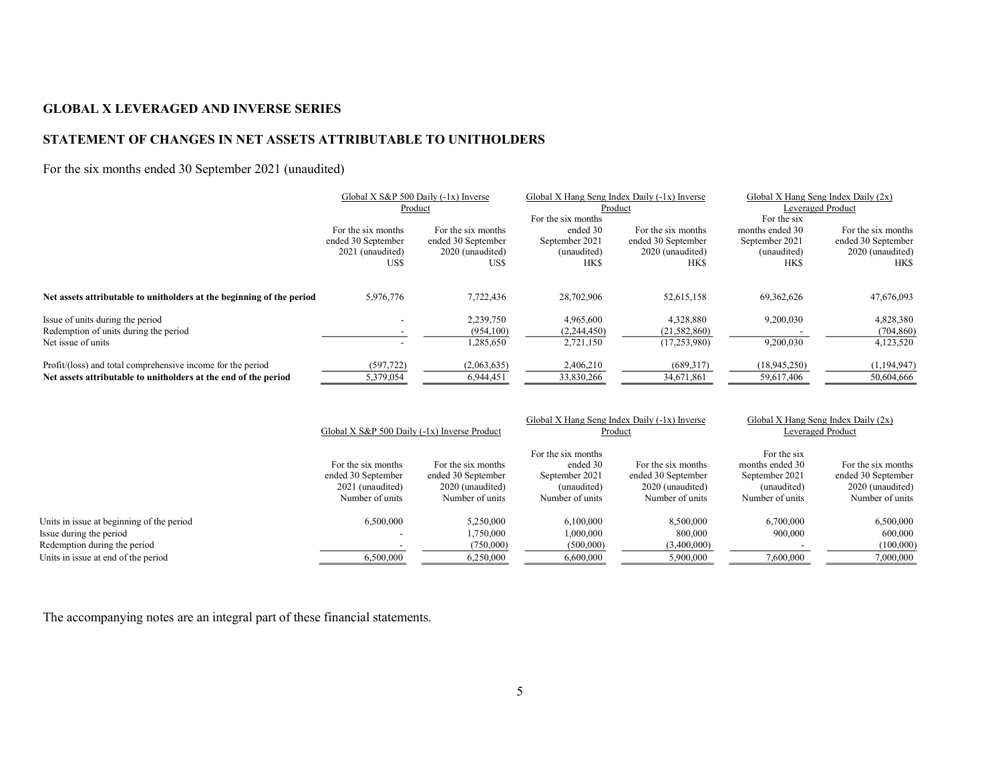## STATEMENT OF CHANGES IN NET ASSETS ATTRIBUTABLE TO UNITHOLDERS

## For the six months ended 30 September 2021 (unaudited)

|                                                                       | Global X S&P 500 Daily (-1x) Inverse |                    | Global X Hang Seng Index Daily (-1x) Inverse |                    | Global X Hang Seng Index Daily (2x) |                    |
|-----------------------------------------------------------------------|--------------------------------------|--------------------|----------------------------------------------|--------------------|-------------------------------------|--------------------|
|                                                                       |                                      | Product            | Product                                      |                    | Leveraged Product                   |                    |
|                                                                       |                                      |                    | For the six months                           |                    | For the six                         |                    |
|                                                                       | For the six months                   | For the six months | ended 30                                     | For the six months | months ended 30                     | For the six months |
|                                                                       | ended 30 September                   | ended 30 September | September 2021                               | ended 30 September | September 2021                      | ended 30 September |
|                                                                       | 2021 (unaudited)                     | 2020 (unaudited)   | (unaudited)                                  | 2020 (unaudited)   | (unaudited)                         | 2020 (unaudited)   |
|                                                                       | US\$                                 | USS                | <b>HKS</b>                                   | <b>HKS</b>         | <b>HKS</b>                          | <b>HKS</b>         |
|                                                                       |                                      |                    |                                              |                    |                                     |                    |
| Net assets attributable to unitholders at the beginning of the period | 5,976,776                            | 7.722.436          | 28,702,906                                   | 52,615,158         | 69,362,626                          | 47,676,093         |
| Issue of units during the period                                      |                                      | 2,239,750          | 4,965,600                                    | 4,328,880          | 9,200,030                           | 4,828,380          |
| Redemption of units during the period                                 |                                      | (954,100)          | (2,244,450)                                  | (21, 582, 860)     |                                     | (704, 860)         |
| Net issue of units                                                    |                                      | 1,285,650          | 2,721,150                                    | (17,253,980)       | 9,200,030                           | 4,123,520          |
| Profit/(loss) and total comprehensive income for the period           | (597, 722)                           | (2,063,635)        | 2,406,210                                    | (689,317)          | (18, 945, 250)                      | (1,194,947)        |
| Net assets attributable to unitholders at the end of the period       | 5,379,054                            | 6.944.451          | 33,830,266                                   | 34,671,861         | 59,617,406                          | 50,604,666         |

|                                           |                                                                                 | Global X S&P 500 Daily (-1x) Inverse Product                                    |                                                                                    | Global X Hang Seng Index Daily (-1x) Inverse<br>Product                         | Global X Hang Seng Index Daily $(2x)$<br>Leveraged Product                         |                                                                                 |
|-------------------------------------------|---------------------------------------------------------------------------------|---------------------------------------------------------------------------------|------------------------------------------------------------------------------------|---------------------------------------------------------------------------------|------------------------------------------------------------------------------------|---------------------------------------------------------------------------------|
|                                           | For the six months<br>ended 30 September<br>2021 (unaudited)<br>Number of units | For the six months<br>ended 30 September<br>2020 (unaudited)<br>Number of units | For the six months<br>ended 30<br>September 2021<br>(unaudited)<br>Number of units | For the six months<br>ended 30 September<br>2020 (unaudited)<br>Number of units | For the six<br>months ended 30<br>September 2021<br>(unaudited)<br>Number of units | For the six months<br>ended 30 September<br>2020 (unaudited)<br>Number of units |
| Units in issue at beginning of the period | 6,500,000                                                                       | 5,250,000                                                                       | 6,100,000                                                                          | 8,500,000                                                                       | 6,700,000                                                                          | 6,500,000                                                                       |
| Issue during the period                   |                                                                                 | .750.000                                                                        | 1.000.000                                                                          | 800,000                                                                         | 900,000                                                                            | 600,000                                                                         |
| Redemption during the period              |                                                                                 | (750,000)                                                                       | (500,000)                                                                          | (3,400,000)                                                                     |                                                                                    | (100,000)                                                                       |
| Units in issue at end of the period       | 6,500,000                                                                       | 6,250,000                                                                       | 6,600,000                                                                          | 5,900,000                                                                       | 7,600,000                                                                          | 7,000,000                                                                       |
|                                           |                                                                                 |                                                                                 |                                                                                    |                                                                                 |                                                                                    |                                                                                 |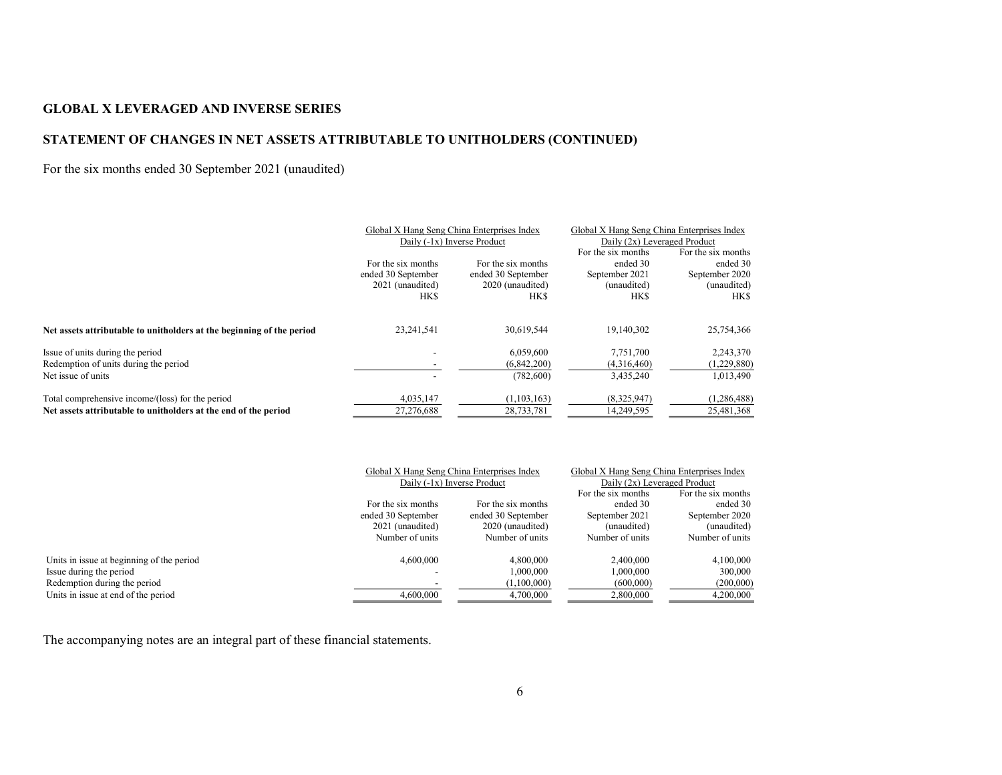## STATEMENT OF CHANGES IN NET ASSETS ATTRIBUTABLE TO UNITHOLDERS (CONTINUED)

## For the six months ended 30 September 2021 (unaudited)

|                                                                       | Global X Hang Seng China Enterprises Index |                    | Global X Hang Seng China Enterprises Index |                    |  |
|-----------------------------------------------------------------------|--------------------------------------------|--------------------|--------------------------------------------|--------------------|--|
|                                                                       | Daily (-1x) Inverse Product                |                    | Daily (2x) Leveraged Product               |                    |  |
|                                                                       |                                            |                    | For the six months                         | For the six months |  |
|                                                                       | For the six months                         | For the six months | ended 30                                   | ended 30           |  |
|                                                                       | ended 30 September                         | ended 30 September | September 2021                             | September 2020     |  |
|                                                                       | 2021 (unaudited)                           | 2020 (unaudited)   | (unaudited)                                | (unaudited)        |  |
|                                                                       | <b>HKS</b>                                 | HKS                | <b>HKS</b>                                 | <b>HKS</b>         |  |
| Net assets attributable to unitholders at the beginning of the period | 23,241,541                                 | 30,619,544         | 19,140,302                                 | 25,754,366         |  |
| Issue of units during the period                                      |                                            | 6.059.600          | 7,751,700                                  | 2,243,370          |  |
| Redemption of units during the period                                 |                                            | (6,842,200)        | (4,316,460)                                | (1,229,880)        |  |
| Net issue of units                                                    |                                            | (782,600)          | 3,435,240                                  | 1,013,490          |  |
| Total comprehensive income/(loss) for the period                      | 4,035,147                                  | (1, 103, 163)      | (8,325,947)                                | (1,286,488)        |  |
| Net assets attributable to unitholders at the end of the period       | 27,276,688                                 | 28,733,781         | 14,249,595                                 | 25,481,368         |  |

|                                           |                    | Global X Hang Seng China Enterprises Index | Global X Hang Seng China Enterprises Index |                    |
|-------------------------------------------|--------------------|--------------------------------------------|--------------------------------------------|--------------------|
|                                           |                    | Daily (-1x) Inverse Product                | Daily (2x) Leveraged Product               |                    |
|                                           |                    |                                            | For the six months                         | For the six months |
|                                           | For the six months | For the six months                         | ended 30                                   | ended 30           |
|                                           | ended 30 September | ended 30 September                         | September 2021                             | September 2020     |
|                                           | 2021 (unaudited)   | 2020 (unaudited)                           | (unaudited)                                | (unaudited)        |
|                                           | Number of units    | Number of units                            | Number of units                            | Number of units    |
| Units in issue at beginning of the period | 4,600,000          | 4,800,000                                  | 2,400,000                                  | 4,100,000          |
| Issue during the period                   |                    | 1.000.000                                  | 1.000.000                                  | 300,000            |
| Redemption during the period              |                    | (1,100,000)                                | (600,000)                                  | (200,000)          |
| Units in issue at end of the period       | 4,600,000          | 4,700,000                                  | 2,800,000                                  | 4,200,000          |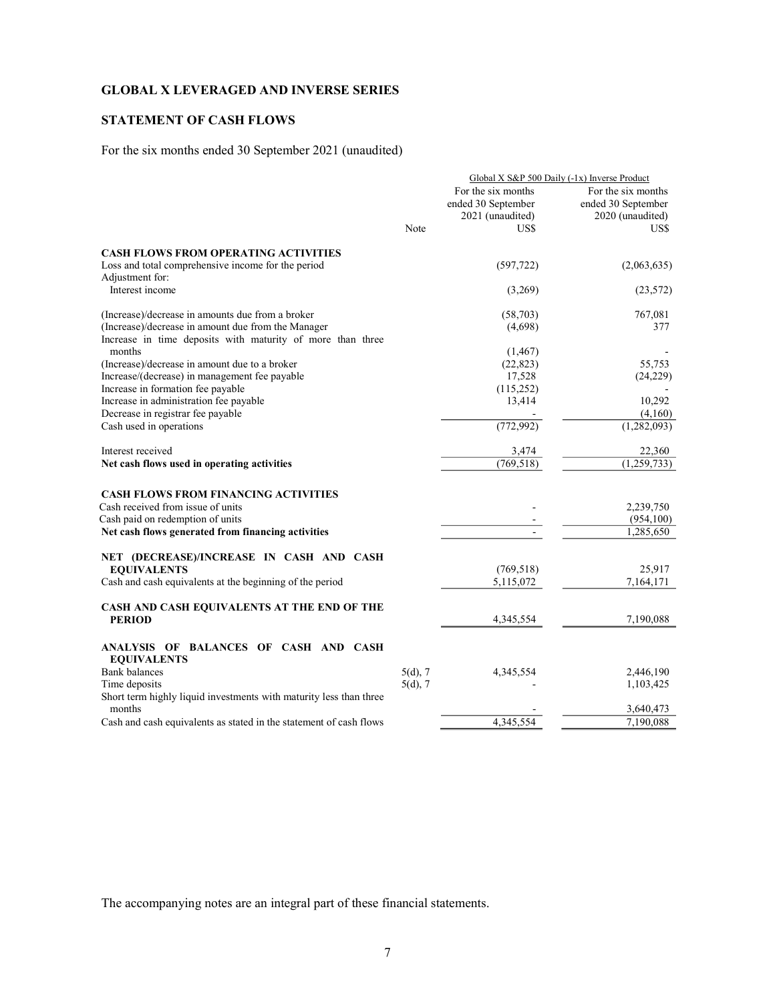## STATEMENT OF CASH FLOWS

For the six months ended 30 September 2021 (unaudited)

|                                                                    | Global X S&P 500 Daily (-1x) Inverse Product |                    |                          |  |  |
|--------------------------------------------------------------------|----------------------------------------------|--------------------|--------------------------|--|--|
|                                                                    |                                              | For the six months | For the six months       |  |  |
|                                                                    |                                              | ended 30 September | ended 30 September       |  |  |
|                                                                    |                                              | 2021 (unaudited)   | 2020 (unaudited)         |  |  |
|                                                                    | Note                                         | US\$               | US\$                     |  |  |
| <b>CASH FLOWS FROM OPERATING ACTIVITIES</b>                        |                                              |                    |                          |  |  |
| Loss and total comprehensive income for the period                 |                                              | (597, 722)         | (2,063,635)              |  |  |
| Adjustment for:                                                    |                                              |                    |                          |  |  |
| Interest income                                                    |                                              | (3,269)            | (23, 572)                |  |  |
| (Increase)/decrease in amounts due from a broker                   |                                              | (58,703)           | 767,081                  |  |  |
| (Increase)/decrease in amount due from the Manager                 |                                              | (4,698)            | 377                      |  |  |
| Increase in time deposits with maturity of more than three         |                                              |                    |                          |  |  |
| months                                                             |                                              | (1, 467)           |                          |  |  |
| (Increase)/decrease in amount due to a broker                      |                                              | (22, 823)          | 55,753                   |  |  |
| Increase/(decrease) in management fee payable                      |                                              | 17,528             | (24,229)                 |  |  |
| Increase in formation fee payable                                  |                                              | (115, 252)         |                          |  |  |
| Increase in administration fee payable                             |                                              | 13,414             | 10,292                   |  |  |
| Decrease in registrar fee payable                                  |                                              |                    | (4,160)                  |  |  |
| Cash used in operations                                            |                                              | (772,992)          | $\overline{(1,282,093)}$ |  |  |
| Interest received                                                  |                                              | 3,474              | 22,360                   |  |  |
| Net cash flows used in operating activities                        |                                              | (769, 518)         | (1,259,733)              |  |  |
| <b>CASH FLOWS FROM FINANCING ACTIVITIES</b>                        |                                              |                    |                          |  |  |
| Cash received from issue of units                                  |                                              |                    | 2,239,750                |  |  |
| Cash paid on redemption of units                                   |                                              |                    | (954, 100)               |  |  |
| Net cash flows generated from financing activities                 |                                              | $\frac{1}{2}$      | 1,285,650                |  |  |
|                                                                    |                                              |                    |                          |  |  |
| NET (DECREASE)/INCREASE IN CASH AND CASH<br><b>EQUIVALENTS</b>     |                                              | (769, 518)         | 25,917                   |  |  |
| Cash and cash equivalents at the beginning of the period           |                                              | 5,115,072          | 7,164,171                |  |  |
|                                                                    |                                              |                    |                          |  |  |
| CASH AND CASH EQUIVALENTS AT THE END OF THE<br><b>PERIOD</b>       |                                              |                    |                          |  |  |
|                                                                    |                                              | 4,345,554          | 7,190,088                |  |  |
| ANALYSIS OF BALANCES OF CASH AND CASH<br><b>EQUIVALENTS</b>        |                                              |                    |                          |  |  |
| <b>Bank</b> balances                                               | $5(d)$ , 7                                   | 4,345,554          | 2,446,190                |  |  |
| Time deposits                                                      | $5(d)$ , 7                                   |                    | 1,103,425                |  |  |
| Short term highly liquid investments with maturity less than three |                                              |                    |                          |  |  |
| months                                                             |                                              |                    | 3,640,473                |  |  |
| Cash and cash equivalents as stated in the statement of cash flows |                                              | 4,345,554          | 7,190,088                |  |  |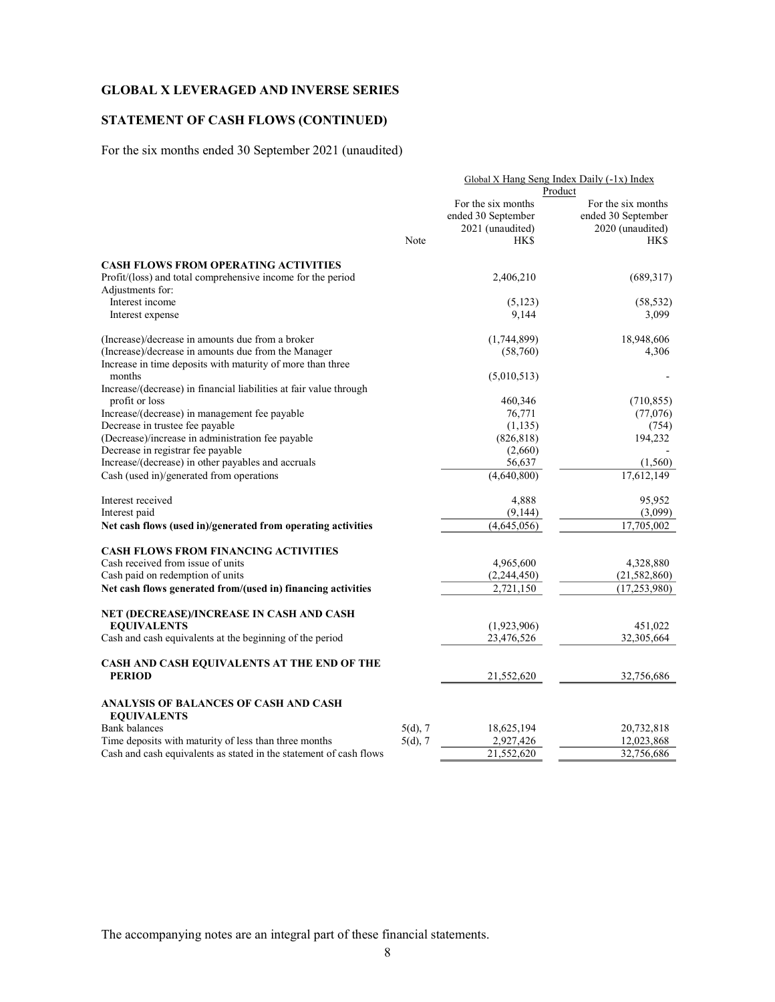## STATEMENT OF CASH FLOWS (CONTINUED)

For the six months ended 30 September 2021 (unaudited)

|                                                                    | Global X Hang Seng Index Daily $(-1x)$ Index |                    |                    |  |  |
|--------------------------------------------------------------------|----------------------------------------------|--------------------|--------------------|--|--|
|                                                                    | Product                                      |                    |                    |  |  |
|                                                                    |                                              | For the six months | For the six months |  |  |
|                                                                    |                                              | ended 30 September | ended 30 September |  |  |
|                                                                    |                                              | 2021 (unaudited)   | 2020 (unaudited)   |  |  |
|                                                                    | Note                                         | HK\$               | HK\$               |  |  |
| <b>CASH FLOWS FROM OPERATING ACTIVITIES</b>                        |                                              |                    |                    |  |  |
| Profit/(loss) and total comprehensive income for the period        |                                              | 2,406,210          | (689, 317)         |  |  |
| Adjustments for:                                                   |                                              |                    |                    |  |  |
| Interest income                                                    |                                              | (5, 123)           | (58, 532)          |  |  |
|                                                                    |                                              | 9,144              | 3,099              |  |  |
| Interest expense                                                   |                                              |                    |                    |  |  |
| (Increase)/decrease in amounts due from a broker                   |                                              | (1,744,899)        | 18,948,606         |  |  |
| (Increase)/decrease in amounts due from the Manager                |                                              | (58,760)           | 4,306              |  |  |
| Increase in time deposits with maturity of more than three         |                                              |                    |                    |  |  |
| months                                                             |                                              | (5,010,513)        |                    |  |  |
| Increase/(decrease) in financial liabilities at fair value through |                                              |                    |                    |  |  |
| profit or loss                                                     |                                              | 460,346            | (710, 855)         |  |  |
| Increase/(decrease) in management fee payable                      |                                              | 76,771             | (77,076)           |  |  |
| Decrease in trustee fee payable                                    |                                              | (1, 135)           | (754)              |  |  |
| (Decrease)/increase in administration fee payable                  |                                              | (826, 818)         | 194,232            |  |  |
| Decrease in registrar fee payable                                  |                                              | (2,660)            |                    |  |  |
| Increase/(decrease) in other payables and accruals                 |                                              | 56,637             | (1,560)            |  |  |
| Cash (used in)/generated from operations                           |                                              | (4,640,800)        | 17,612,149         |  |  |
|                                                                    |                                              |                    |                    |  |  |
| Interest received                                                  |                                              | 4,888              | 95,952             |  |  |
| Interest paid                                                      |                                              | (9,144)            | (3,099)            |  |  |
| Net cash flows (used in)/generated from operating activities       |                                              | (4,645,056)        | 17,705,002         |  |  |
| <b>CASH FLOWS FROM FINANCING ACTIVITIES</b>                        |                                              |                    |                    |  |  |
| Cash received from issue of units                                  |                                              |                    |                    |  |  |
| Cash paid on redemption of units                                   |                                              | 4,965,600          | 4,328,880          |  |  |
|                                                                    |                                              | (2,244,450)        | (21, 582, 860)     |  |  |
| Net cash flows generated from/(used in) financing activities       |                                              | 2,721,150          | (17, 253, 980)     |  |  |
| NET (DECREASE)/INCREASE IN CASH AND CASH                           |                                              |                    |                    |  |  |
| <b>EQUIVALENTS</b>                                                 |                                              | (1,923,906)        | 451,022            |  |  |
| Cash and cash equivalents at the beginning of the period           |                                              | 23,476,526         | 32,305,664         |  |  |
| CASH AND CASH EQUIVALENTS AT THE END OF THE                        |                                              |                    |                    |  |  |
| <b>PERIOD</b>                                                      |                                              | 21,552,620         | 32,756,686         |  |  |
|                                                                    |                                              |                    |                    |  |  |
| ANALYSIS OF BALANCES OF CASH AND CASH                              |                                              |                    |                    |  |  |
| <b>EQUIVALENTS</b>                                                 |                                              |                    |                    |  |  |
| Bank balances                                                      | $5(d)$ , 7                                   | 18,625,194         | 20,732,818         |  |  |
| Time deposits with maturity of less than three months              | $5(d)$ , 7                                   | 2,927,426          | 12,023,868         |  |  |
| Cash and cash equivalents as stated in the statement of cash flows |                                              | 21,552,620         | 32,756,686         |  |  |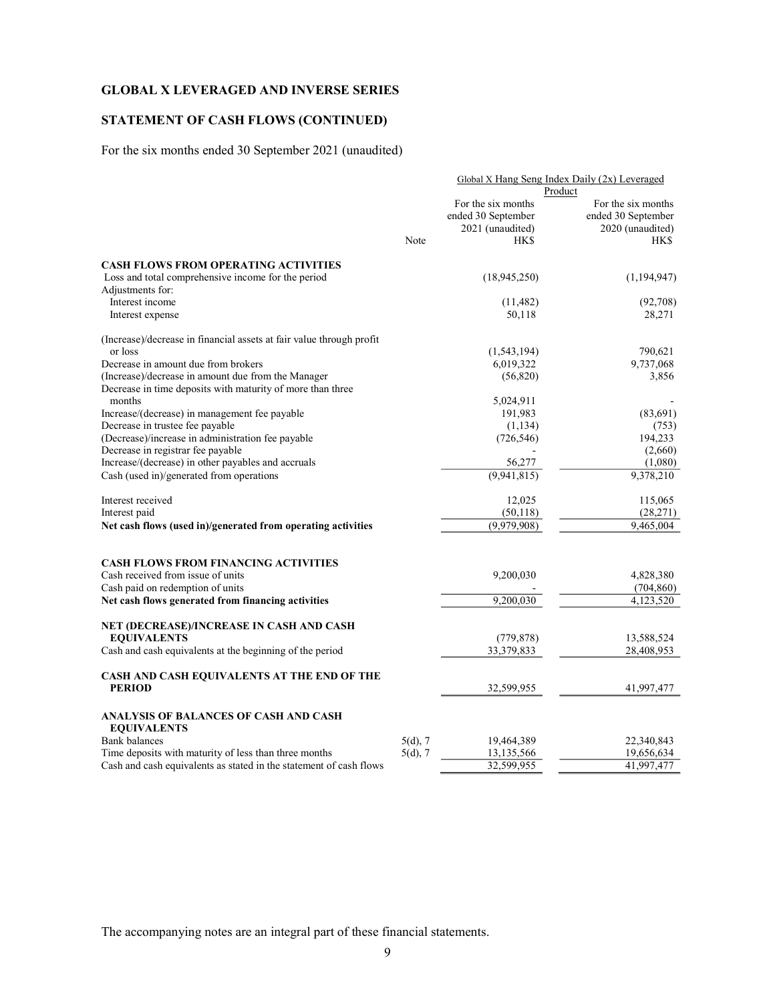## STATEMENT OF CASH FLOWS (CONTINUED)

For the six months ended 30 September 2021 (unaudited)

|                                                                      | Global X Hang Seng Index Daily (2x) Leveraged |                    |                    |  |
|----------------------------------------------------------------------|-----------------------------------------------|--------------------|--------------------|--|
|                                                                      |                                               |                    | Product            |  |
|                                                                      |                                               | For the six months | For the six months |  |
|                                                                      |                                               | ended 30 September | ended 30 September |  |
|                                                                      |                                               | 2021 (unaudited)   | 2020 (unaudited)   |  |
|                                                                      | Note                                          | HK\$               | HK\$               |  |
| <b>CASH FLOWS FROM OPERATING ACTIVITIES</b>                          |                                               |                    |                    |  |
| Loss and total comprehensive income for the period                   |                                               | (18,945,250)       | (1, 194, 947)      |  |
| Adjustments for:                                                     |                                               |                    |                    |  |
| Interest income                                                      |                                               | (11, 482)          | (92,708)           |  |
| Interest expense                                                     |                                               | 50,118             | 28,271             |  |
| (Increase)/decrease in financial assets at fair value through profit |                                               |                    |                    |  |
| or loss                                                              |                                               | (1, 543, 194)      | 790,621            |  |
| Decrease in amount due from brokers                                  |                                               | 6,019,322          | 9,737,068          |  |
| (Increase)/decrease in amount due from the Manager                   |                                               | (56,820)           | 3,856              |  |
| Decrease in time deposits with maturity of more than three           |                                               |                    |                    |  |
| months                                                               |                                               | 5,024,911          |                    |  |
| Increase/(decrease) in management fee payable                        |                                               | 191,983            | (83, 691)          |  |
| Decrease in trustee fee payable                                      |                                               | (1, 134)           | (753)              |  |
| (Decrease)/increase in administration fee payable                    |                                               | (726, 546)         | 194,233            |  |
| Decrease in registrar fee payable                                    |                                               |                    | (2,660)            |  |
| Increase/(decrease) in other payables and accruals                   |                                               | 56,277             | (1,080)            |  |
| Cash (used in)/generated from operations                             |                                               | (9,941,815)        | 9,378,210          |  |
| Interest received                                                    |                                               | 12,025             | 115,065            |  |
| Interest paid                                                        |                                               | (50, 118)          | (28,271)           |  |
| Net cash flows (used in)/generated from operating activities         |                                               | (9,979,908)        | 9,465,004          |  |
|                                                                      |                                               |                    |                    |  |
| <b>CASH FLOWS FROM FINANCING ACTIVITIES</b>                          |                                               |                    |                    |  |
| Cash received from issue of units                                    |                                               | 9,200,030          | 4,828,380          |  |
| Cash paid on redemption of units                                     |                                               |                    | (704, 860)         |  |
| Net cash flows generated from financing activities                   |                                               | 9,200,030          | 4,123,520          |  |
| NET (DECREASE)/INCREASE IN CASH AND CASH                             |                                               |                    |                    |  |
| <b>EQUIVALENTS</b>                                                   |                                               | (779, 878)         | 13,588,524         |  |
| Cash and cash equivalents at the beginning of the period             |                                               | 33,379,833         | 28,408,953         |  |
| CASH AND CASH EQUIVALENTS AT THE END OF THE                          |                                               |                    |                    |  |
| <b>PERIOD</b>                                                        |                                               | 32,599,955         | 41,997,477         |  |
| ANALYSIS OF BALANCES OF CASH AND CASH<br><b>EQUIVALENTS</b>          |                                               |                    |                    |  |
| <b>Bank</b> balances                                                 | $5(d)$ , 7                                    | 19,464,389         | 22,340,843         |  |
| Time deposits with maturity of less than three months                | $5(d)$ , 7                                    | 13,135,566         | 19,656,634         |  |
| Cash and cash equivalents as stated in the statement of cash flows   |                                               | 32,599,955         | 41,997,477         |  |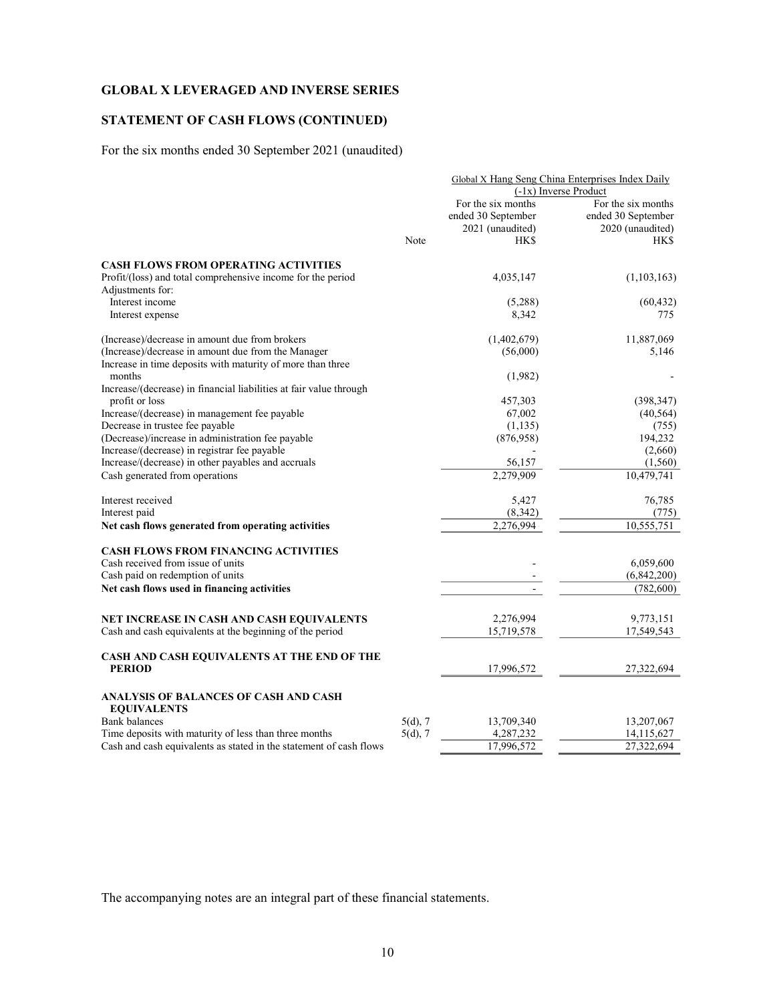## STATEMENT OF CASH FLOWS (CONTINUED)

For the six months ended 30 September 2021 (unaudited)

|                                                                    |            |                    | Global X Hang Seng China Enterprises Index Daily |
|--------------------------------------------------------------------|------------|--------------------|--------------------------------------------------|
|                                                                    |            |                    | $(-1x)$ Inverse Product                          |
|                                                                    |            | For the six months | For the six months                               |
|                                                                    |            | ended 30 September | ended 30 September                               |
|                                                                    |            | 2021 (unaudited)   | 2020 (unaudited)                                 |
|                                                                    | Note       | <b>HKS</b>         | HK\$                                             |
| <b>CASH FLOWS FROM OPERATING ACTIVITIES</b>                        |            |                    |                                                  |
| Profit/(loss) and total comprehensive income for the period        |            | 4,035,147          | (1,103,163)                                      |
| Adjustments for:                                                   |            |                    |                                                  |
| Interest income                                                    |            | (5,288)            | (60, 432)                                        |
| Interest expense                                                   |            | 8,342              | 775                                              |
| (Increase)/decrease in amount due from brokers                     |            | (1,402,679)        | 11,887,069                                       |
| (Increase)/decrease in amount due from the Manager                 |            | (56,000)           | 5,146                                            |
| Increase in time deposits with maturity of more than three         |            |                    |                                                  |
| months                                                             |            | (1,982)            |                                                  |
| Increase/(decrease) in financial liabilities at fair value through |            |                    |                                                  |
| profit or loss                                                     |            | 457,303            | (398, 347)                                       |
| Increase/(decrease) in management fee payable                      |            | 67,002             | (40, 564)                                        |
| Decrease in trustee fee payable                                    |            | (1, 135)           | (755)                                            |
| (Decrease)/increase in administration fee payable                  |            | (876,958)          | 194,232                                          |
| Increase/(decrease) in registrar fee payable                       |            |                    | (2,660)                                          |
| Increase/(decrease) in other payables and accruals                 |            | 56,157             | (1, 560)                                         |
| Cash generated from operations                                     |            | 2,279,909          | 10,479,741                                       |
| Interest received                                                  |            | 5,427              | 76,785                                           |
| Interest paid                                                      |            | (8, 342)           | (775)                                            |
| Net cash flows generated from operating activities                 |            | 2,276,994          | 10,555,751                                       |
| <b>CASH FLOWS FROM FINANCING ACTIVITIES</b>                        |            |                    |                                                  |
| Cash received from issue of units                                  |            |                    | 6,059,600                                        |
| Cash paid on redemption of units                                   |            |                    | (6,842,200)                                      |
| Net cash flows used in financing activities                        |            |                    | (782, 600)                                       |
|                                                                    |            |                    |                                                  |
| NET INCREASE IN CASH AND CASH EQUIVALENTS                          |            | 2,276,994          | 9,773,151                                        |
| Cash and cash equivalents at the beginning of the period           |            | 15,719,578         | 17,549,543                                       |
| CASH AND CASH EQUIVALENTS AT THE END OF THE                        |            |                    |                                                  |
| <b>PERIOD</b>                                                      |            | 17,996,572         | 27,322,694                                       |
| ANALYSIS OF BALANCES OF CASH AND CASH                              |            |                    |                                                  |
| <b>EQUIVALENTS</b>                                                 |            |                    |                                                  |
| <b>Bank</b> balances                                               | $5(d)$ , 7 | 13,709,340         | 13,207,067                                       |
| Time deposits with maturity of less than three months              | $5(d)$ , 7 | 4,287,232          | 14,115,627                                       |
| Cash and cash equivalents as stated in the statement of cash flows |            | 17,996,572         | 27,322,694                                       |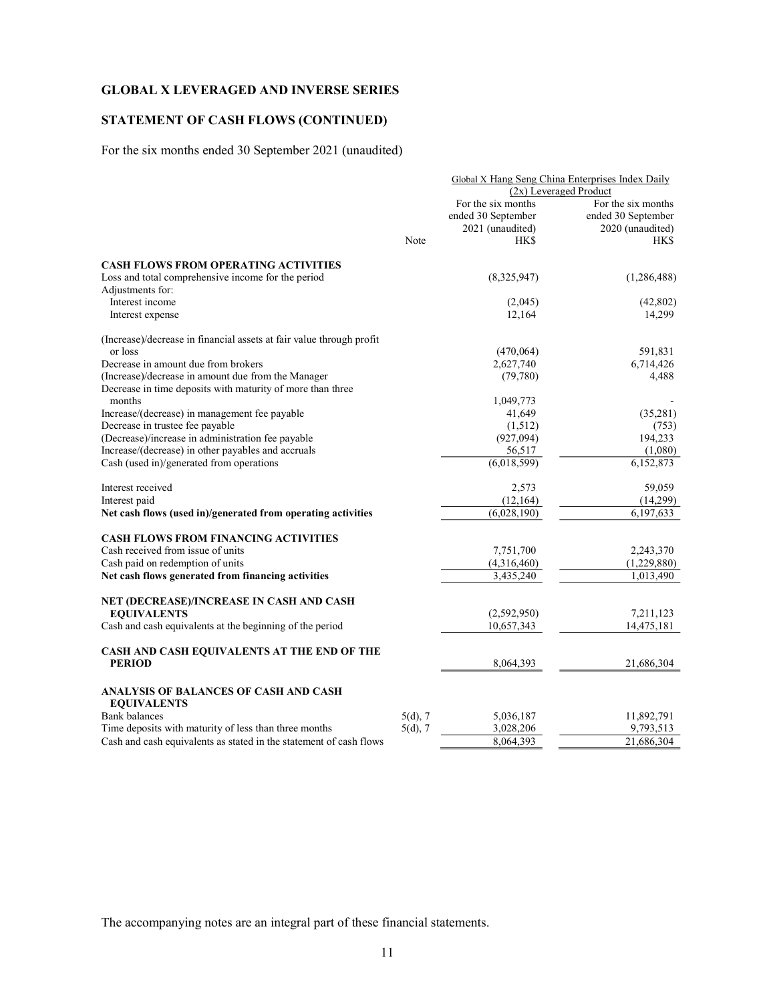## STATEMENT OF CASH FLOWS (CONTINUED)

For the six months ended 30 September 2021 (unaudited)

|                                                                      |            | Global X Hang Seng China Enterprises Index Daily |                        |  |  |
|----------------------------------------------------------------------|------------|--------------------------------------------------|------------------------|--|--|
|                                                                      |            |                                                  | (2x) Leveraged Product |  |  |
|                                                                      |            | For the six months                               | For the six months     |  |  |
|                                                                      |            | ended 30 September                               | ended 30 September     |  |  |
|                                                                      |            | 2021 (unaudited)                                 | 2020 (unaudited)       |  |  |
|                                                                      | Note       | HK\$                                             | HK\$                   |  |  |
| <b>CASH FLOWS FROM OPERATING ACTIVITIES</b>                          |            |                                                  |                        |  |  |
| Loss and total comprehensive income for the period                   |            | (8,325,947)                                      | (1, 286, 488)          |  |  |
| Adjustments for:                                                     |            |                                                  |                        |  |  |
| Interest income                                                      |            | (2,045)                                          | (42, 802)              |  |  |
| Interest expense                                                     |            | 12,164                                           | 14,299                 |  |  |
| (Increase)/decrease in financial assets at fair value through profit |            |                                                  |                        |  |  |
| or loss                                                              |            | (470,064)                                        | 591,831                |  |  |
| Decrease in amount due from brokers                                  |            | 2,627,740                                        | 6,714,426              |  |  |
| (Increase)/decrease in amount due from the Manager                   |            | (79,780)                                         | 4,488                  |  |  |
| Decrease in time deposits with maturity of more than three           |            |                                                  |                        |  |  |
| months                                                               |            | 1,049,773                                        |                        |  |  |
| Increase/(decrease) in management fee payable                        |            | 41,649                                           | (35,281)               |  |  |
| Decrease in trustee fee payable                                      |            | (1,512)                                          | (753)                  |  |  |
| (Decrease)/increase in administration fee payable                    |            | (927,094)                                        | 194.233                |  |  |
| Increase/(decrease) in other payables and accruals                   |            | 56,517                                           | (1,080)                |  |  |
| Cash (used in)/generated from operations                             |            | $\overline{(6,018,599)}$                         | 6,152,873              |  |  |
| Interest received                                                    |            | 2,573                                            | 59,059                 |  |  |
| Interest paid                                                        |            | (12, 164)                                        | (14,299)               |  |  |
| Net cash flows (used in)/generated from operating activities         |            | (6,028,190)                                      | 6,197,633              |  |  |
| <b>CASH FLOWS FROM FINANCING ACTIVITIES</b>                          |            |                                                  |                        |  |  |
| Cash received from issue of units                                    |            | 7,751,700                                        | 2,243,370              |  |  |
| Cash paid on redemption of units                                     |            | (4,316,460)                                      | (1,229,880)            |  |  |
| Net cash flows generated from financing activities                   |            | 3,435,240                                        | 1,013,490              |  |  |
| NET (DECREASE)/INCREASE IN CASH AND CASH                             |            |                                                  |                        |  |  |
| <b>EQUIVALENTS</b>                                                   |            | (2,592,950)                                      | 7,211,123              |  |  |
| Cash and cash equivalents at the beginning of the period             |            | 10,657,343                                       | 14,475,181             |  |  |
| CASH AND CASH EQUIVALENTS AT THE END OF THE                          |            |                                                  |                        |  |  |
| <b>PERIOD</b>                                                        |            | 8,064,393                                        | 21,686,304             |  |  |
| ANALYSIS OF BALANCES OF CASH AND CASH                                |            |                                                  |                        |  |  |
| <b>EQUIVALENTS</b>                                                   |            |                                                  |                        |  |  |
| <b>Bank</b> balances                                                 | $5(d)$ , 7 | 5,036,187                                        | 11,892,791             |  |  |
| Time deposits with maturity of less than three months                | $5(d)$ , 7 | 3,028,206                                        | 9,793,513              |  |  |
| Cash and cash equivalents as stated in the statement of cash flows   |            | 8.064.393                                        | 21,686,304             |  |  |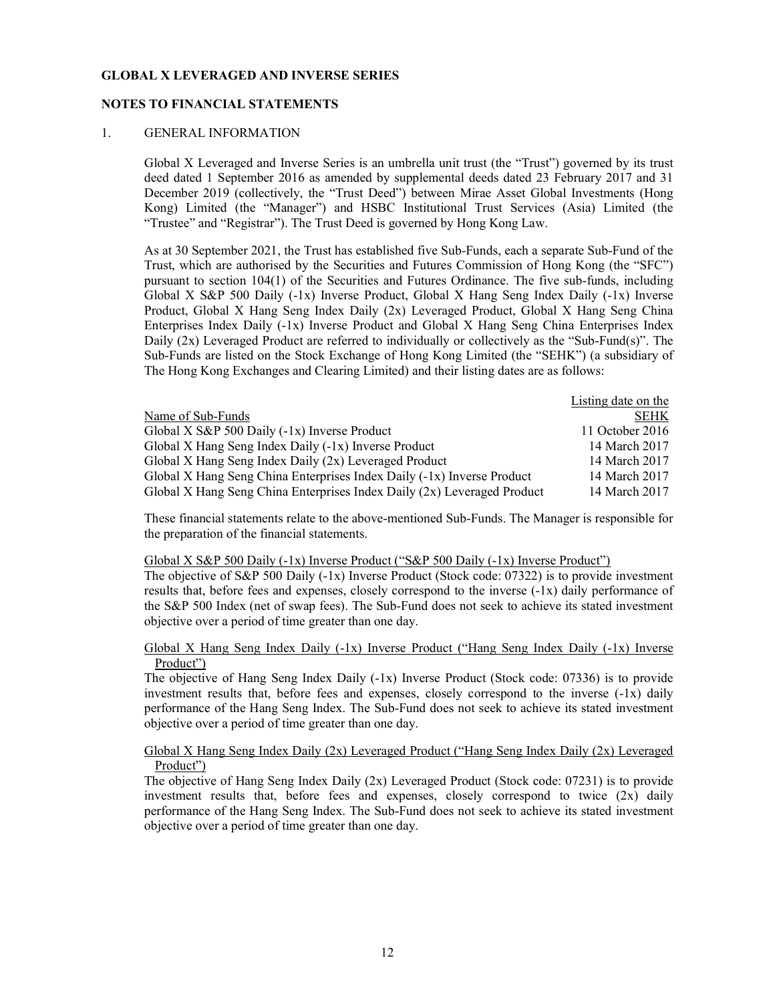### NOTES TO FINANCIAL STATEMENTS

## 1. GENERAL INFORMATION

Global X Leveraged and Inverse Series is an umbrella unit trust (the "Trust") governed by its trust deed dated 1 September 2016 as amended by supplemental deeds dated 23 February 2017 and 31 December 2019 (collectively, the "Trust Deed") between Mirae Asset Global Investments (Hong Kong) Limited (the "Manager") and HSBC Institutional Trust Services (Asia) Limited (the "Trustee" and "Registrar"). The Trust Deed is governed by Hong Kong Law.

As at 30 September 2021, the Trust has established five Sub-Funds, each a separate Sub-Fund of the Trust, which are authorised by the Securities and Futures Commission of Hong Kong (the "SFC") pursuant to section 104(1) of the Securities and Futures Ordinance. The five sub-funds, including Global X S&P 500 Daily (-1x) Inverse Product, Global X Hang Seng Index Daily (-1x) Inverse Product, Global X Hang Seng Index Daily (2x) Leveraged Product, Global X Hang Seng China Enterprises Index Daily (-1x) Inverse Product and Global X Hang Seng China Enterprises Index Daily (2x) Leveraged Product are referred to individually or collectively as the "Sub-Fund(s)". The Sub-Funds are listed on the Stock Exchange of Hong Kong Limited (the "SEHK") (a subsidiary of The Hong Kong Exchanges and Clearing Limited) and their listing dates are as follows:

|                                                                         | Listing date on the |
|-------------------------------------------------------------------------|---------------------|
| Name of Sub-Funds                                                       | <b>SEHK</b>         |
| Global X S&P 500 Daily (-1x) Inverse Product                            | 11 October 2016     |
| Global X Hang Seng Index Daily (-1x) Inverse Product                    | 14 March 2017       |
| Global X Hang Seng Index Daily (2x) Leveraged Product                   | 14 March 2017       |
| Global X Hang Seng China Enterprises Index Daily (-1x) Inverse Product  | 14 March 2017       |
| Global X Hang Seng China Enterprises Index Daily (2x) Leveraged Product | 14 March 2017       |

These financial statements relate to the above-mentioned Sub-Funds. The Manager is responsible for the preparation of the financial statements.

#### Global X S&P 500 Daily (-1x) Inverse Product ("S&P 500 Daily (-1x) Inverse Product")

The objective of S&P 500 Daily (-1x) Inverse Product (Stock code: 07322) is to provide investment results that, before fees and expenses, closely correspond to the inverse (-1x) daily performance of the S&P 500 Index (net of swap fees). The Sub-Fund does not seek to achieve its stated investment objective over a period of time greater than one day.

### Global X Hang Seng Index Daily (-1x) Inverse Product ("Hang Seng Index Daily (-1x) Inverse Product")

The objective of Hang Seng Index Daily (-1x) Inverse Product (Stock code: 07336) is to provide investment results that, before fees and expenses, closely correspond to the inverse (-1x) daily performance of the Hang Seng Index. The Sub-Fund does not seek to achieve its stated investment objective over a period of time greater than one day.

## Global X Hang Seng Index Daily (2x) Leveraged Product ("Hang Seng Index Daily (2x) Leveraged Product")

The objective of Hang Seng Index Daily (2x) Leveraged Product (Stock code: 07231) is to provide investment results that, before fees and expenses, closely correspond to twice (2x) daily performance of the Hang Seng Index. The Sub-Fund does not seek to achieve its stated investment objective over a period of time greater than one day.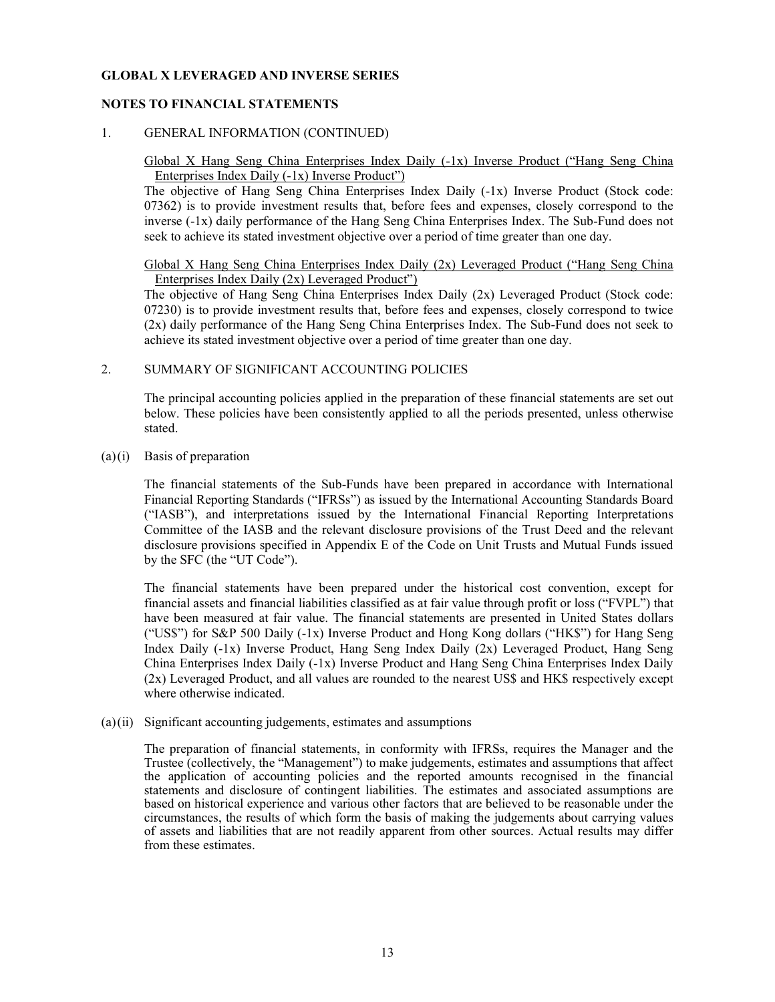## NOTES TO FINANCIAL STATEMENTS

## 1. GENERAL INFORMATION (CONTINUED)

## Global X Hang Seng China Enterprises Index Daily (-1x) Inverse Product ("Hang Seng China Enterprises Index Daily (-1x) Inverse Product")

The objective of Hang Seng China Enterprises Index Daily (-1x) Inverse Product (Stock code: 07362) is to provide investment results that, before fees and expenses, closely correspond to the inverse (-1x) daily performance of the Hang Seng China Enterprises Index. The Sub-Fund does not seek to achieve its stated investment objective over a period of time greater than one day.

### Global X Hang Seng China Enterprises Index Daily (2x) Leveraged Product ("Hang Seng China Enterprises Index Daily (2x) Leveraged Product")

The objective of Hang Seng China Enterprises Index Daily (2x) Leveraged Product (Stock code: 07230) is to provide investment results that, before fees and expenses, closely correspond to twice (2x) daily performance of the Hang Seng China Enterprises Index. The Sub-Fund does not seek to achieve its stated investment objective over a period of time greater than one day.

## 2. SUMMARY OF SIGNIFICANT ACCOUNTING POLICIES

 The principal accounting policies applied in the preparation of these financial statements are set out below. These policies have been consistently applied to all the periods presented, unless otherwise stated.

### (a)(i) Basis of preparation

 The financial statements of the Sub-Funds have been prepared in accordance with International Financial Reporting Standards ("IFRSs") as issued by the International Accounting Standards Board ("IASB"), and interpretations issued by the International Financial Reporting Interpretations Committee of the IASB and the relevant disclosure provisions of the Trust Deed and the relevant disclosure provisions specified in Appendix E of the Code on Unit Trusts and Mutual Funds issued by the SFC (the "UT Code").

 The financial statements have been prepared under the historical cost convention, except for financial assets and financial liabilities classified as at fair value through profit or loss ("FVPL") that have been measured at fair value. The financial statements are presented in United States dollars ("US\$") for S&P 500 Daily (-1x) Inverse Product and Hong Kong dollars ("HK\$") for Hang Seng Index Daily (-1x) Inverse Product, Hang Seng Index Daily (2x) Leveraged Product, Hang Seng China Enterprises Index Daily (-1x) Inverse Product and Hang Seng China Enterprises Index Daily (2x) Leveraged Product, and all values are rounded to the nearest US\$ and HK\$ respectively except where otherwise indicated.

### (a)(ii) Significant accounting judgements, estimates and assumptions

 The preparation of financial statements, in conformity with IFRSs, requires the Manager and the Trustee (collectively, the "Management") to make judgements, estimates and assumptions that affect the application of accounting policies and the reported amounts recognised in the financial statements and disclosure of contingent liabilities. The estimates and associated assumptions are based on historical experience and various other factors that are believed to be reasonable under the circumstances, the results of which form the basis of making the judgements about carrying values of assets and liabilities that are not readily apparent from other sources. Actual results may differ from these estimates.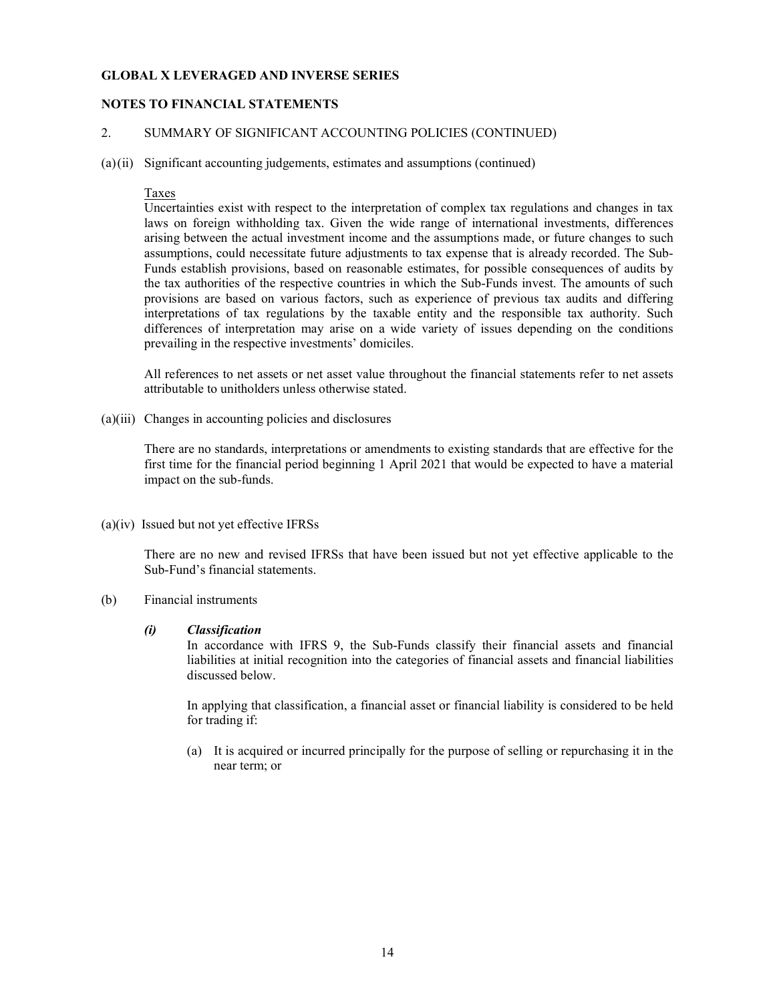### NOTES TO FINANCIAL STATEMENTS

### 2. SUMMARY OF SIGNIFICANT ACCOUNTING POLICIES (CONTINUED)

(a)(ii) Significant accounting judgements, estimates and assumptions (continued)

#### Taxes

Uncertainties exist with respect to the interpretation of complex tax regulations and changes in tax laws on foreign withholding tax. Given the wide range of international investments, differences arising between the actual investment income and the assumptions made, or future changes to such assumptions, could necessitate future adjustments to tax expense that is already recorded. The Sub-Funds establish provisions, based on reasonable estimates, for possible consequences of audits by the tax authorities of the respective countries in which the Sub-Funds invest. The amounts of such provisions are based on various factors, such as experience of previous tax audits and differing interpretations of tax regulations by the taxable entity and the responsible tax authority. Such differences of interpretation may arise on a wide variety of issues depending on the conditions prevailing in the respective investments' domiciles.

 All references to net assets or net asset value throughout the financial statements refer to net assets attributable to unitholders unless otherwise stated.

(a)(iii) Changes in accounting policies and disclosures

There are no standards, interpretations or amendments to existing standards that are effective for the first time for the financial period beginning 1 April 2021 that would be expected to have a material impact on the sub-funds.

(a)(iv) Issued but not yet effective IFRSs

There are no new and revised IFRSs that have been issued but not yet effective applicable to the Sub-Fund's financial statements.

(b) Financial instruments

#### (i) Classification

In accordance with IFRS 9, the Sub-Funds classify their financial assets and financial liabilities at initial recognition into the categories of financial assets and financial liabilities discussed below.

In applying that classification, a financial asset or financial liability is considered to be held for trading if:

(a) It is acquired or incurred principally for the purpose of selling or repurchasing it in the near term; or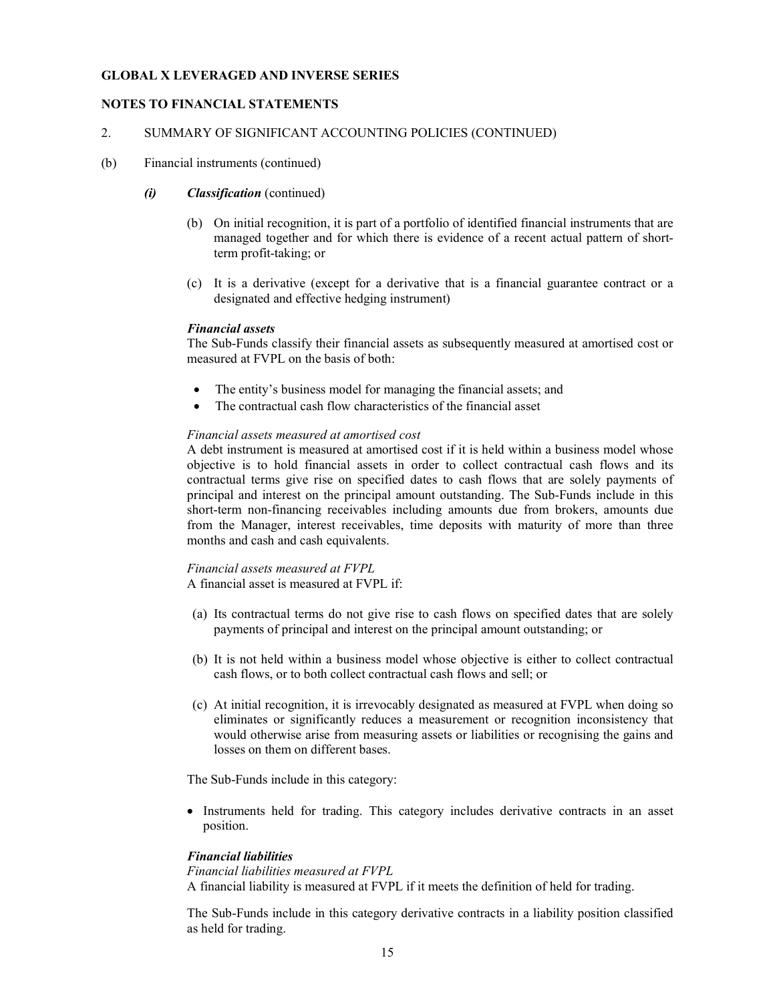### NOTES TO FINANCIAL STATEMENTS

### 2. SUMMARY OF SIGNIFICANT ACCOUNTING POLICIES (CONTINUED)

(b) Financial instruments (continued)

#### (i) Classification (continued)

- (b) On initial recognition, it is part of a portfolio of identified financial instruments that are managed together and for which there is evidence of a recent actual pattern of shortterm profit-taking; or
- (c) It is a derivative (except for a derivative that is a financial guarantee contract or a designated and effective hedging instrument)

#### Financial assets

The Sub-Funds classify their financial assets as subsequently measured at amortised cost or measured at FVPL on the basis of both:

- The entity's business model for managing the financial assets; and
- The contractual cash flow characteristics of the financial asset

#### Financial assets measured at amortised cost

A debt instrument is measured at amortised cost if it is held within a business model whose objective is to hold financial assets in order to collect contractual cash flows and its contractual terms give rise on specified dates to cash flows that are solely payments of principal and interest on the principal amount outstanding. The Sub-Funds include in this short-term non-financing receivables including amounts due from brokers, amounts due from the Manager, interest receivables, time deposits with maturity of more than three months and cash and cash equivalents.

## Financial assets measured at FVPL

A financial asset is measured at FVPL if:

- (a) Its contractual terms do not give rise to cash flows on specified dates that are solely payments of principal and interest on the principal amount outstanding; or
- (b) It is not held within a business model whose objective is either to collect contractual cash flows, or to both collect contractual cash flows and sell; or
- (c) At initial recognition, it is irrevocably designated as measured at FVPL when doing so eliminates or significantly reduces a measurement or recognition inconsistency that would otherwise arise from measuring assets or liabilities or recognising the gains and losses on them on different bases.

The Sub-Funds include in this category:

 Instruments held for trading. This category includes derivative contracts in an asset position.

### Financial liabilities

Financial liabilities measured at FVPL

A financial liability is measured at FVPL if it meets the definition of held for trading.

The Sub-Funds include in this category derivative contracts in a liability position classified as held for trading.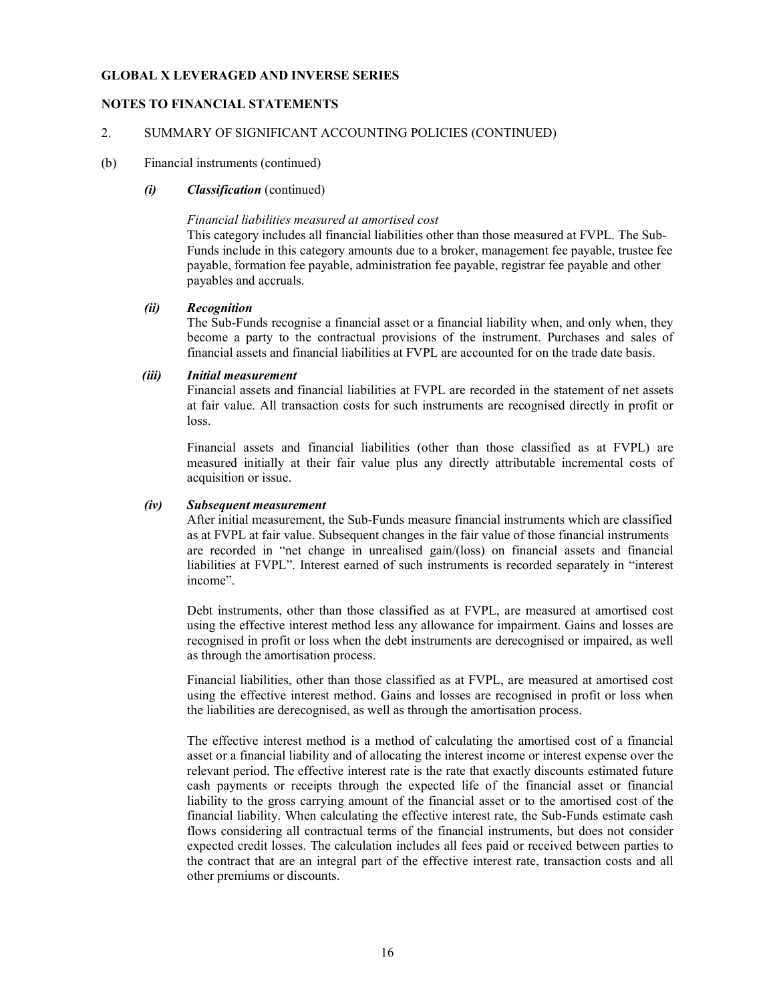### NOTES TO FINANCIAL STATEMENTS

### 2. SUMMARY OF SIGNIFICANT ACCOUNTING POLICIES (CONTINUED)

#### (b) Financial instruments (continued)

#### (i) Classification (continued)

#### Financial liabilities measured at amortised cost

This category includes all financial liabilities other than those measured at FVPL. The Sub-Funds include in this category amounts due to a broker, management fee payable, trustee fee payable, formation fee payable, administration fee payable, registrar fee payable and other payables and accruals.

### (ii) Recognition

The Sub-Funds recognise a financial asset or a financial liability when, and only when, they become a party to the contractual provisions of the instrument. Purchases and sales of financial assets and financial liabilities at FVPL are accounted for on the trade date basis.

#### (iii) Initial measurement

Financial assets and financial liabilities at FVPL are recorded in the statement of net assets at fair value. All transaction costs for such instruments are recognised directly in profit or loss.

Financial assets and financial liabilities (other than those classified as at FVPL) are measured initially at their fair value plus any directly attributable incremental costs of acquisition or issue.

#### (iv) Subsequent measurement

After initial measurement, the Sub-Funds measure financial instruments which are classified as at FVPL at fair value. Subsequent changes in the fair value of those financial instruments are recorded in "net change in unrealised gain/(loss) on financial assets and financial liabilities at FVPL". Interest earned of such instruments is recorded separately in "interest income".

Debt instruments, other than those classified as at FVPL, are measured at amortised cost using the effective interest method less any allowance for impairment. Gains and losses are recognised in profit or loss when the debt instruments are derecognised or impaired, as well as through the amortisation process.

Financial liabilities, other than those classified as at FVPL, are measured at amortised cost using the effective interest method. Gains and losses are recognised in profit or loss when the liabilities are derecognised, as well as through the amortisation process.

The effective interest method is a method of calculating the amortised cost of a financial asset or a financial liability and of allocating the interest income or interest expense over the relevant period. The effective interest rate is the rate that exactly discounts estimated future cash payments or receipts through the expected life of the financial asset or financial liability to the gross carrying amount of the financial asset or to the amortised cost of the financial liability. When calculating the effective interest rate, the Sub-Funds estimate cash flows considering all contractual terms of the financial instruments, but does not consider expected credit losses. The calculation includes all fees paid or received between parties to the contract that are an integral part of the effective interest rate, transaction costs and all other premiums or discounts.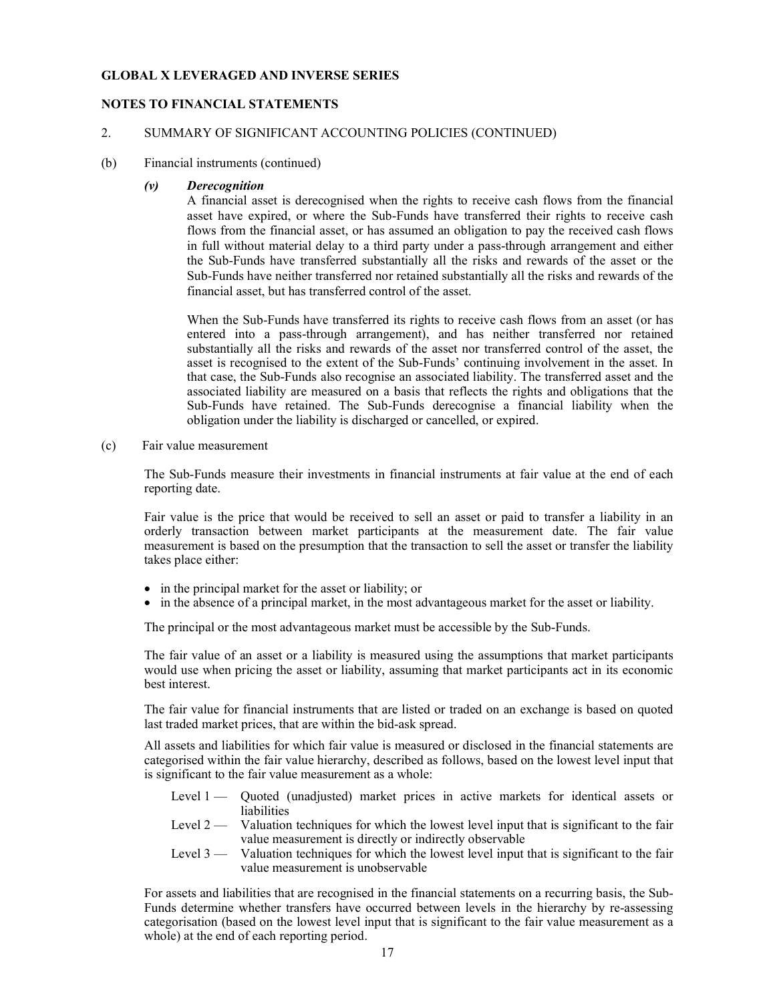### NOTES TO FINANCIAL STATEMENTS

### 2. SUMMARY OF SIGNIFICANT ACCOUNTING POLICIES (CONTINUED)

(b) Financial instruments (continued)

#### (v) Derecognition

A financial asset is derecognised when the rights to receive cash flows from the financial asset have expired, or where the Sub-Funds have transferred their rights to receive cash flows from the financial asset, or has assumed an obligation to pay the received cash flows in full without material delay to a third party under a pass-through arrangement and either the Sub-Funds have transferred substantially all the risks and rewards of the asset or the Sub-Funds have neither transferred nor retained substantially all the risks and rewards of the financial asset, but has transferred control of the asset.

When the Sub-Funds have transferred its rights to receive cash flows from an asset (or has entered into a pass-through arrangement), and has neither transferred nor retained substantially all the risks and rewards of the asset nor transferred control of the asset, the asset is recognised to the extent of the Sub-Funds' continuing involvement in the asset. In that case, the Sub-Funds also recognise an associated liability. The transferred asset and the associated liability are measured on a basis that reflects the rights and obligations that the Sub-Funds have retained. The Sub-Funds derecognise a financial liability when the obligation under the liability is discharged or cancelled, or expired.

(c) Fair value measurement

The Sub-Funds measure their investments in financial instruments at fair value at the end of each reporting date.

Fair value is the price that would be received to sell an asset or paid to transfer a liability in an orderly transaction between market participants at the measurement date. The fair value measurement is based on the presumption that the transaction to sell the asset or transfer the liability takes place either:

- in the principal market for the asset or liability; or
- in the absence of a principal market, in the most advantageous market for the asset or liability.

The principal or the most advantageous market must be accessible by the Sub-Funds.

The fair value of an asset or a liability is measured using the assumptions that market participants would use when pricing the asset or liability, assuming that market participants act in its economic best interest.

The fair value for financial instruments that are listed or traded on an exchange is based on quoted last traded market prices, that are within the bid-ask spread.

All assets and liabilities for which fair value is measured or disclosed in the financial statements are categorised within the fair value hierarchy, described as follows, based on the lowest level input that is significant to the fair value measurement as a whole:

- Level 1 Quoted (unadjusted) market prices in active markets for identical assets or liabilities
- Level  $2 -$  Valuation techniques for which the lowest level input that is significant to the fair value measurement is directly or indirectly observable
- Level 3 Valuation techniques for which the lowest level input that is significant to the fair value measurement is unobservable

For assets and liabilities that are recognised in the financial statements on a recurring basis, the Sub-Funds determine whether transfers have occurred between levels in the hierarchy by re-assessing categorisation (based on the lowest level input that is significant to the fair value measurement as a whole) at the end of each reporting period.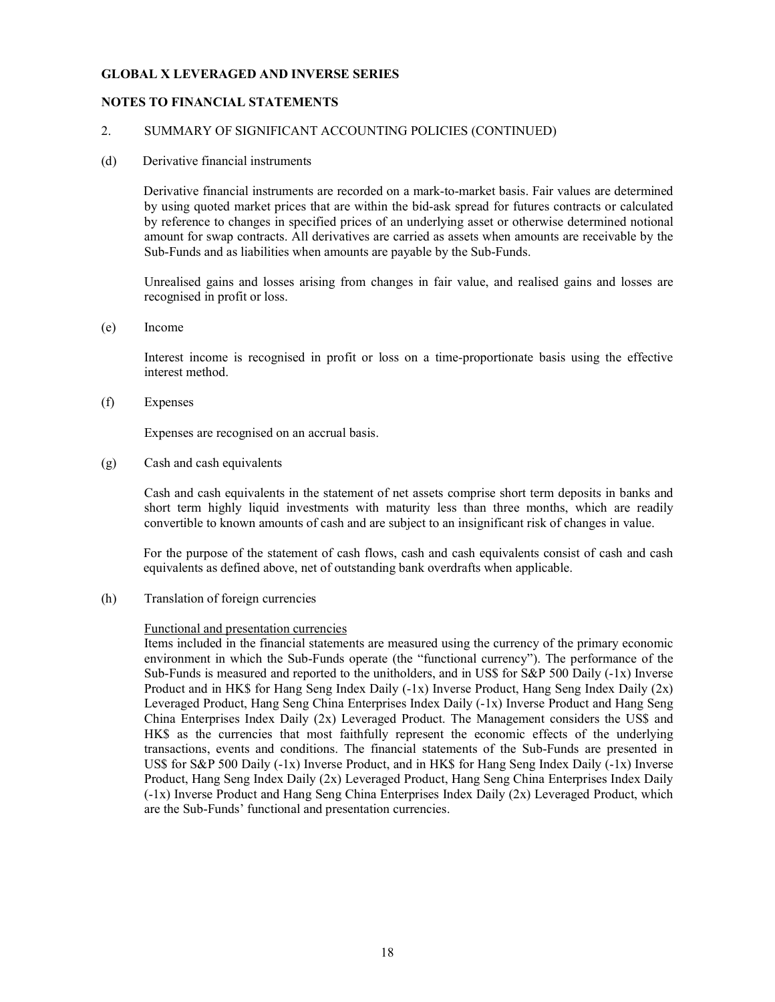### NOTES TO FINANCIAL STATEMENTS

#### 2. SUMMARY OF SIGNIFICANT ACCOUNTING POLICIES (CONTINUED)

#### (d) Derivative financial instruments

Derivative financial instruments are recorded on a mark-to-market basis. Fair values are determined by using quoted market prices that are within the bid-ask spread for futures contracts or calculated by reference to changes in specified prices of an underlying asset or otherwise determined notional amount for swap contracts. All derivatives are carried as assets when amounts are receivable by the Sub-Funds and as liabilities when amounts are payable by the Sub-Funds.

Unrealised gains and losses arising from changes in fair value, and realised gains and losses are recognised in profit or loss.

(e) Income

 Interest income is recognised in profit or loss on a time-proportionate basis using the effective interest method.

(f) Expenses

Expenses are recognised on an accrual basis.

(g) Cash and cash equivalents

Cash and cash equivalents in the statement of net assets comprise short term deposits in banks and short term highly liquid investments with maturity less than three months, which are readily convertible to known amounts of cash and are subject to an insignificant risk of changes in value.

For the purpose of the statement of cash flows, cash and cash equivalents consist of cash and cash equivalents as defined above, net of outstanding bank overdrafts when applicable.

(h) Translation of foreign currencies

#### Functional and presentation currencies

Items included in the financial statements are measured using the currency of the primary economic environment in which the Sub-Funds operate (the "functional currency"). The performance of the Sub-Funds is measured and reported to the unitholders, and in US\$ for S&P 500 Daily (-1x) Inverse Product and in HK\$ for Hang Seng Index Daily (-1x) Inverse Product, Hang Seng Index Daily (2x) Leveraged Product, Hang Seng China Enterprises Index Daily (-1x) Inverse Product and Hang Seng China Enterprises Index Daily (2x) Leveraged Product. The Management considers the US\$ and HK\$ as the currencies that most faithfully represent the economic effects of the underlying transactions, events and conditions. The financial statements of the Sub-Funds are presented in US\$ for S&P 500 Daily (-1x) Inverse Product, and in HK\$ for Hang Seng Index Daily (-1x) Inverse Product, Hang Seng Index Daily (2x) Leveraged Product, Hang Seng China Enterprises Index Daily (-1x) Inverse Product and Hang Seng China Enterprises Index Daily (2x) Leveraged Product, which are the Sub-Funds' functional and presentation currencies.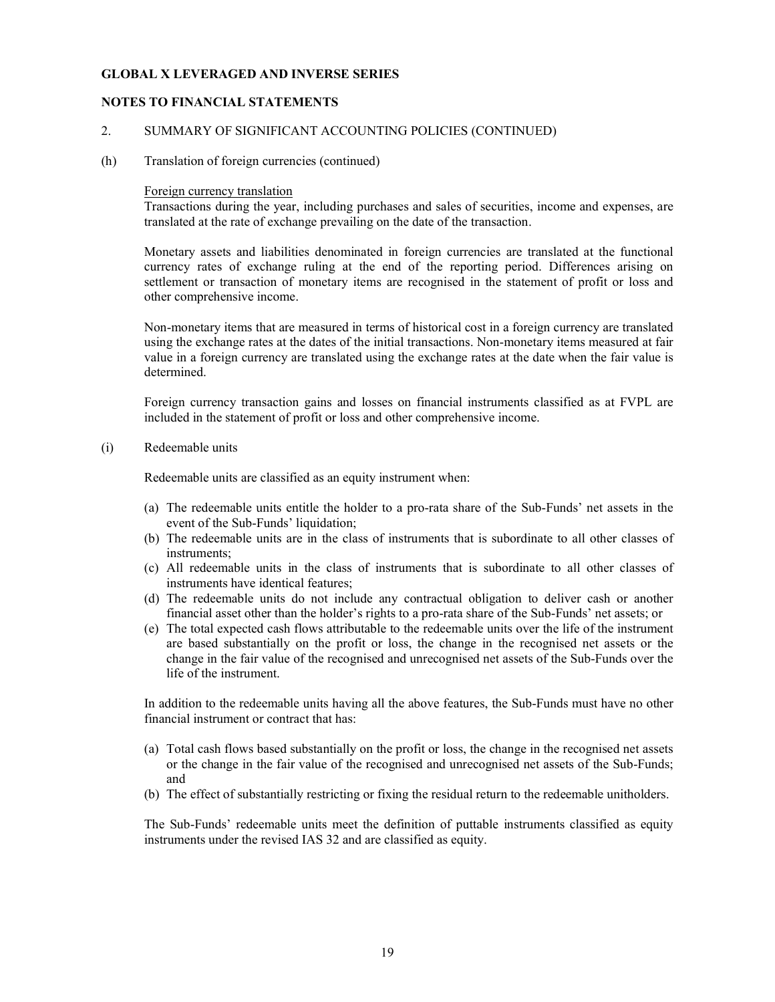### NOTES TO FINANCIAL STATEMENTS

#### 2. SUMMARY OF SIGNIFICANT ACCOUNTING POLICIES (CONTINUED)

(h) Translation of foreign currencies (continued)

#### Foreign currency translation

Transactions during the year, including purchases and sales of securities, income and expenses, are translated at the rate of exchange prevailing on the date of the transaction.

Monetary assets and liabilities denominated in foreign currencies are translated at the functional currency rates of exchange ruling at the end of the reporting period. Differences arising on settlement or transaction of monetary items are recognised in the statement of profit or loss and other comprehensive income.

Non-monetary items that are measured in terms of historical cost in a foreign currency are translated using the exchange rates at the dates of the initial transactions. Non-monetary items measured at fair value in a foreign currency are translated using the exchange rates at the date when the fair value is determined.

Foreign currency transaction gains and losses on financial instruments classified as at FVPL are included in the statement of profit or loss and other comprehensive income.

(i) Redeemable units

Redeemable units are classified as an equity instrument when:

- (a) The redeemable units entitle the holder to a pro-rata share of the Sub-Funds' net assets in the event of the Sub-Funds' liquidation;
- (b) The redeemable units are in the class of instruments that is subordinate to all other classes of instruments;
- (c) All redeemable units in the class of instruments that is subordinate to all other classes of instruments have identical features;
- (d) The redeemable units do not include any contractual obligation to deliver cash or another financial asset other than the holder's rights to a pro-rata share of the Sub-Funds' net assets; or
- (e) The total expected cash flows attributable to the redeemable units over the life of the instrument are based substantially on the profit or loss, the change in the recognised net assets or the change in the fair value of the recognised and unrecognised net assets of the Sub-Funds over the life of the instrument.

In addition to the redeemable units having all the above features, the Sub-Funds must have no other financial instrument or contract that has:

- (a) Total cash flows based substantially on the profit or loss, the change in the recognised net assets or the change in the fair value of the recognised and unrecognised net assets of the Sub-Funds; and
- (b) The effect of substantially restricting or fixing the residual return to the redeemable unitholders.

The Sub-Funds' redeemable units meet the definition of puttable instruments classified as equity instruments under the revised IAS 32 and are classified as equity.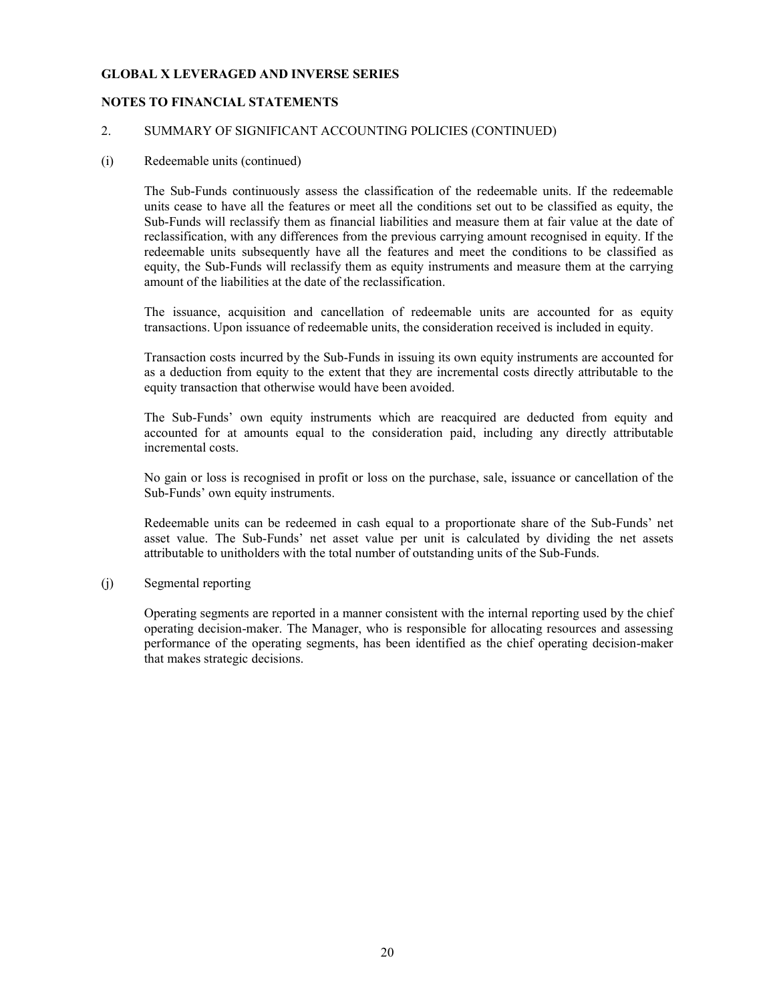### NOTES TO FINANCIAL STATEMENTS

#### 2. SUMMARY OF SIGNIFICANT ACCOUNTING POLICIES (CONTINUED)

#### (i) Redeemable units (continued)

The Sub-Funds continuously assess the classification of the redeemable units. If the redeemable units cease to have all the features or meet all the conditions set out to be classified as equity, the Sub-Funds will reclassify them as financial liabilities and measure them at fair value at the date of reclassification, with any differences from the previous carrying amount recognised in equity. If the redeemable units subsequently have all the features and meet the conditions to be classified as equity, the Sub-Funds will reclassify them as equity instruments and measure them at the carrying amount of the liabilities at the date of the reclassification.

The issuance, acquisition and cancellation of redeemable units are accounted for as equity transactions. Upon issuance of redeemable units, the consideration received is included in equity.

Transaction costs incurred by the Sub-Funds in issuing its own equity instruments are accounted for as a deduction from equity to the extent that they are incremental costs directly attributable to the equity transaction that otherwise would have been avoided.

The Sub-Funds' own equity instruments which are reacquired are deducted from equity and accounted for at amounts equal to the consideration paid, including any directly attributable incremental costs.

No gain or loss is recognised in profit or loss on the purchase, sale, issuance or cancellation of the Sub-Funds' own equity instruments.

Redeemable units can be redeemed in cash equal to a proportionate share of the Sub-Funds' net asset value. The Sub-Funds' net asset value per unit is calculated by dividing the net assets attributable to unitholders with the total number of outstanding units of the Sub-Funds.

### (j) Segmental reporting

Operating segments are reported in a manner consistent with the internal reporting used by the chief operating decision-maker. The Manager, who is responsible for allocating resources and assessing performance of the operating segments, has been identified as the chief operating decision-maker that makes strategic decisions.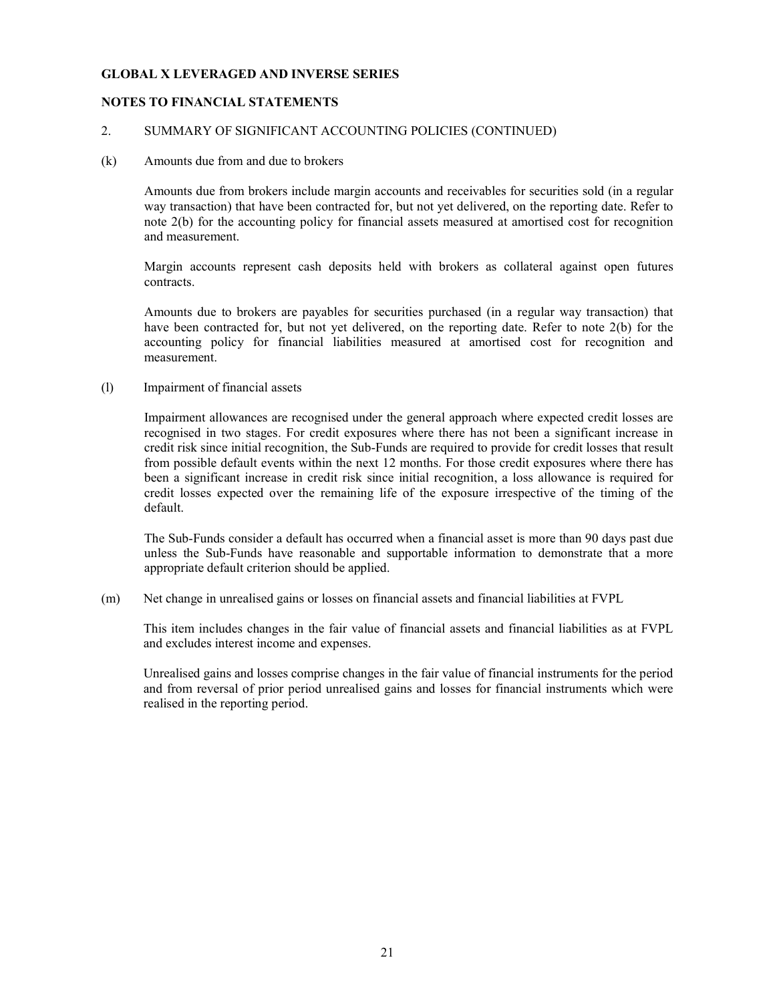### NOTES TO FINANCIAL STATEMENTS

#### 2. SUMMARY OF SIGNIFICANT ACCOUNTING POLICIES (CONTINUED)

#### (k) Amounts due from and due to brokers

Amounts due from brokers include margin accounts and receivables for securities sold (in a regular way transaction) that have been contracted for, but not yet delivered, on the reporting date. Refer to note 2(b) for the accounting policy for financial assets measured at amortised cost for recognition and measurement.

Margin accounts represent cash deposits held with brokers as collateral against open futures contracts.

Amounts due to brokers are payables for securities purchased (in a regular way transaction) that have been contracted for, but not yet delivered, on the reporting date. Refer to note 2(b) for the accounting policy for financial liabilities measured at amortised cost for recognition and measurement.

(l) Impairment of financial assets

Impairment allowances are recognised under the general approach where expected credit losses are recognised in two stages. For credit exposures where there has not been a significant increase in credit risk since initial recognition, the Sub-Funds are required to provide for credit losses that result from possible default events within the next 12 months. For those credit exposures where there has been a significant increase in credit risk since initial recognition, a loss allowance is required for credit losses expected over the remaining life of the exposure irrespective of the timing of the default.

The Sub-Funds consider a default has occurred when a financial asset is more than 90 days past due unless the Sub-Funds have reasonable and supportable information to demonstrate that a more appropriate default criterion should be applied.

(m) Net change in unrealised gains or losses on financial assets and financial liabilities at FVPL

This item includes changes in the fair value of financial assets and financial liabilities as at FVPL and excludes interest income and expenses.

Unrealised gains and losses comprise changes in the fair value of financial instruments for the period and from reversal of prior period unrealised gains and losses for financial instruments which were realised in the reporting period.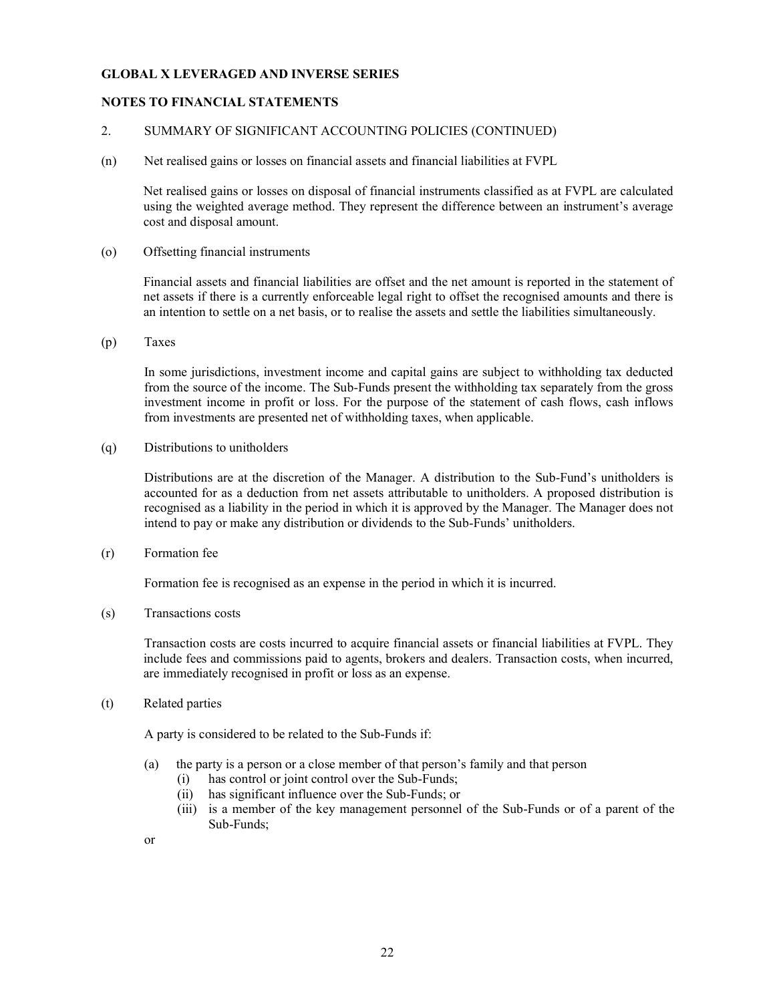### NOTES TO FINANCIAL STATEMENTS

### 2. SUMMARY OF SIGNIFICANT ACCOUNTING POLICIES (CONTINUED)

(n) Net realised gains or losses on financial assets and financial liabilities at FVPL

Net realised gains or losses on disposal of financial instruments classified as at FVPL are calculated using the weighted average method. They represent the difference between an instrument's average cost and disposal amount.

(o) Offsetting financial instruments

Financial assets and financial liabilities are offset and the net amount is reported in the statement of net assets if there is a currently enforceable legal right to offset the recognised amounts and there is an intention to settle on a net basis, or to realise the assets and settle the liabilities simultaneously.

(p) Taxes

In some jurisdictions, investment income and capital gains are subject to withholding tax deducted from the source of the income. The Sub-Funds present the withholding tax separately from the gross investment income in profit or loss. For the purpose of the statement of cash flows, cash inflows from investments are presented net of withholding taxes, when applicable.

(q) Distributions to unitholders

Distributions are at the discretion of the Manager. A distribution to the Sub-Fund's unitholders is accounted for as a deduction from net assets attributable to unitholders. A proposed distribution is recognised as a liability in the period in which it is approved by the Manager. The Manager does not intend to pay or make any distribution or dividends to the Sub-Funds' unitholders.

(r) Formation fee

Formation fee is recognised as an expense in the period in which it is incurred.

(s) Transactions costs

 Transaction costs are costs incurred to acquire financial assets or financial liabilities at FVPL. They include fees and commissions paid to agents, brokers and dealers. Transaction costs, when incurred, are immediately recognised in profit or loss as an expense.

(t) Related parties

A party is considered to be related to the Sub-Funds if:

- (a) the party is a person or a close member of that person's family and that person
	- (i) has control or joint control over the Sub-Funds;
	- (ii) has significant influence over the Sub-Funds; or
	- (iii) is a member of the key management personnel of the Sub-Funds or of a parent of the Sub-Funds;
- or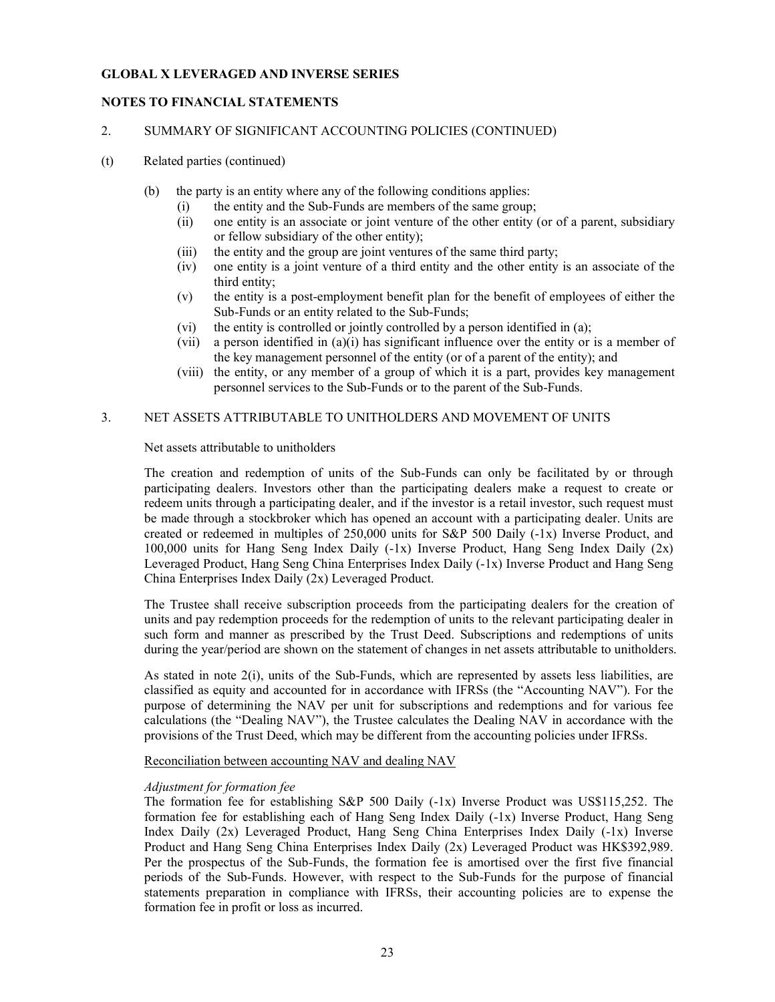### NOTES TO FINANCIAL STATEMENTS

#### 2. SUMMARY OF SIGNIFICANT ACCOUNTING POLICIES (CONTINUED)

- (t) Related parties (continued)
	- (b) the party is an entity where any of the following conditions applies:
		- (i) the entity and the Sub-Funds are members of the same group;
		- (ii) one entity is an associate or joint venture of the other entity (or of a parent, subsidiary or fellow subsidiary of the other entity);
		- (iii) the entity and the group are joint ventures of the same third party;
		- (iv) one entity is a joint venture of a third entity and the other entity is an associate of the third entity;
		- (v) the entity is a post-employment benefit plan for the benefit of employees of either the Sub-Funds or an entity related to the Sub-Funds;
		- (vi) the entity is controlled or jointly controlled by a person identified in (a);
		- (vii) a person identified in  $(a)(i)$  has significant influence over the entity or is a member of the key management personnel of the entity (or of a parent of the entity); and
		- (viii) the entity, or any member of a group of which it is a part, provides key management personnel services to the Sub-Funds or to the parent of the Sub-Funds.

## 3. NET ASSETS ATTRIBUTABLE TO UNITHOLDERS AND MOVEMENT OF UNITS

Net assets attributable to unitholders

The creation and redemption of units of the Sub-Funds can only be facilitated by or through participating dealers. Investors other than the participating dealers make a request to create or redeem units through a participating dealer, and if the investor is a retail investor, such request must be made through a stockbroker which has opened an account with a participating dealer. Units are created or redeemed in multiples of 250,000 units for S&P 500 Daily (-1x) Inverse Product, and 100,000 units for Hang Seng Index Daily (-1x) Inverse Product, Hang Seng Index Daily (2x) Leveraged Product, Hang Seng China Enterprises Index Daily (-1x) Inverse Product and Hang Seng China Enterprises Index Daily (2x) Leveraged Product.

 The Trustee shall receive subscription proceeds from the participating dealers for the creation of units and pay redemption proceeds for the redemption of units to the relevant participating dealer in such form and manner as prescribed by the Trust Deed. Subscriptions and redemptions of units during the year/period are shown on the statement of changes in net assets attributable to unitholders.

As stated in note 2(i), units of the Sub-Funds, which are represented by assets less liabilities, are classified as equity and accounted for in accordance with IFRSs (the "Accounting NAV"). For the purpose of determining the NAV per unit for subscriptions and redemptions and for various fee calculations (the "Dealing NAV"), the Trustee calculates the Dealing NAV in accordance with the provisions of the Trust Deed, which may be different from the accounting policies under IFRSs.

Reconciliation between accounting NAV and dealing NAV

#### Adjustment for formation fee

The formation fee for establishing S&P 500 Daily (-1x) Inverse Product was US\$115,252. The formation fee for establishing each of Hang Seng Index Daily (-1x) Inverse Product, Hang Seng Index Daily (2x) Leveraged Product, Hang Seng China Enterprises Index Daily (-1x) Inverse Product and Hang Seng China Enterprises Index Daily (2x) Leveraged Product was HK\$392,989. Per the prospectus of the Sub-Funds, the formation fee is amortised over the first five financial periods of the Sub-Funds. However, with respect to the Sub-Funds for the purpose of financial statements preparation in compliance with IFRSs, their accounting policies are to expense the formation fee in profit or loss as incurred.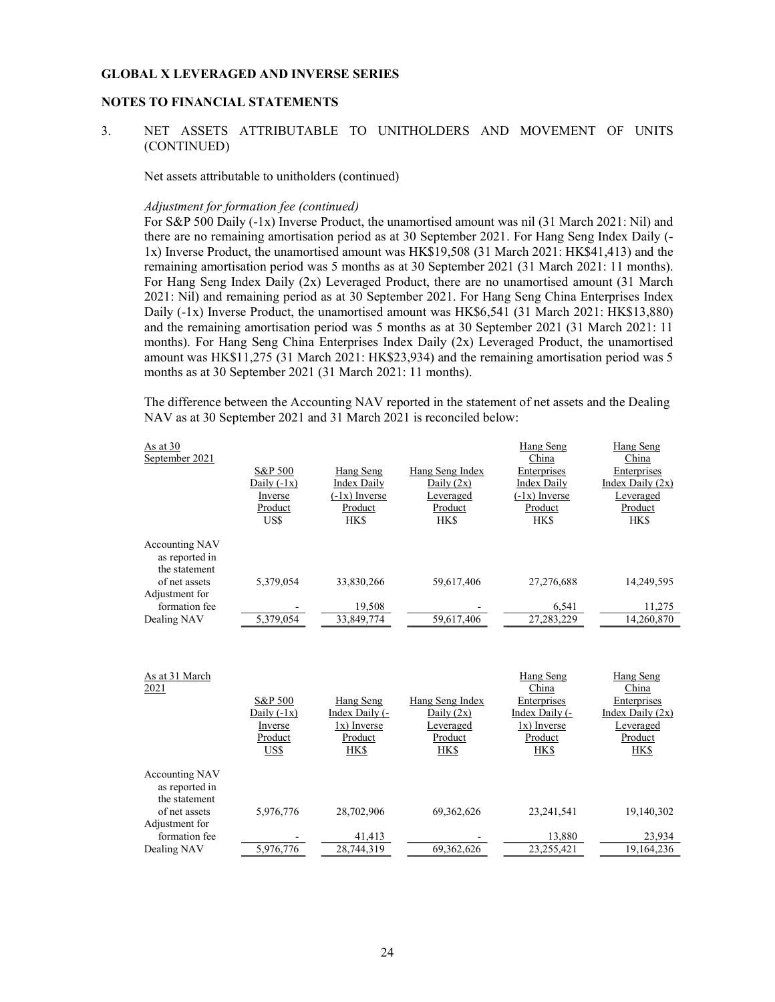#### NOTES TO FINANCIAL STATEMENTS

### 3. NET ASSETS ATTRIBUTABLE TO UNITHOLDERS AND MOVEMENT OF UNITS (CONTINUED)

Net assets attributable to unitholders (continued)

#### Adjustment for formation fee (continued)

For S&P 500 Daily (-1x) Inverse Product, the unamortised amount was nil (31 March 2021: Nil) and there are no remaining amortisation period as at 30 September 2021. For Hang Seng Index Daily (- 1x) Inverse Product, the unamortised amount was HK\$19,508 (31 March 2021: HK\$41,413) and the remaining amortisation period was 5 months as at 30 September 2021 (31 March 2021: 11 months). For Hang Seng Index Daily (2x) Leveraged Product, there are no unamortised amount (31 March 2021: Nil) and remaining period as at 30 September 2021. For Hang Seng China Enterprises Index Daily (-1x) Inverse Product, the unamortised amount was HK\$6,541 (31 March 2021: HK\$13,880) and the remaining amortisation period was 5 months as at 30 September 2021 (31 March 2021: 11 months). For Hang Seng China Enterprises Index Daily (2x) Leveraged Product, the unamortised amount was HK\$11,275 (31 March 2021: HK\$23,934) and the remaining amortisation period was 5 months as at 30 September 2021 (31 March 2021: 11 months).

The difference between the Accounting NAV reported in the statement of net assets and the Dealing NAV as at 30 September 2021 and 31 March 2021 is reconciled below:

| As at $30$<br>September 2021                             |                            |                                           |                                    | Hang Seng<br>China                 | Hang Seng<br>China                |
|----------------------------------------------------------|----------------------------|-------------------------------------------|------------------------------------|------------------------------------|-----------------------------------|
|                                                          | S&P 500<br>Daily $(-1x)$   | Hang Seng<br>Index Daily                  | Hang Seng Index<br>Daily $(2x)$    | Enterprises<br>Index Daily         | Enterprises<br>Index Daily $(2x)$ |
|                                                          | Inverse<br>Product<br>US\$ | $(-1x)$ Inverse<br>Product<br><b>HK\$</b> | Leveraged<br>Product<br><b>HKS</b> | $(-1x)$ Inverse<br>Product<br>HK\$ | Leveraged<br>Product<br>HK\$      |
| <b>Accounting NAV</b><br>as reported in<br>the statement |                            |                                           |                                    |                                    |                                   |
| of net assets<br>Adjustment for                          | 5.379,054                  | 33,830,266                                | 59.617.406                         | 27,276,688                         | 14,249,595                        |
| formation fee                                            |                            | 19,508                                    |                                    | 6.541                              | 11,275                            |
| Dealing NAV                                              | 5,379,054                  | 33,849,774                                | 59,617,406                         | 27,283,229                         | 14,260,870                        |

| As at 31 March        |               |                |                 | Hang Seng      | Hang Seng          |
|-----------------------|---------------|----------------|-----------------|----------------|--------------------|
| 2021                  |               |                |                 | China          | China              |
|                       | S&P 500       | Hang Seng      | Hang Seng Index | Enterprises    | Enterprises        |
|                       | Daily $(-1x)$ | Index Daily (- | Daily $(2x)$    | Index Daily (- | Index Daily $(2x)$ |
|                       | Inverse       | 1x) Inverse    | Leveraged       | $1x)$ Inverse  | Leveraged          |
|                       | Product       | Product        | Product         | Product        | Product            |
|                       | US\$          | HK\$           | HK\$            | HK\$           | <b>HK\$</b>        |
|                       |               |                |                 |                |                    |
| <b>Accounting NAV</b> |               |                |                 |                |                    |
| as reported in        |               |                |                 |                |                    |
| the statement         |               |                |                 |                |                    |
| of net assets         | 5,976,776     | 28,702,906     | 69, 362, 626    | 23.241.541     | 19,140,302         |
| Adjustment for        |               |                |                 |                |                    |
| formation fee         |               | 41,413         |                 | 13,880         | 23,934             |
| Dealing NAV           | 5,976,776     | 28,744,319     | 69.362.626      | 23.255.421     | 19,164,236         |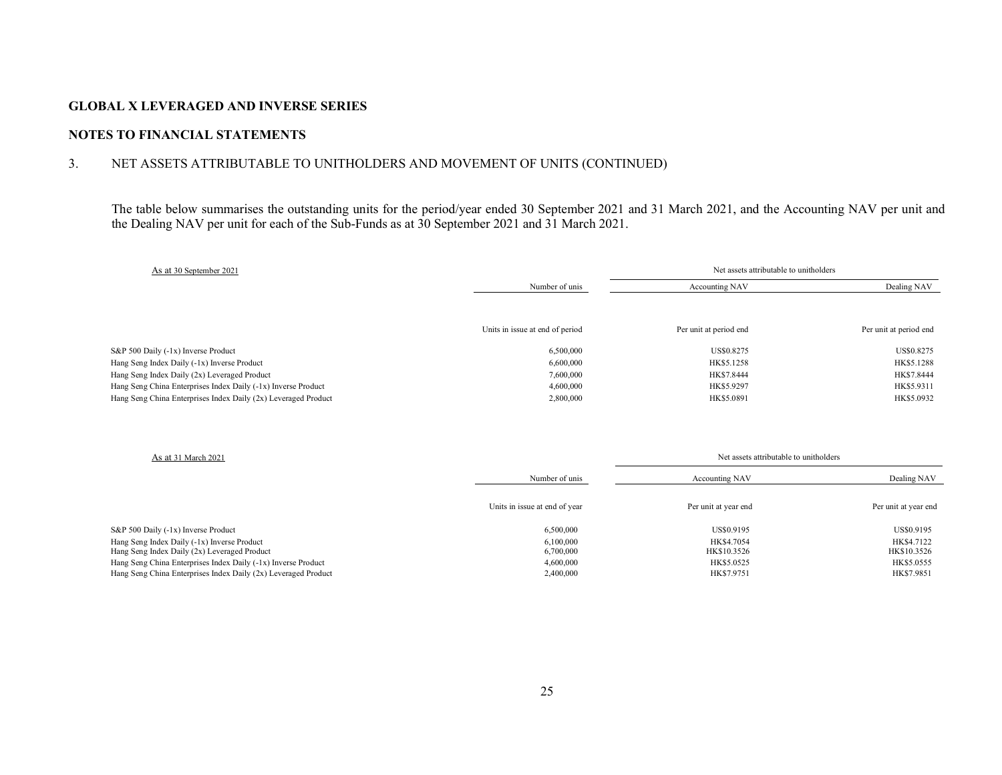## NOTES TO FINANCIAL STATEMENTS

## 3. NET ASSETS ATTRIBUTABLE TO UNITHOLDERS AND MOVEMENT OF UNITS (CONTINUED)

The table below summarises the outstanding units for the period/year ended 30 September 2021 and 31 March 2021, and the Accounting NAV per unit and the Dealing NAV per unit for each of the Sub-Funds as at 30 September 2021 and 31 March 2021.

| As at 30 September 2021                                        |                                 | Net assets attributable to unitholders |                        |  |
|----------------------------------------------------------------|---------------------------------|----------------------------------------|------------------------|--|
|                                                                | Number of unis                  | Accounting NAV                         | Dealing NAV            |  |
|                                                                | Units in issue at end of period | Per unit at period end                 | Per unit at period end |  |
| S&P 500 Daily (-1x) Inverse Product                            | 6,500,000                       | US\$0.8275                             | US\$0.8275             |  |
| Hang Seng Index Daily (-1x) Inverse Product                    | 6,600,000                       | HK\$5.1258                             | HK\$5.1288             |  |
| Hang Seng Index Daily (2x) Leveraged Product                   | 7.600.000                       | HK\$7.8444                             | HK\$7.8444             |  |
| Hang Seng China Enterprises Index Daily (-1x) Inverse Product  | 4,600,000                       | HK\$5.9297                             | HK\$5.9311             |  |
| Hang Seng China Enterprises Index Daily (2x) Leveraged Product | 2,800,000                       | HK\$5.0891                             | HK\$5.0932             |  |

| As at 31 March 2021                                                                         |                               | Net assets attributable to unitholders |                           |  |
|---------------------------------------------------------------------------------------------|-------------------------------|----------------------------------------|---------------------------|--|
|                                                                                             | Number of unis                | Accounting NAV                         | Dealing NAV               |  |
|                                                                                             | Units in issue at end of year | Per unit at year end                   | Per unit at year end      |  |
| S&P 500 Daily (-1x) Inverse Product                                                         | 6,500,000                     | US\$0.9195                             | US\$0.9195                |  |
| Hang Seng Index Daily (-1x) Inverse Product<br>Hang Seng Index Daily (2x) Leveraged Product | 6.100.000<br>6,700,000        | HK\$4.7054<br>HK\$10.3526              | HK\$4.7122<br>HK\$10.3526 |  |
| Hang Seng China Enterprises Index Daily (-1x) Inverse Product                               | 4,600,000                     | HK\$5.0525                             | HK\$5.0555                |  |
| Hang Seng China Enterprises Index Daily (2x) Leveraged Product                              | 2,400,000                     | HK\$7.9751                             | HK\$7.9851                |  |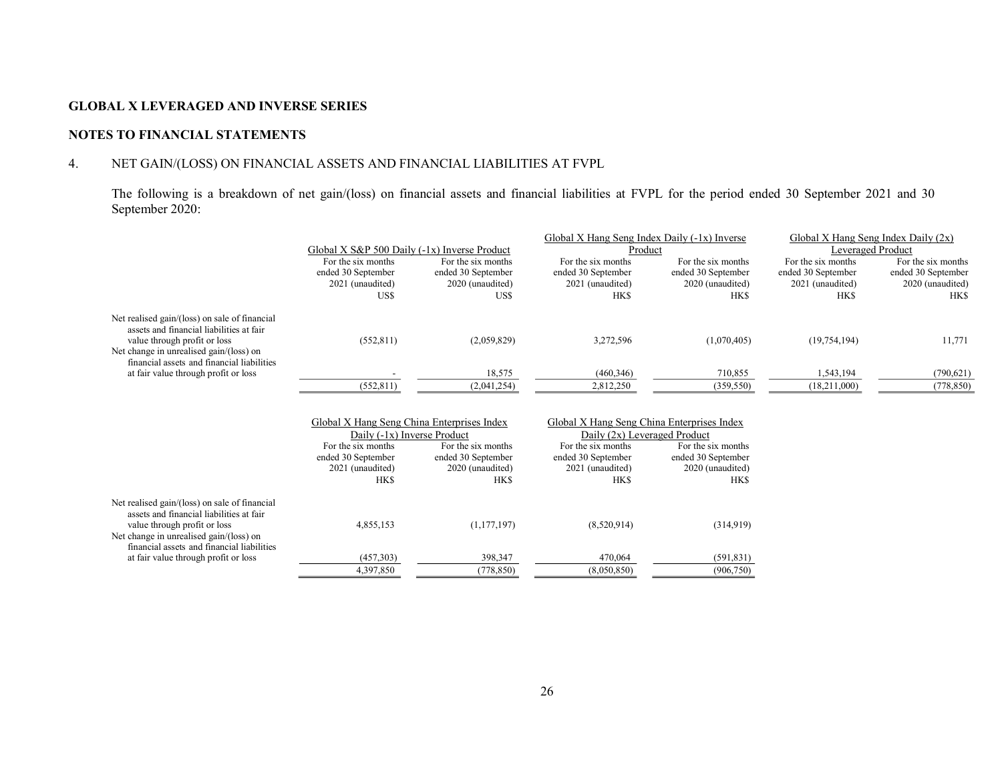## NOTES TO FINANCIAL STATEMENTS

## 4. NET GAIN/(LOSS) ON FINANCIAL ASSETS AND FINANCIAL LIABILITIES AT FVPL

The following is a breakdown of net gain/(loss) on financial assets and financial liabilities at FVPL for the period ended 30 September 2021 and 30 September 2020:

|                                                                                                                       |                                                                           |                                                              | Global X Hang Seng Index Daily (-1x) Inverse                               |                                                              | Global X Hang Seng Index Daily $(2x)$                        |                                                              |
|-----------------------------------------------------------------------------------------------------------------------|---------------------------------------------------------------------------|--------------------------------------------------------------|----------------------------------------------------------------------------|--------------------------------------------------------------|--------------------------------------------------------------|--------------------------------------------------------------|
|                                                                                                                       | Global X S&P 500 Daily (-1x) Inverse Product                              |                                                              | Product                                                                    |                                                              | Leveraged Product                                            |                                                              |
|                                                                                                                       | For the six months<br>ended 30 September<br>2021 (unaudited)              | For the six months<br>ended 30 September<br>2020 (unaudited) | For the six months<br>ended 30 September<br>2021 (unaudited)               | For the six months<br>ended 30 September<br>2020 (unaudited) | For the six months<br>ended 30 September<br>2021 (unaudited) | For the six months<br>ended 30 September<br>2020 (unaudited) |
|                                                                                                                       | US\$                                                                      | US\$                                                         | <b>HKS</b>                                                                 | <b>HKS</b>                                                   | <b>HKS</b>                                                   | <b>HKS</b>                                                   |
| Net realised gain/(loss) on sale of financial<br>assets and financial liabilities at fair                             |                                                                           |                                                              |                                                                            |                                                              |                                                              |                                                              |
| value through profit or loss<br>Net change in unrealised gain/(loss) on<br>financial assets and financial liabilities | (552, 811)                                                                | (2,059,829)                                                  | 3,272,596                                                                  | (1,070,405)                                                  | (19, 754, 194)                                               | 11,771                                                       |
| at fair value through profit or loss                                                                                  |                                                                           | 18,575                                                       | (460, 346)                                                                 | 710,855                                                      | 1,543,194                                                    | (790, 621)                                                   |
|                                                                                                                       | (552, 811)                                                                | (2,041,254)                                                  | 2,812,250                                                                  | (359, 550)                                                   | (18,211,000)                                                 | (778, 850)                                                   |
|                                                                                                                       | Global X Hang Seng China Enterprises Index<br>Daily (-1x) Inverse Product |                                                              | Global X Hang Seng China Enterprises Index<br>Daily (2x) Leveraged Product |                                                              |                                                              |                                                              |
|                                                                                                                       | For the six months                                                        | For the six months                                           | For the six months                                                         | For the six months                                           |                                                              |                                                              |
|                                                                                                                       | ended 30 September                                                        | ended 30 September                                           | ended 30 September                                                         | ended 30 September                                           |                                                              |                                                              |
|                                                                                                                       | 2021 (unaudited)                                                          | 2020 (unaudited)                                             | 2021 (unaudited)                                                           | 2020 (unaudited)                                             |                                                              |                                                              |
|                                                                                                                       | <b>HKS</b>                                                                | <b>HKS</b>                                                   | <b>HKS</b>                                                                 | <b>HKS</b>                                                   |                                                              |                                                              |
| Net realised gain/(loss) on sale of financial<br>assets and financial liabilities at fair                             |                                                                           |                                                              |                                                                            |                                                              |                                                              |                                                              |
| value through profit or loss<br>Net change in unrealised gain/(loss) on<br>financial assets and financial liabilities | 4,855,153                                                                 | (1,177,197)                                                  | (8,520,914)                                                                | (314,919)                                                    |                                                              |                                                              |
| at fair value through profit or loss                                                                                  | (457,303)                                                                 | 398,347                                                      | 470,064                                                                    | (591, 831)                                                   |                                                              |                                                              |
|                                                                                                                       | 4.397.850                                                                 | (778.850)                                                    | (8.050.850)                                                                | (906, 750)                                                   |                                                              |                                                              |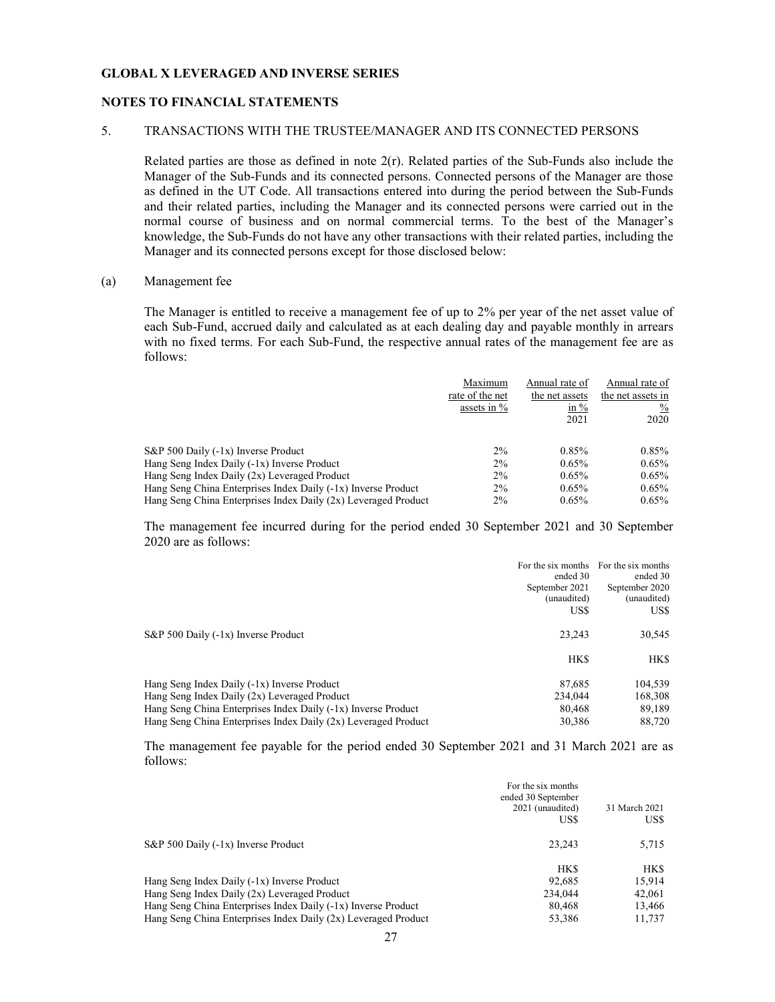#### NOTES TO FINANCIAL STATEMENTS

#### 5. TRANSACTIONS WITH THE TRUSTEE/MANAGER AND ITS CONNECTED PERSONS

Related parties are those as defined in note 2(r). Related parties of the Sub-Funds also include the Manager of the Sub-Funds and its connected persons. Connected persons of the Manager are those as defined in the UT Code. All transactions entered into during the period between the Sub-Funds and their related parties, including the Manager and its connected persons were carried out in the normal course of business and on normal commercial terms. To the best of the Manager's knowledge, the Sub-Funds do not have any other transactions with their related parties, including the Manager and its connected persons except for those disclosed below:

#### (a) Management fee

The Manager is entitled to receive a management fee of up to 2% per year of the net asset value of each Sub-Fund, accrued daily and calculated as at each dealing day and payable monthly in arrears with no fixed terms. For each Sub-Fund, the respective annual rates of the management fee are as follows:

|                                                                | Maximum<br>rate of the net<br>assets in $%$ | Annual rate of<br>the net assets<br>in $%$<br>2021 | Annual rate of<br>the net assets in<br>$\%$<br>2020 |
|----------------------------------------------------------------|---------------------------------------------|----------------------------------------------------|-----------------------------------------------------|
| S&P 500 Daily (-1x) Inverse Product                            | $2\%$                                       | 0.85%                                              | $0.85\%$                                            |
| Hang Seng Index Daily (-1x) Inverse Product                    | $2\%$                                       | 0.65%                                              | $0.65\%$                                            |
| Hang Seng Index Daily (2x) Leveraged Product                   | $2\%$                                       | $0.65\%$                                           | $0.65\%$                                            |
| Hang Seng China Enterprises Index Daily (-1x) Inverse Product  | $2\%$                                       | 0.65%                                              | $0.65\%$                                            |
| Hang Seng China Enterprises Index Daily (2x) Leveraged Product | 2%                                          | 0.65%                                              | $0.65\%$                                            |

The management fee incurred during for the period ended 30 September 2021 and 30 September 2020 are as follows:

|                                                                | For the six months | For the six months |
|----------------------------------------------------------------|--------------------|--------------------|
|                                                                | ended 30           | ended 30           |
|                                                                | September 2021     | September 2020     |
|                                                                | (unaudited)        | (unaudited)        |
|                                                                | US\$               | US\$               |
| $S\&P 500$ Daily (-1x) Inverse Product                         | 23,243             | 30,545             |
|                                                                | HK\$               | HK\$               |
| Hang Seng Index Daily (-1x) Inverse Product                    | 87,685             | 104,539            |
| Hang Seng Index Daily (2x) Leveraged Product                   | 234,044            | 168,308            |
| Hang Seng China Enterprises Index Daily (-1x) Inverse Product  | 80.468             | 89,189             |
| Hang Seng China Enterprises Index Daily (2x) Leveraged Product | 30,386             | 88,720             |

The management fee payable for the period ended 30 September 2021 and 31 March 2021 are as follows:

|                                                                 | For the six months<br>ended 30 September<br>2021 (unaudited)<br>US\$ | 31 March 2021<br>US\$ |
|-----------------------------------------------------------------|----------------------------------------------------------------------|-----------------------|
| S&P 500 Daily (-1x) Inverse Product                             | 23.243                                                               | 5,715                 |
|                                                                 | HK\$                                                                 | HK\$                  |
| Hang Seng Index Daily (-1x) Inverse Product                     | 92.685                                                               | 15.914                |
| Hang Seng Index Daily (2x) Leveraged Product                    | 234,044                                                              | 42,061                |
| Hang Seng China Enterprises Index Daily $(-1x)$ Inverse Product | 80.468                                                               | 13,466                |
| Hang Seng China Enterprises Index Daily (2x) Leveraged Product  | 53,386                                                               | 11.737                |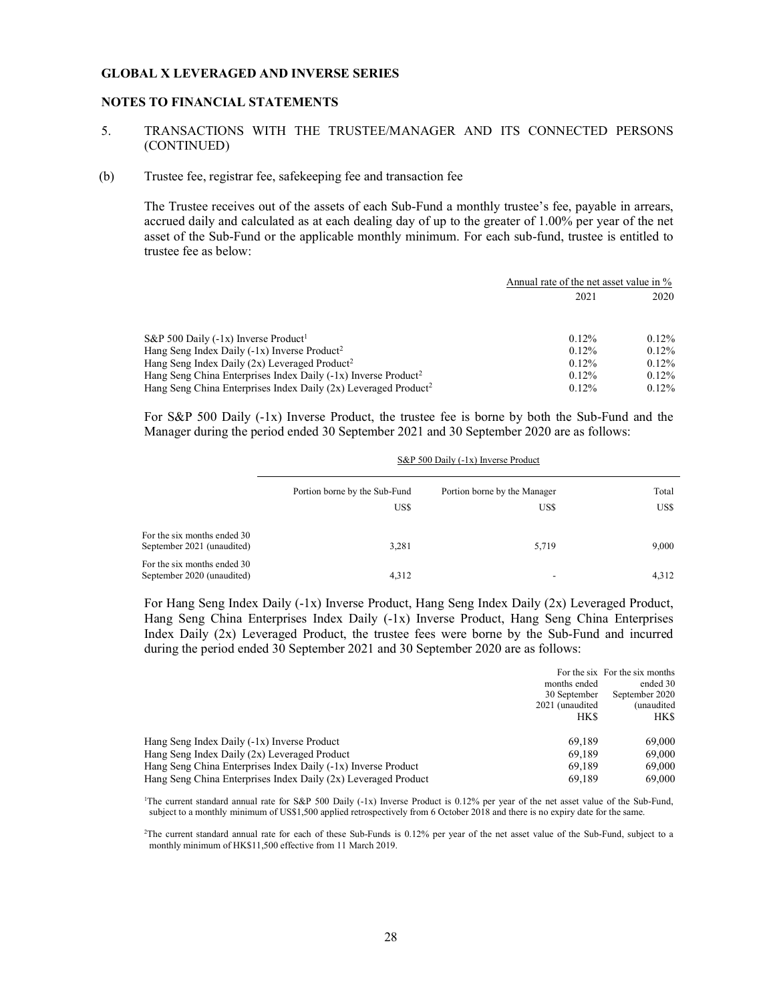#### NOTES TO FINANCIAL STATEMENTS

### 5. TRANSACTIONS WITH THE TRUSTEE/MANAGER AND ITS CONNECTED PERSONS (CONTINUED)

#### (b) Trustee fee, registrar fee, safekeeping fee and transaction fee

The Trustee receives out of the assets of each Sub-Fund a monthly trustee's fee, payable in arrears, accrued daily and calculated as at each dealing day of up to the greater of 1.00% per year of the net asset of the Sub-Fund or the applicable monthly minimum. For each sub-fund, trustee is entitled to trustee fee as below:

|                                                                               | Annual rate of the net asset value in % |          |  |
|-------------------------------------------------------------------------------|-----------------------------------------|----------|--|
|                                                                               | 2020<br>2021                            |          |  |
|                                                                               |                                         |          |  |
| S&P 500 Daily $(-1x)$ Inverse Product <sup>1</sup>                            | $0.12\%$                                | $0.12\%$ |  |
| Hang Seng Index Daily $(-1x)$ Inverse Product <sup>2</sup>                    | $0.12\%$                                | $0.12\%$ |  |
| Hang Seng Index Daily $(2x)$ Leveraged Product <sup>2</sup>                   | $0.12\%$                                | $0.12\%$ |  |
| Hang Seng China Enterprises Index Daily (-1x) Inverse Product <sup>2</sup>    | $0.12\%$                                | $0.12\%$ |  |
| Hang Seng China Enterprises Index Daily $(2x)$ Leveraged Product <sup>2</sup> | $0.12\%$                                | $0.12\%$ |  |

For S&P 500 Daily (-1x) Inverse Product, the trustee fee is borne by both the Sub-Fund and the Manager during the period ended 30 September 2021 and 30 September 2020 are as follows:

|                                                           | S&P 500 Daily (-1x) Inverse Product |                              |       |
|-----------------------------------------------------------|-------------------------------------|------------------------------|-------|
|                                                           | Portion borne by the Sub-Fund       | Portion borne by the Manager | Total |
|                                                           | US\$                                | US\$                         | US\$  |
| For the six months ended 30<br>September 2021 (unaudited) | 3,281                               | 5,719                        | 9,000 |
| For the six months ended 30<br>September 2020 (unaudited) | 4,312                               | $\overline{\phantom{a}}$     | 4,312 |

For Hang Seng Index Daily (-1x) Inverse Product, Hang Seng Index Daily (2x) Leveraged Product, Hang Seng China Enterprises Index Daily (-1x) Inverse Product, Hang Seng China Enterprises Index Daily (2x) Leveraged Product, the trustee fees were borne by the Sub-Fund and incurred during the period ended 30 September 2021 and 30 September 2020 are as follows:

|                                                                |                 | For the six For the six months |
|----------------------------------------------------------------|-----------------|--------------------------------|
|                                                                | months ended    | ended 30                       |
|                                                                | 30 September    | September 2020                 |
|                                                                | 2021 (unaudited | (unaudited                     |
|                                                                | <b>HKS</b>      | HKS.                           |
|                                                                |                 |                                |
| Hang Seng Index Daily (-1x) Inverse Product                    | 69.189          | 69,000                         |
| Hang Seng Index Daily (2x) Leveraged Product                   | 69.189          | 69,000                         |
| Hang Seng China Enterprises Index Daily (-1x) Inverse Product  | 69.189          | 69,000                         |
| Hang Seng China Enterprises Index Daily (2x) Leveraged Product | 69.189          | 69,000                         |

<sup>1</sup>The current standard annual rate for S&P 500 Daily (-1x) Inverse Product is 0.12% per year of the net asset value of the Sub-Fund, subject to a monthly minimum of US\$1,500 applied retrospectively from 6 October 2018 and there is no expiry date for the same.

<sup>2</sup>The current standard annual rate for each of these Sub-Funds is 0.12% per year of the net asset value of the Sub-Fund, subject to a monthly minimum of HK\$11,500 effective from 11 March 2019.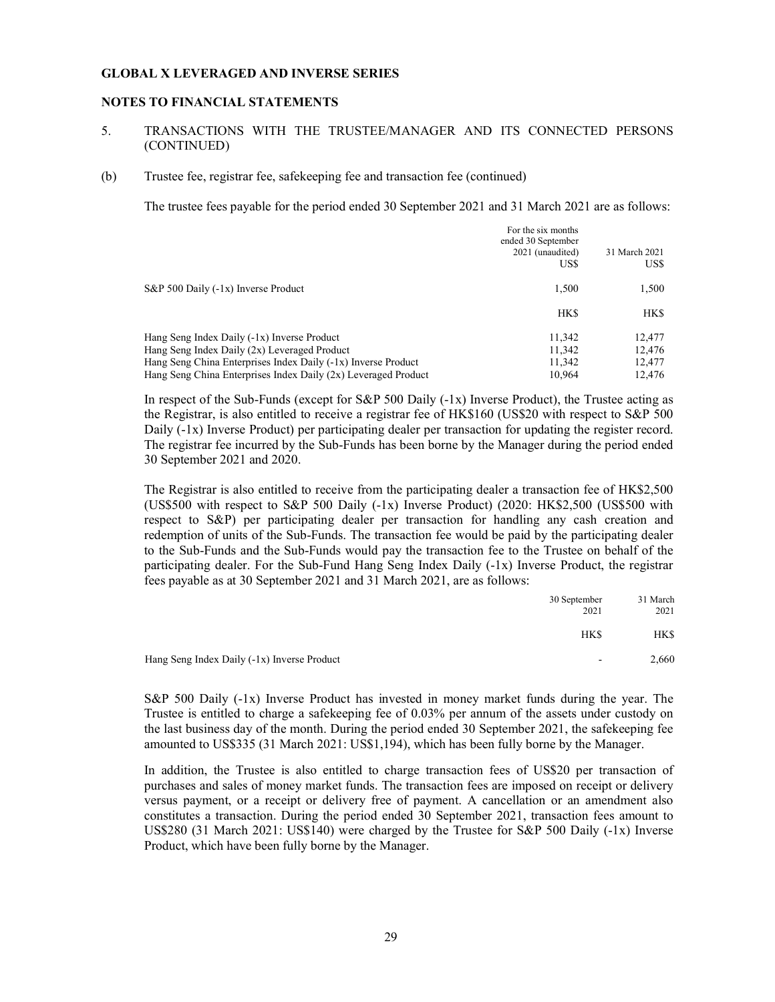#### NOTES TO FINANCIAL STATEMENTS

#### 5. TRANSACTIONS WITH THE TRUSTEE/MANAGER AND ITS CONNECTED PERSONS (CONTINUED)

#### (b) Trustee fee, registrar fee, safekeeping fee and transaction fee (continued)

The trustee fees payable for the period ended 30 September 2021 and 31 March 2021 are as follows:

|                                                                | For the six months<br>ended 30 September<br>2021 (unaudited)<br>US\$ | 31 March 2021<br>US\$ |
|----------------------------------------------------------------|----------------------------------------------------------------------|-----------------------|
| S&P 500 Daily (-1x) Inverse Product                            | 1.500                                                                | 1,500                 |
|                                                                | <b>HKS</b>                                                           | HK\$                  |
| Hang Seng Index Daily (-1x) Inverse Product                    | 11,342                                                               | 12,477                |
| Hang Seng Index Daily (2x) Leveraged Product                   | 11.342                                                               | 12.476                |
| Hang Seng China Enterprises Index Daily (-1x) Inverse Product  | 11.342                                                               | 12,477                |
| Hang Seng China Enterprises Index Daily (2x) Leveraged Product | 10.964                                                               | 12.476                |

In respect of the Sub-Funds (except for  $S\&P$  500 Daily (-1x) Inverse Product), the Trustee acting as the Registrar, is also entitled to receive a registrar fee of HK\$160 (US\$20 with respect to S&P 500 Daily (-1x) Inverse Product) per participating dealer per transaction for updating the register record. The registrar fee incurred by the Sub-Funds has been borne by the Manager during the period ended 30 September 2021 and 2020.

The Registrar is also entitled to receive from the participating dealer a transaction fee of HK\$2,500 (US\$500 with respect to S&P 500 Daily  $(-1x)$  Inverse Product) (2020: HK\$2,500 (US\$500 with respect to S&P) per participating dealer per transaction for handling any cash creation and redemption of units of the Sub-Funds. The transaction fee would be paid by the participating dealer to the Sub-Funds and the Sub-Funds would pay the transaction fee to the Trustee on behalf of the participating dealer. For the Sub-Fund Hang Seng Index Daily (-1x) Inverse Product, the registrar fees payable as at 30 September 2021 and 31 March 2021, are as follows:

|                                             | 30 September<br>2021 | 31 March<br>2021 |
|---------------------------------------------|----------------------|------------------|
|                                             | HK\$                 | <b>HKS</b>       |
| Hang Seng Index Daily (-1x) Inverse Product | $\sim$               | 2,660            |

S&P 500 Daily (-1x) Inverse Product has invested in money market funds during the year. The Trustee is entitled to charge a safekeeping fee of 0.03% per annum of the assets under custody on the last business day of the month. During the period ended 30 September 2021, the safekeeping fee amounted to US\$335 (31 March 2021: US\$1,194), which has been fully borne by the Manager.

In addition, the Trustee is also entitled to charge transaction fees of US\$20 per transaction of purchases and sales of money market funds. The transaction fees are imposed on receipt or delivery versus payment, or a receipt or delivery free of payment. A cancellation or an amendment also constitutes a transaction. During the period ended 30 September 2021, transaction fees amount to US\$280 (31 March 2021: US\$140) were charged by the Trustee for S&P 500 Daily (-1x) Inverse Product, which have been fully borne by the Manager.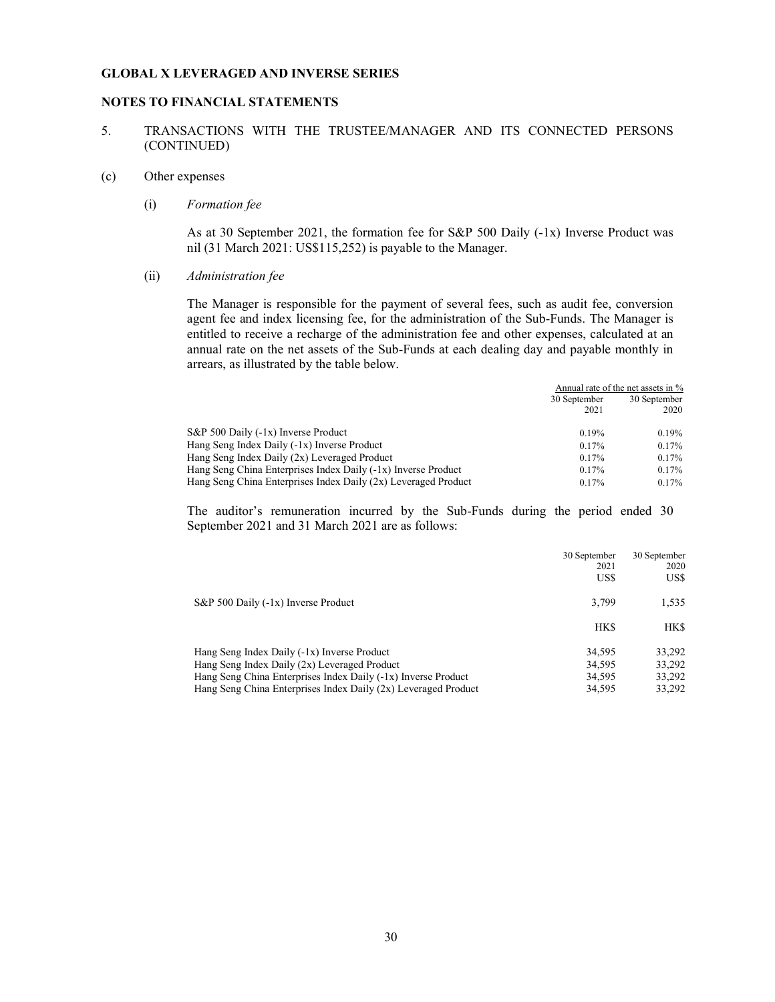#### NOTES TO FINANCIAL STATEMENTS

#### 5. TRANSACTIONS WITH THE TRUSTEE/MANAGER AND ITS CONNECTED PERSONS (CONTINUED)

## (c) Other expenses

#### (i) Formation fee

As at 30 September 2021, the formation fee for S&P 500 Daily (-1x) Inverse Product was nil (31 March 2021: US\$115,252) is payable to the Manager.

#### (ii) Administration fee

The Manager is responsible for the payment of several fees, such as audit fee, conversion agent fee and index licensing fee, for the administration of the Sub-Funds. The Manager is entitled to receive a recharge of the administration fee and other expenses, calculated at an annual rate on the net assets of the Sub-Funds at each dealing day and payable monthly in arrears, as illustrated by the table below.

|                                                                | Annual rate of the net assets in % |              |
|----------------------------------------------------------------|------------------------------------|--------------|
|                                                                | 30 September                       | 30 September |
|                                                                | 2021                               | 2020         |
| S&P 500 Daily (-1x) Inverse Product                            | 0.19%                              | $0.19\%$     |
| Hang Seng Index Daily (-1x) Inverse Product                    | 0.17%                              | $0.17\%$     |
| Hang Seng Index Daily (2x) Leveraged Product                   | 0.17%                              | $0.17\%$     |
| Hang Seng China Enterprises Index Daily (-1x) Inverse Product  | 0.17%                              | $0.17\%$     |
| Hang Seng China Enterprises Index Daily (2x) Leveraged Product | $0.17\%$                           | $0.17\%$     |

The auditor's remuneration incurred by the Sub-Funds during the period ended 30 September 2021 and 31 March 2021 are as follows:

|                                                                | 30 September<br>2021 | 30 September<br>2020 |
|----------------------------------------------------------------|----------------------|----------------------|
|                                                                | US\$                 | US\$                 |
| S&P 500 Daily (-1x) Inverse Product                            | 3.799                | 1,535                |
|                                                                | HK\$                 | HK\$                 |
| Hang Seng Index Daily (-1x) Inverse Product                    | 34,595               | 33.292               |
| Hang Seng Index Daily (2x) Leveraged Product                   | 34.595               | 33,292               |
| Hang Seng China Enterprises Index Daily (-1x) Inverse Product  | 34.595               | 33,292               |
| Hang Seng China Enterprises Index Daily (2x) Leveraged Product | 34.595               | 33.292               |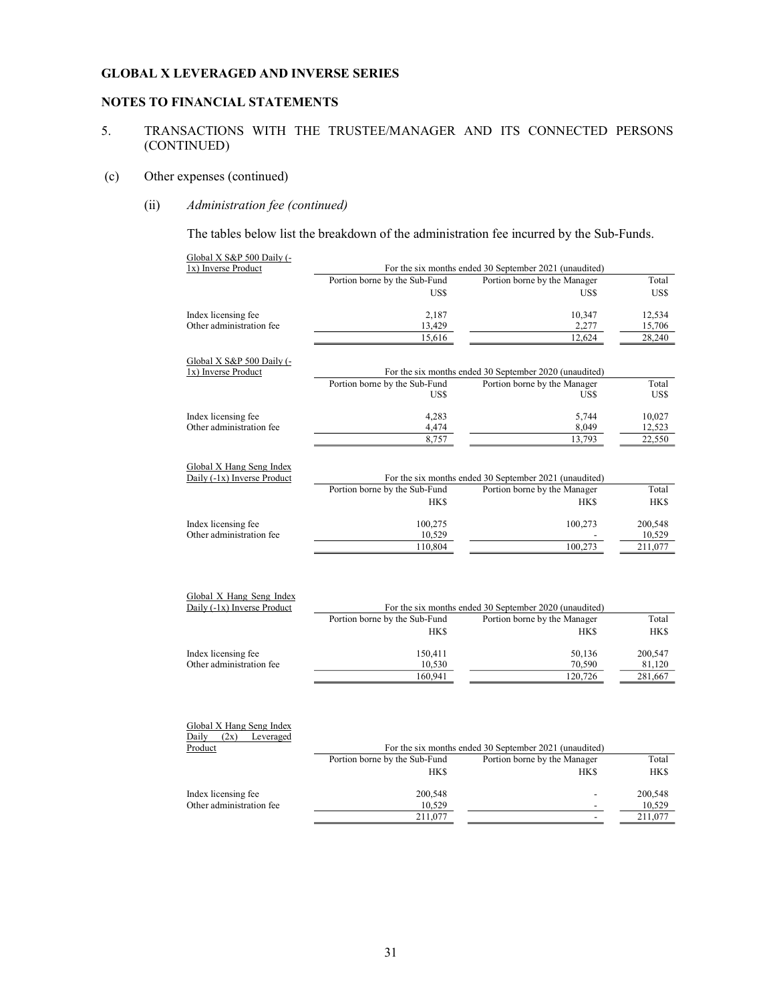## NOTES TO FINANCIAL STATEMENTS

## 5. TRANSACTIONS WITH THE TRUSTEE/MANAGER AND ITS CONNECTED PERSONS (CONTINUED)

## (c) Other expenses (continued)

## (ii) Administration fee (continued)

The tables below list the breakdown of the administration fee incurred by the Sub-Funds.

| Global X S&P 500 Daily (-<br>1x) Inverse Product        |                                                        | For the six months ended 30 September 2021 (unaudited) |                  |
|---------------------------------------------------------|--------------------------------------------------------|--------------------------------------------------------|------------------|
|                                                         | Portion borne by the Sub-Fund                          | Portion borne by the Manager                           | Total            |
|                                                         | US\$                                                   | US\$                                                   | US\$             |
| Index licensing fee                                     | 2,187                                                  | 10,347                                                 | 12,534           |
| Other administration fee                                | 13,429                                                 | 2,277                                                  | 15,706           |
|                                                         | 15,616                                                 | 12,624                                                 | 28,240           |
| Global X S&P 500 Daily (-<br>1x) Inverse Product        |                                                        | For the six months ended 30 September 2020 (unaudited) |                  |
|                                                         | Portion borne by the Sub-Fund<br>US\$                  | Portion borne by the Manager<br>US\$                   | Total<br>US\$    |
|                                                         |                                                        |                                                        |                  |
| Index licensing fee<br>Other administration fee         | 4,283<br>4,474                                         | 5,744<br>8,049                                         | 10,027<br>12,523 |
|                                                         | 8,757                                                  | 13,793                                                 | 22,550           |
|                                                         |                                                        |                                                        |                  |
| Global X Hang Seng Index<br>Daily (-1x) Inverse Product |                                                        | For the six months ended 30 September 2021 (unaudited) |                  |
|                                                         | Portion borne by the Sub-Fund                          | Portion borne by the Manager                           | Total            |
|                                                         | <b>HKS</b>                                             | <b>HKS</b>                                             | <b>HK\$</b>      |
| Index licensing fee                                     | 100,275                                                | 100,273                                                | 200,548          |
| Other administration fee                                | 10,529                                                 |                                                        | 10,529           |
|                                                         | 110,804                                                | 100,273                                                | 211,077          |
|                                                         |                                                        |                                                        |                  |
| Global X Hang Seng Index<br>Daily (-1x) Inverse Product | For the six months ended 30 September 2020 (unaudited) |                                                        |                  |
|                                                         | Portion borne by the Sub-Fund                          | Portion borne by the Manager                           | Total            |
|                                                         | <b>HK\$</b>                                            | <b>HKS</b>                                             | <b>HK\$</b>      |
| Index licensing fee                                     | 150,411                                                | 50,136                                                 | 200,547          |
| Other administration fee                                | 10,530                                                 | 70,590                                                 | 81,120           |
|                                                         | 160,941                                                | 120,726                                                | 281,667          |
| Global X Hang Seng Index<br>Daily $(2x)$ Leveraged      |                                                        |                                                        |                  |
| Product                                                 |                                                        | For the six months ended 30 September 2021 (unaudited) |                  |
|                                                         | Portion borne by the Sub-Fund                          | Portion borne by the Manager                           | Total            |
|                                                         | <b>HK\$</b>                                            | <b>HKS</b>                                             | <b>HK\$</b>      |
| Index licensing fee                                     | 200,548                                                |                                                        | 200,548          |
| Other administration fee                                | 10,529                                                 |                                                        | 10,529           |
|                                                         | 211,077                                                | $\overline{a}$                                         | 211,077          |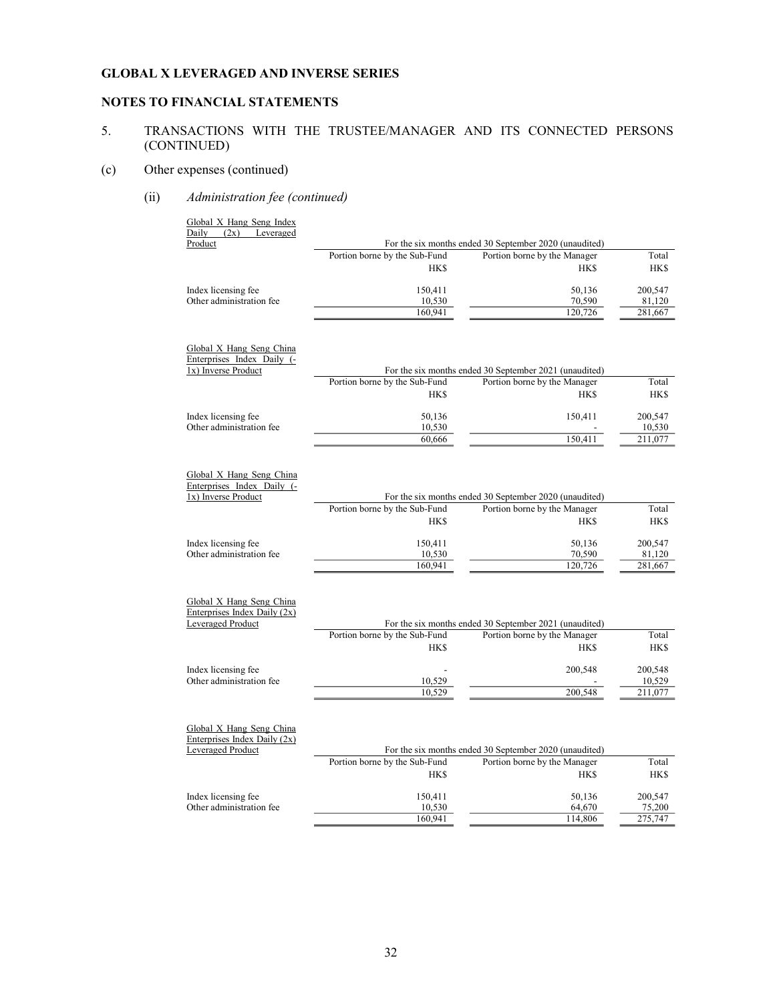## NOTES TO FINANCIAL STATEMENTS

## 5. TRANSACTIONS WITH THE TRUSTEE/MANAGER AND ITS CONNECTED PERSONS (CONTINUED)

## (c) Other expenses (continued)

(ii) Administration fee (continued)

| Global X Hang Seng Index<br>Daily (2x) Leveraged                              |                                              |                                                                                                      |                      |
|-------------------------------------------------------------------------------|----------------------------------------------|------------------------------------------------------------------------------------------------------|----------------------|
| Product                                                                       |                                              | For the six months ended 30 September 2020 (unaudited)                                               |                      |
|                                                                               | Portion borne by the Sub-Fund                | Portion borne by the Manager                                                                         | Total                |
|                                                                               | <b>HK\$</b>                                  | <b>HK\$</b>                                                                                          | <b>HK\$</b>          |
| Index licensing fee                                                           | 150,411                                      | 50,136                                                                                               | 200,547              |
| Other administration fee                                                      | 10,530                                       | 70,590                                                                                               | 81,120               |
|                                                                               | 160,941                                      | 120,726                                                                                              | 281,667              |
| Global X Hang Seng China<br>Enterprises Index Daily (-<br>1x) Inverse Product | Portion borne by the Sub-Fund                | For the six months ended 30 September 2021 (unaudited)<br>Portion borne by the Manager               | Total                |
|                                                                               |                                              | <b>HKS</b>                                                                                           |                      |
|                                                                               | <b>HK\$</b>                                  |                                                                                                      | HK\$                 |
| Index licensing fee                                                           | 50,136                                       | 150,411                                                                                              | 200,547              |
| Other administration fee                                                      | 10,530                                       |                                                                                                      | 10,530               |
|                                                                               | 60,666                                       | 150,411                                                                                              | 211,077              |
| Global X Hang Seng China<br>Enterprises Index Daily (-<br>1x) Inverse Product |                                              | For the six months ended 30 September 2020 (unaudited)                                               |                      |
|                                                                               | Portion borne by the Sub-Fund                | Portion borne by the Manager                                                                         | Total                |
|                                                                               | <b>HKS</b>                                   | <b>HKS</b>                                                                                           | HK\$                 |
| Index licensing fee                                                           | 150,411                                      | 50,136                                                                                               | 200,547              |
| Other administration fee                                                      | 10,530                                       | 70,590                                                                                               | 81,120               |
|                                                                               | 160,941                                      | 120,726                                                                                              | 281,667              |
| Global X Hang Seng China<br>Enterprises Index Daily (2x)<br>Leveraged Product | Portion borne by the Sub-Fund<br><b>HK\$</b> | For the six months ended 30 September 2021 (unaudited)<br>Portion borne by the Manager<br><b>HKS</b> | Total<br>HK\$        |
|                                                                               |                                              |                                                                                                      |                      |
| Index licensing fee<br>Other administration fee                               |                                              | 200,548                                                                                              | 200,548              |
|                                                                               | 10,529<br>10,529                             | 200,548                                                                                              | 10,529<br>211,077    |
| Global X Hang Seng China<br>Enterprises Index Daily (2x)<br>Leveraged Product | Portion borne by the Sub-Fund<br><b>HK\$</b> | For the six months ended 30 September 2020 (unaudited)<br>Portion borne by the Manager<br><b>HKS</b> | Total<br><b>HK\$</b> |
|                                                                               |                                              |                                                                                                      |                      |
| Index licensing fee                                                           | 150,411                                      | 50,136                                                                                               | 200,547              |
| Other administration fee                                                      | 10,530                                       | 64,670                                                                                               | 75,200               |
|                                                                               | 160,941                                      | 114,806                                                                                              | 275,747              |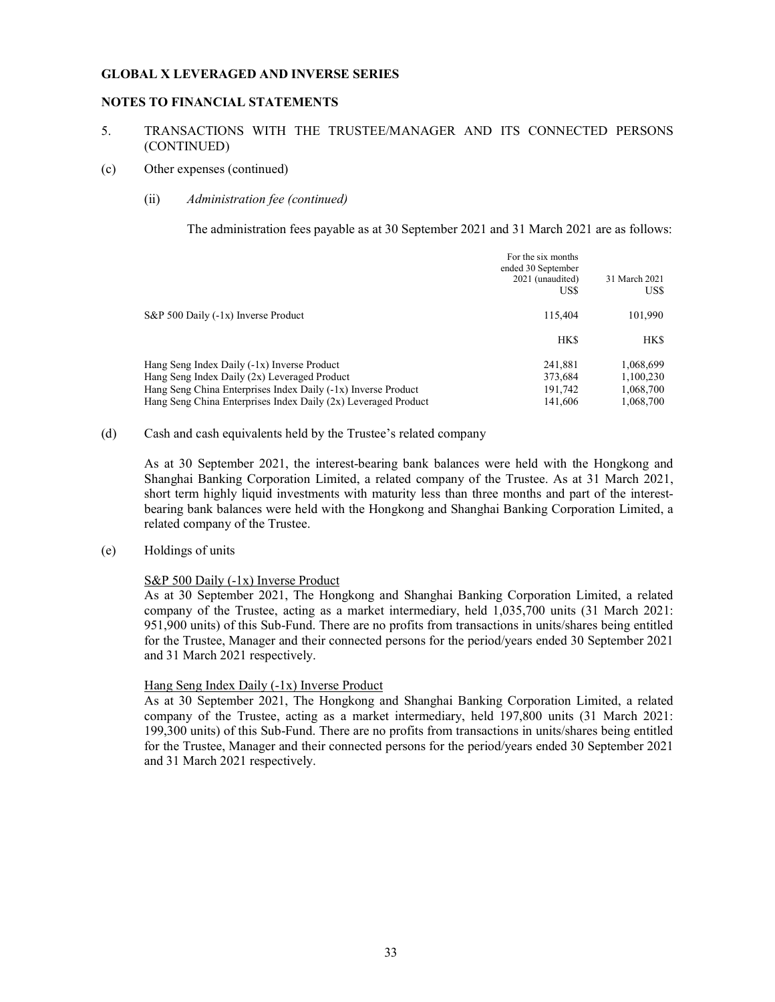#### NOTES TO FINANCIAL STATEMENTS

### 5. TRANSACTIONS WITH THE TRUSTEE/MANAGER AND ITS CONNECTED PERSONS (CONTINUED)

#### (c) Other expenses (continued)

#### (ii) Administration fee (continued)

The administration fees payable as at 30 September 2021 and 31 March 2021 are as follows:

|                                                                | For the six months<br>ended 30 September<br>2021 (unaudited)<br>US\$ | 31 March 2021<br>US\$ |
|----------------------------------------------------------------|----------------------------------------------------------------------|-----------------------|
| S&P 500 Daily (-1x) Inverse Product                            | 115,404                                                              | 101,990               |
|                                                                | <b>HKS</b>                                                           | HK\$                  |
| Hang Seng Index Daily (-1x) Inverse Product                    | 241.881                                                              | 1,068,699             |
| Hang Seng Index Daily (2x) Leveraged Product                   | 373,684                                                              | 1,100,230             |
| Hang Seng China Enterprises Index Daily (-1x) Inverse Product  | 191.742                                                              | 1,068,700             |
| Hang Seng China Enterprises Index Daily (2x) Leveraged Product | 141,606                                                              | 1.068.700             |
|                                                                |                                                                      |                       |

#### (d) Cash and cash equivalents held by the Trustee's related company

 As at 30 September 2021, the interest-bearing bank balances were held with the Hongkong and Shanghai Banking Corporation Limited, a related company of the Trustee. As at 31 March 2021, short term highly liquid investments with maturity less than three months and part of the interestbearing bank balances were held with the Hongkong and Shanghai Banking Corporation Limited, a related company of the Trustee.

### (e) Holdings of units

#### S&P 500 Daily (-1x) Inverse Product

As at 30 September 2021, The Hongkong and Shanghai Banking Corporation Limited, a related company of the Trustee, acting as a market intermediary, held 1,035,700 units (31 March 2021: 951,900 units) of this Sub-Fund. There are no profits from transactions in units/shares being entitled for the Trustee, Manager and their connected persons for the period/years ended 30 September 2021 and 31 March 2021 respectively.

#### Hang Seng Index Daily (-1x) Inverse Product

As at 30 September 2021, The Hongkong and Shanghai Banking Corporation Limited, a related company of the Trustee, acting as a market intermediary, held 197,800 units (31 March 2021: 199,300 units) of this Sub-Fund. There are no profits from transactions in units/shares being entitled for the Trustee, Manager and their connected persons for the period/years ended 30 September 2021 and 31 March 2021 respectively.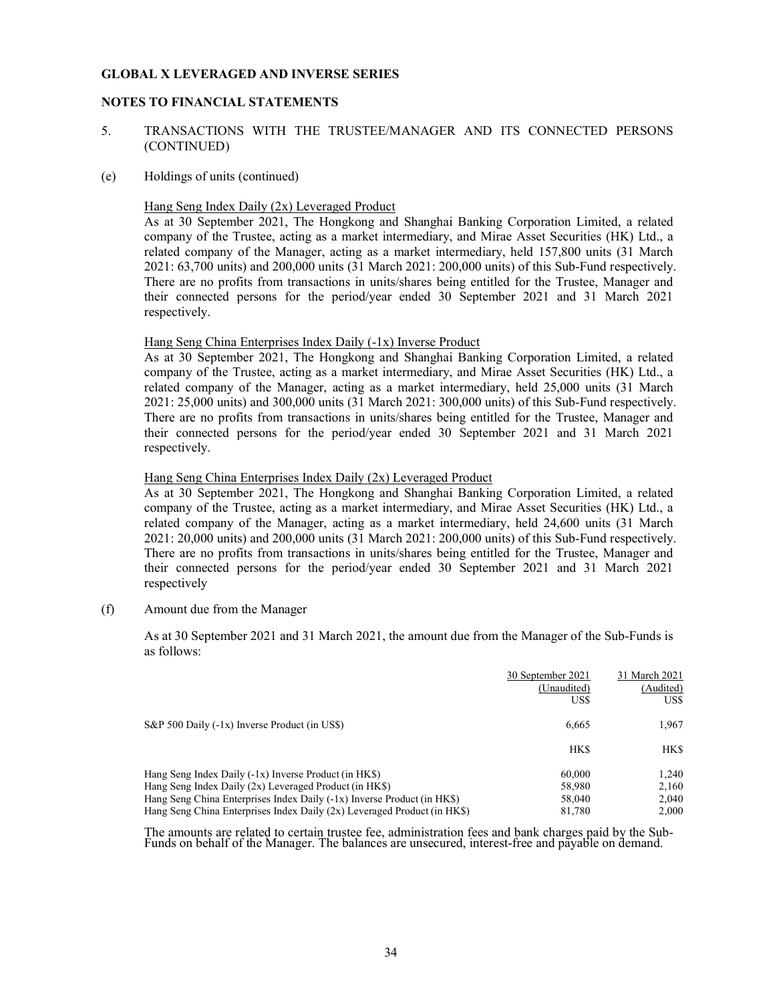### NOTES TO FINANCIAL STATEMENTS

- 5. TRANSACTIONS WITH THE TRUSTEE/MANAGER AND ITS CONNECTED PERSONS (CONTINUED)
- (e) Holdings of units (continued)

## Hang Seng Index Daily (2x) Leveraged Product

As at 30 September 2021, The Hongkong and Shanghai Banking Corporation Limited, a related company of the Trustee, acting as a market intermediary, and Mirae Asset Securities (HK) Ltd., a related company of the Manager, acting as a market intermediary, held 157,800 units (31 March 2021: 63,700 units) and 200,000 units (31 March 2021: 200,000 units) of this Sub-Fund respectively. There are no profits from transactions in units/shares being entitled for the Trustee, Manager and their connected persons for the period/year ended 30 September 2021 and 31 March 2021 respectively.

### Hang Seng China Enterprises Index Daily (-1x) Inverse Product

As at 30 September 2021, The Hongkong and Shanghai Banking Corporation Limited, a related company of the Trustee, acting as a market intermediary, and Mirae Asset Securities (HK) Ltd., a related company of the Manager, acting as a market intermediary, held 25,000 units (31 March 2021: 25,000 units) and 300,000 units (31 March 2021: 300,000 units) of this Sub-Fund respectively. There are no profits from transactions in units/shares being entitled for the Trustee, Manager and their connected persons for the period/year ended 30 September 2021 and 31 March 2021 respectively.

Hang Seng China Enterprises Index Daily (2x) Leveraged Product

As at 30 September 2021, The Hongkong and Shanghai Banking Corporation Limited, a related company of the Trustee, acting as a market intermediary, and Mirae Asset Securities (HK) Ltd., a related company of the Manager, acting as a market intermediary, held 24,600 units (31 March 2021: 20,000 units) and 200,000 units (31 March 2021: 200,000 units) of this Sub-Fund respectively. There are no profits from transactions in units/shares being entitled for the Trustee, Manager and their connected persons for the period/year ended 30 September 2021 and 31 March 2021 respectively

(f) Amount due from the Manager

As at 30 September 2021 and 31 March 2021, the amount due from the Manager of the Sub-Funds is as follows:

|                                                                           | 30 September 2021<br>(Unaudited)<br>US\$ | 31 March 2021<br>(Audited)<br>US\$ |
|---------------------------------------------------------------------------|------------------------------------------|------------------------------------|
| $S\&P 500$ Daily (-1x) Inverse Product (in US\$)                          | 6,665                                    | 1,967                              |
|                                                                           | <b>HK\$</b>                              | HK\$                               |
| Hang Seng Index Daily $(-1x)$ Inverse Product (in HK\$)                   | 60,000                                   | 1.240                              |
| Hang Seng Index Daily $(2x)$ Leveraged Product (in HK\$)                  | 58,980                                   | 2.160                              |
| Hang Seng China Enterprises Index Daily (-1x) Inverse Product (in HK\$)   | 58,040                                   | 2.040                              |
| Hang Seng China Enterprises Index Daily $(2x)$ Leveraged Product (in HKS) | 81,780                                   | 2.000                              |

 $\overline{a}$ The amounts are related to certain trustee fee, administration fees and bank charges paid by the Sub-Funds on behalf of the Manager. The balances are unsecured, interest-free and payable on demand.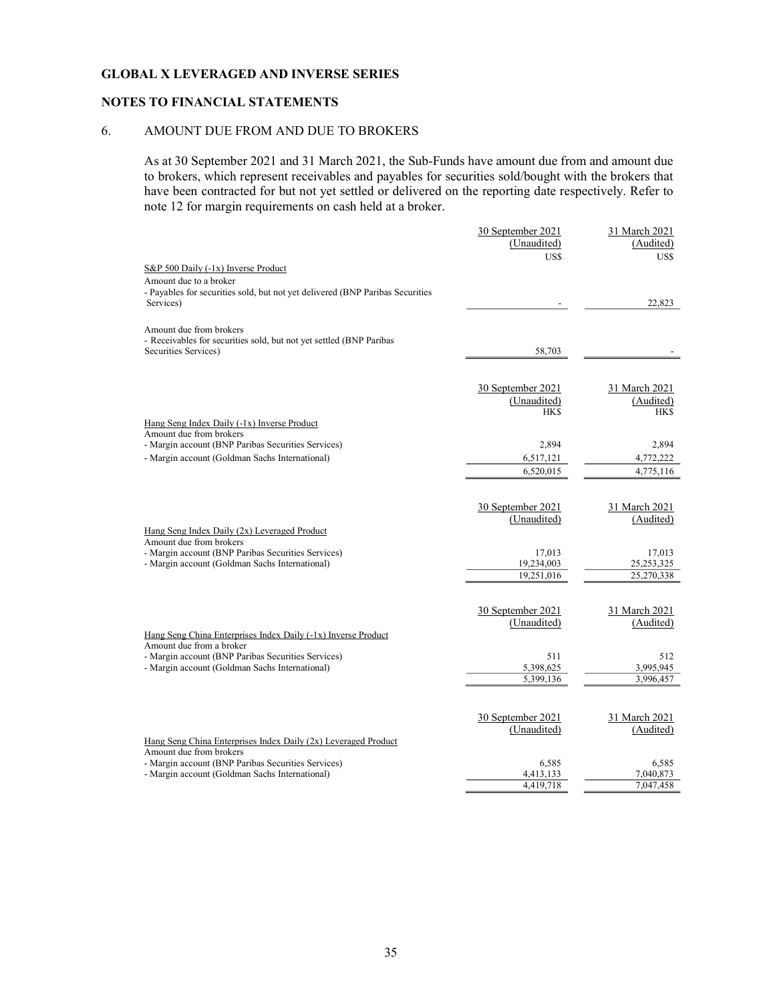### NOTES TO FINANCIAL STATEMENTS

### 6. AMOUNT DUE FROM AND DUE TO BROKERS

As at 30 September 2021 and 31 March 2021, the Sub-Funds have amount due from and amount due to brokers, which represent receivables and payables for securities sold/bought with the brokers that have been contracted for but not yet settled or delivered on the reporting date respectively. Refer to note 12 for margin requirements on cash held at a broker.

| (Unaudited)<br>(Audited)<br>US\$<br>US\$<br>S&P 500 Daily (-1x) Inverse Product<br>Amount due to a broker<br>- Payables for securities sold, but not yet delivered (BNP Paribas Securities<br>Services)<br>22,823<br>Amount due from brokers<br>- Receivables for securities sold, but not yet settled (BNP Paribas<br>Securities Services)<br>58,703<br>30 September 2021<br>31 March 2021<br>(Unaudited)<br>(Audited)<br><b>HK\$</b><br><b>HKS</b><br>Hang Seng Index Daily (-1x) Inverse Product<br>Amount due from brokers<br>- Margin account (BNP Paribas Securities Services)<br>2,894<br>2,894<br>- Margin account (Goldman Sachs International)<br>4,772,222<br>6,517,121<br>6,520,015<br>4,775,116<br>30 September 2021<br>31 March 2021<br>(Unaudited)<br>(Audited)<br>Hang Seng Index Daily (2x) Leveraged Product<br>Amount due from brokers<br>- Margin account (BNP Paribas Securities Services)<br>17,013<br>17,013<br>19,234,003<br>- Margin account (Goldman Sachs International)<br>25, 253, 325 |
|---------------------------------------------------------------------------------------------------------------------------------------------------------------------------------------------------------------------------------------------------------------------------------------------------------------------------------------------------------------------------------------------------------------------------------------------------------------------------------------------------------------------------------------------------------------------------------------------------------------------------------------------------------------------------------------------------------------------------------------------------------------------------------------------------------------------------------------------------------------------------------------------------------------------------------------------------------------------------------------------------------------------|
|                                                                                                                                                                                                                                                                                                                                                                                                                                                                                                                                                                                                                                                                                                                                                                                                                                                                                                                                                                                                                     |
|                                                                                                                                                                                                                                                                                                                                                                                                                                                                                                                                                                                                                                                                                                                                                                                                                                                                                                                                                                                                                     |
|                                                                                                                                                                                                                                                                                                                                                                                                                                                                                                                                                                                                                                                                                                                                                                                                                                                                                                                                                                                                                     |
|                                                                                                                                                                                                                                                                                                                                                                                                                                                                                                                                                                                                                                                                                                                                                                                                                                                                                                                                                                                                                     |
|                                                                                                                                                                                                                                                                                                                                                                                                                                                                                                                                                                                                                                                                                                                                                                                                                                                                                                                                                                                                                     |
|                                                                                                                                                                                                                                                                                                                                                                                                                                                                                                                                                                                                                                                                                                                                                                                                                                                                                                                                                                                                                     |
|                                                                                                                                                                                                                                                                                                                                                                                                                                                                                                                                                                                                                                                                                                                                                                                                                                                                                                                                                                                                                     |
|                                                                                                                                                                                                                                                                                                                                                                                                                                                                                                                                                                                                                                                                                                                                                                                                                                                                                                                                                                                                                     |
|                                                                                                                                                                                                                                                                                                                                                                                                                                                                                                                                                                                                                                                                                                                                                                                                                                                                                                                                                                                                                     |
|                                                                                                                                                                                                                                                                                                                                                                                                                                                                                                                                                                                                                                                                                                                                                                                                                                                                                                                                                                                                                     |
|                                                                                                                                                                                                                                                                                                                                                                                                                                                                                                                                                                                                                                                                                                                                                                                                                                                                                                                                                                                                                     |
|                                                                                                                                                                                                                                                                                                                                                                                                                                                                                                                                                                                                                                                                                                                                                                                                                                                                                                                                                                                                                     |
|                                                                                                                                                                                                                                                                                                                                                                                                                                                                                                                                                                                                                                                                                                                                                                                                                                                                                                                                                                                                                     |
|                                                                                                                                                                                                                                                                                                                                                                                                                                                                                                                                                                                                                                                                                                                                                                                                                                                                                                                                                                                                                     |
|                                                                                                                                                                                                                                                                                                                                                                                                                                                                                                                                                                                                                                                                                                                                                                                                                                                                                                                                                                                                                     |
|                                                                                                                                                                                                                                                                                                                                                                                                                                                                                                                                                                                                                                                                                                                                                                                                                                                                                                                                                                                                                     |
|                                                                                                                                                                                                                                                                                                                                                                                                                                                                                                                                                                                                                                                                                                                                                                                                                                                                                                                                                                                                                     |
|                                                                                                                                                                                                                                                                                                                                                                                                                                                                                                                                                                                                                                                                                                                                                                                                                                                                                                                                                                                                                     |
|                                                                                                                                                                                                                                                                                                                                                                                                                                                                                                                                                                                                                                                                                                                                                                                                                                                                                                                                                                                                                     |
|                                                                                                                                                                                                                                                                                                                                                                                                                                                                                                                                                                                                                                                                                                                                                                                                                                                                                                                                                                                                                     |
|                                                                                                                                                                                                                                                                                                                                                                                                                                                                                                                                                                                                                                                                                                                                                                                                                                                                                                                                                                                                                     |
|                                                                                                                                                                                                                                                                                                                                                                                                                                                                                                                                                                                                                                                                                                                                                                                                                                                                                                                                                                                                                     |
|                                                                                                                                                                                                                                                                                                                                                                                                                                                                                                                                                                                                                                                                                                                                                                                                                                                                                                                                                                                                                     |
|                                                                                                                                                                                                                                                                                                                                                                                                                                                                                                                                                                                                                                                                                                                                                                                                                                                                                                                                                                                                                     |
|                                                                                                                                                                                                                                                                                                                                                                                                                                                                                                                                                                                                                                                                                                                                                                                                                                                                                                                                                                                                                     |
|                                                                                                                                                                                                                                                                                                                                                                                                                                                                                                                                                                                                                                                                                                                                                                                                                                                                                                                                                                                                                     |
| 19,251,016<br>25,270,338                                                                                                                                                                                                                                                                                                                                                                                                                                                                                                                                                                                                                                                                                                                                                                                                                                                                                                                                                                                            |
|                                                                                                                                                                                                                                                                                                                                                                                                                                                                                                                                                                                                                                                                                                                                                                                                                                                                                                                                                                                                                     |
| 30 September 2021<br>31 March 2021                                                                                                                                                                                                                                                                                                                                                                                                                                                                                                                                                                                                                                                                                                                                                                                                                                                                                                                                                                                  |
| (Unaudited)<br>(Audited)                                                                                                                                                                                                                                                                                                                                                                                                                                                                                                                                                                                                                                                                                                                                                                                                                                                                                                                                                                                            |
| Hang Seng China Enterprises Index Daily (-1x) Inverse Product                                                                                                                                                                                                                                                                                                                                                                                                                                                                                                                                                                                                                                                                                                                                                                                                                                                                                                                                                       |
| Amount due from a broker                                                                                                                                                                                                                                                                                                                                                                                                                                                                                                                                                                                                                                                                                                                                                                                                                                                                                                                                                                                            |
| - Margin account (BNP Paribas Securities Services)<br>511<br>512                                                                                                                                                                                                                                                                                                                                                                                                                                                                                                                                                                                                                                                                                                                                                                                                                                                                                                                                                    |
| - Margin account (Goldman Sachs International)<br>5,398,625<br>3,995,945<br>5,399,136<br>3,996,457                                                                                                                                                                                                                                                                                                                                                                                                                                                                                                                                                                                                                                                                                                                                                                                                                                                                                                                  |
|                                                                                                                                                                                                                                                                                                                                                                                                                                                                                                                                                                                                                                                                                                                                                                                                                                                                                                                                                                                                                     |
|                                                                                                                                                                                                                                                                                                                                                                                                                                                                                                                                                                                                                                                                                                                                                                                                                                                                                                                                                                                                                     |
| 30 September 2021<br>31 March 2021                                                                                                                                                                                                                                                                                                                                                                                                                                                                                                                                                                                                                                                                                                                                                                                                                                                                                                                                                                                  |
| (Unaudited)<br>(Audited)                                                                                                                                                                                                                                                                                                                                                                                                                                                                                                                                                                                                                                                                                                                                                                                                                                                                                                                                                                                            |
| Hang Seng China Enterprises Index Daily (2x) Leveraged Product                                                                                                                                                                                                                                                                                                                                                                                                                                                                                                                                                                                                                                                                                                                                                                                                                                                                                                                                                      |
| Amount due from brokers                                                                                                                                                                                                                                                                                                                                                                                                                                                                                                                                                                                                                                                                                                                                                                                                                                                                                                                                                                                             |
| - Margin account (BNP Paribas Securities Services)<br>6,585<br>6,585<br>- Margin account (Goldman Sachs International)<br>4,413,133<br>7,040,873                                                                                                                                                                                                                                                                                                                                                                                                                                                                                                                                                                                                                                                                                                                                                                                                                                                                    |
| 4,419,718<br>7,047,458                                                                                                                                                                                                                                                                                                                                                                                                                                                                                                                                                                                                                                                                                                                                                                                                                                                                                                                                                                                              |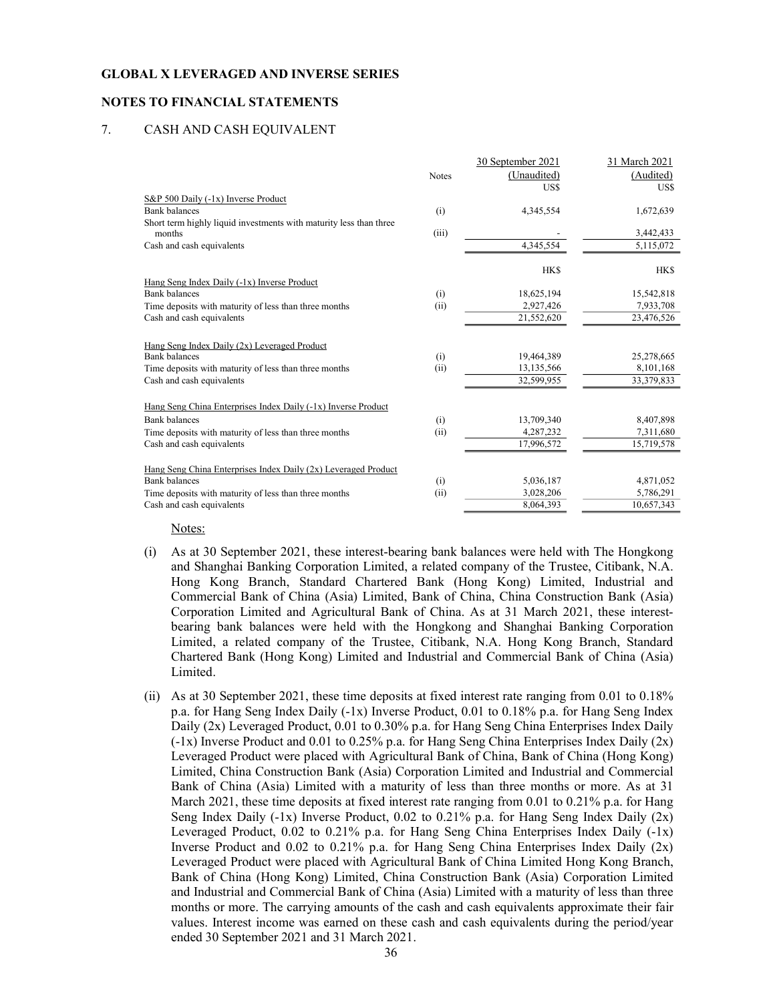## NOTES TO FINANCIAL STATEMENTS

#### 7. CASH AND CASH EQUIVALENT

|                                                                     |              | 30 September 2021 | 31 March 2021 |
|---------------------------------------------------------------------|--------------|-------------------|---------------|
|                                                                     | <b>Notes</b> | (Unaudited)       | (Audited)     |
|                                                                     |              | US\$              | US\$          |
| S&P 500 Daily (-1x) Inverse Product                                 |              |                   |               |
| <b>Bank</b> balances                                                | (i)          | 4,345,554         | 1,672,639     |
| Short term highly liquid investments with maturity less than three  |              |                   |               |
| months                                                              | (iii)        |                   | 3,442,433     |
| Cash and cash equivalents                                           |              | 4,345,554         | 5,115,072     |
|                                                                     |              |                   |               |
|                                                                     |              | <b>HKS</b>        | <b>HKS</b>    |
| Hang Seng Index Daily (-1x) Inverse Product<br><b>Bank</b> balances | (i)          | 18,625,194        | 15,542,818    |
| Time deposits with maturity of less than three months               | (ii)         | 2,927,426         | 7,933,708     |
| Cash and cash equivalents                                           |              | 21,552,620        | 23,476,526    |
|                                                                     |              |                   |               |
| Hang Seng Index Daily (2x) Leveraged Product                        |              |                   |               |
| <b>Bank balances</b>                                                | (i)          | 19,464,389        | 25,278,665    |
| Time deposits with maturity of less than three months               | (ii)         | 13,135,566        | 8,101,168     |
| Cash and cash equivalents                                           |              | 32,599,955        | 33,379,833    |
|                                                                     |              |                   |               |
| Hang Seng China Enterprises Index Daily (-1x) Inverse Product       |              |                   |               |
| <b>Bank</b> balances                                                | (i)          | 13,709,340        | 8,407,898     |
| Time deposits with maturity of less than three months               | (ii)         | 4,287,232         | 7,311,680     |
| Cash and cash equivalents                                           |              | 17,996,572        | 15,719,578    |
|                                                                     |              |                   |               |
| Hang Seng China Enterprises Index Daily (2x) Leveraged Product      |              |                   |               |
| <b>Bank</b> balances                                                | (i)          | 5,036,187         | 4,871,052     |
| Time deposits with maturity of less than three months               | (ii)         | 3,028,206         | 5,786,291     |
| Cash and cash equivalents                                           |              | 8,064,393         | 10,657,343    |

Notes:

- (i) As at 30 September 2021, these interest-bearing bank balances were held with The Hongkong and Shanghai Banking Corporation Limited, a related company of the Trustee, Citibank, N.A. Hong Kong Branch, Standard Chartered Bank (Hong Kong) Limited, Industrial and Commercial Bank of China (Asia) Limited, Bank of China, China Construction Bank (Asia) Corporation Limited and Agricultural Bank of China. As at 31 March 2021, these interestbearing bank balances were held with the Hongkong and Shanghai Banking Corporation Limited, a related company of the Trustee, Citibank, N.A. Hong Kong Branch, Standard Chartered Bank (Hong Kong) Limited and Industrial and Commercial Bank of China (Asia) Limited.
- (ii) As at 30 September 2021, these time deposits at fixed interest rate ranging from 0.01 to 0.18% p.a. for Hang Seng Index Daily (-1x) Inverse Product, 0.01 to 0.18% p.a. for Hang Seng Index Daily (2x) Leveraged Product, 0.01 to 0.30% p.a. for Hang Seng China Enterprises Index Daily (-1x) Inverse Product and 0.01 to 0.25% p.a. for Hang Seng China Enterprises Index Daily (2x) Leveraged Product were placed with Agricultural Bank of China, Bank of China (Hong Kong) Limited, China Construction Bank (Asia) Corporation Limited and Industrial and Commercial Bank of China (Asia) Limited with a maturity of less than three months or more. As at 31 March 2021, these time deposits at fixed interest rate ranging from 0.01 to 0.21% p.a. for Hang Seng Index Daily (-1x) Inverse Product, 0.02 to 0.21% p.a. for Hang Seng Index Daily (2x) Leveraged Product, 0.02 to 0.21% p.a. for Hang Seng China Enterprises Index Daily (-1x) Inverse Product and 0.02 to 0.21% p.a. for Hang Seng China Enterprises Index Daily (2x) Leveraged Product were placed with Agricultural Bank of China Limited Hong Kong Branch, Bank of China (Hong Kong) Limited, China Construction Bank (Asia) Corporation Limited and Industrial and Commercial Bank of China (Asia) Limited with a maturity of less than three months or more. The carrying amounts of the cash and cash equivalents approximate their fair values. Interest income was earned on these cash and cash equivalents during the period/year ended 30 September 2021 and 31 March 2021.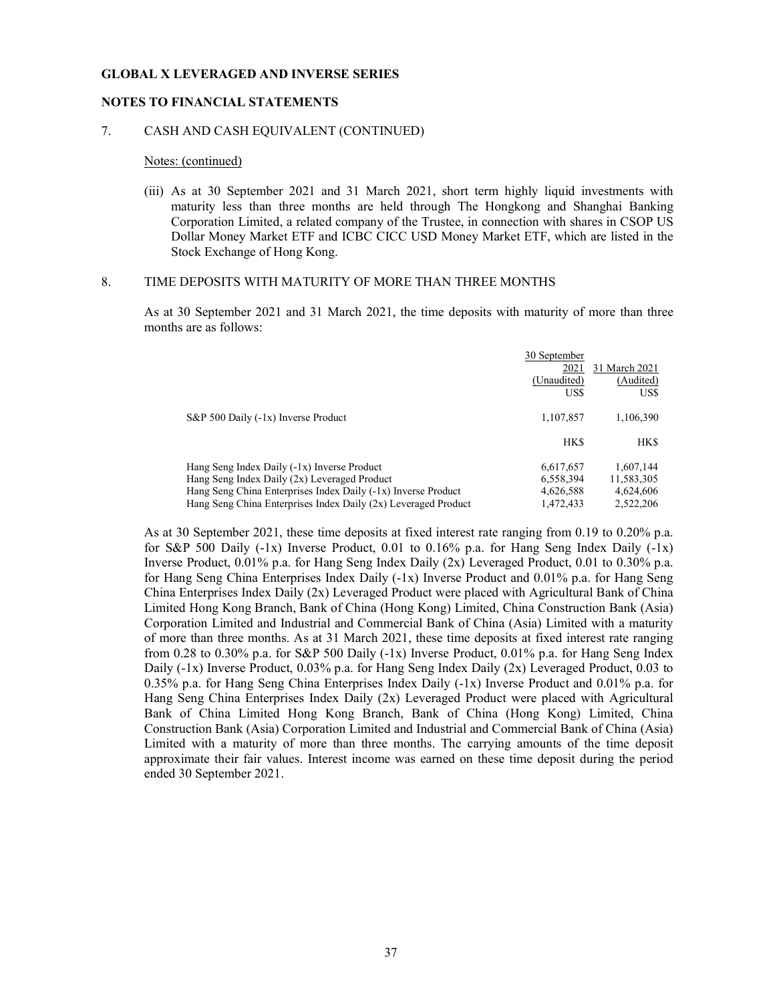#### NOTES TO FINANCIAL STATEMENTS

#### 7. CASH AND CASH EQUIVALENT (CONTINUED)

#### Notes: (continued)

(iii) As at 30 September 2021 and 31 March 2021, short term highly liquid investments with maturity less than three months are held through The Hongkong and Shanghai Banking Corporation Limited, a related company of the Trustee, in connection with shares in CSOP US Dollar Money Market ETF and ICBC CICC USD Money Market ETF, which are listed in the Stock Exchange of Hong Kong.

#### 8. TIME DEPOSITS WITH MATURITY OF MORE THAN THREE MONTHS

As at 30 September 2021 and 31 March 2021, the time deposits with maturity of more than three months are as follows:

|                                                                  | 30 September |               |
|------------------------------------------------------------------|--------------|---------------|
|                                                                  | 2021         | 31 March 2021 |
|                                                                  | (Unaudited)  | (Audited)     |
|                                                                  | US\$         | US\$          |
| S&P 500 Daily (-1x) Inverse Product                              | 1,107,857    | 1,106,390     |
|                                                                  | <b>HKS</b>   | <b>HKS</b>    |
| Hang Seng Index Daily (-1x) Inverse Product                      | 6,617,657    | 1.607.144     |
| Hang Seng Index Daily (2x) Leveraged Product                     | 6,558,394    | 11,583,305    |
| Hang Seng China Enterprises Index Daily (-1x) Inverse Product    | 4,626,588    | 4,624,606     |
| Hang Seng China Enterprises Index Daily $(2x)$ Leveraged Product | 1.472.433    | 2.522.206     |

As at 30 September 2021, these time deposits at fixed interest rate ranging from 0.19 to 0.20% p.a. for S&P 500 Daily  $(-1x)$  Inverse Product, 0.01 to 0.16% p.a. for Hang Seng Index Daily  $(-1x)$ Inverse Product, 0.01% p.a. for Hang Seng Index Daily (2x) Leveraged Product, 0.01 to 0.30% p.a. for Hang Seng China Enterprises Index Daily (-1x) Inverse Product and 0.01% p.a. for Hang Seng China Enterprises Index Daily (2x) Leveraged Product were placed with Agricultural Bank of China Limited Hong Kong Branch, Bank of China (Hong Kong) Limited, China Construction Bank (Asia) Corporation Limited and Industrial and Commercial Bank of China (Asia) Limited with a maturity of more than three months. As at 31 March 2021, these time deposits at fixed interest rate ranging from 0.28 to 0.30% p.a. for S&P 500 Daily  $(-1x)$  Inverse Product, 0.01% p.a. for Hang Seng Index Daily  $(-1x)$  Inverse Product, 0.03% p.a. for Hang Seng Index Daily  $(2x)$  Leveraged Product, 0.03 to 0.35% p.a. for Hang Seng China Enterprises Index Daily (-1x) Inverse Product and 0.01% p.a. for Hang Seng China Enterprises Index Daily (2x) Leveraged Product were placed with Agricultural Bank of China Limited Hong Kong Branch, Bank of China (Hong Kong) Limited, China Construction Bank (Asia) Corporation Limited and Industrial and Commercial Bank of China (Asia) Limited with a maturity of more than three months. The carrying amounts of the time deposit approximate their fair values. Interest income was earned on these time deposit during the period ended 30 September 2021.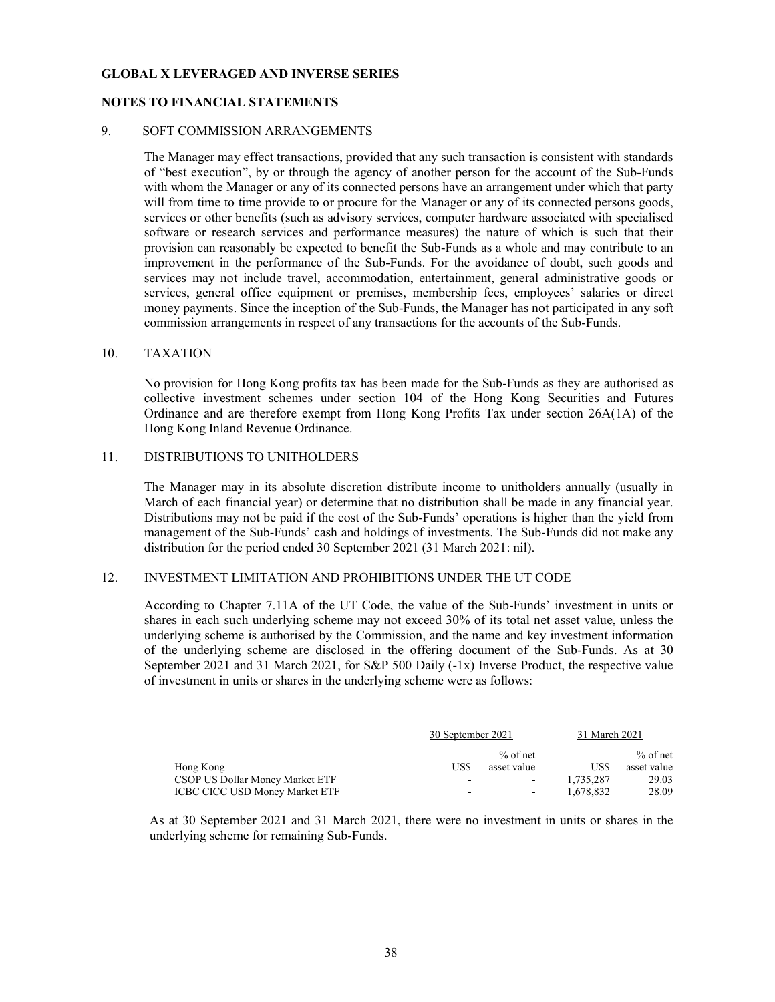#### NOTES TO FINANCIAL STATEMENTS

#### 9. SOFT COMMISSION ARRANGEMENTS

The Manager may effect transactions, provided that any such transaction is consistent with standards of "best execution", by or through the agency of another person for the account of the Sub-Funds with whom the Manager or any of its connected persons have an arrangement under which that party will from time to time provide to or procure for the Manager or any of its connected persons goods, services or other benefits (such as advisory services, computer hardware associated with specialised software or research services and performance measures) the nature of which is such that their provision can reasonably be expected to benefit the Sub-Funds as a whole and may contribute to an improvement in the performance of the Sub-Funds. For the avoidance of doubt, such goods and services may not include travel, accommodation, entertainment, general administrative goods or services, general office equipment or premises, membership fees, employees' salaries or direct money payments. Since the inception of the Sub-Funds, the Manager has not participated in any soft commission arrangements in respect of any transactions for the accounts of the Sub-Funds.

#### 10. TAXATION

No provision for Hong Kong profits tax has been made for the Sub-Funds as they are authorised as collective investment schemes under section 104 of the Hong Kong Securities and Futures Ordinance and are therefore exempt from Hong Kong Profits Tax under section 26A(1A) of the Hong Kong Inland Revenue Ordinance.

#### 11. DISTRIBUTIONS TO UNITHOLDERS

The Manager may in its absolute discretion distribute income to unitholders annually (usually in March of each financial year) or determine that no distribution shall be made in any financial year. Distributions may not be paid if the cost of the Sub-Funds' operations is higher than the yield from management of the Sub-Funds' cash and holdings of investments. The Sub-Funds did not make any distribution for the period ended 30 September 2021 (31 March 2021: nil).

#### 12. INVESTMENT LIMITATION AND PROHIBITIONS UNDER THE UT CODE

According to Chapter 7.11A of the UT Code, the value of the Sub-Funds' investment in units or shares in each such underlying scheme may not exceed 30% of its total net asset value, unless the underlying scheme is authorised by the Commission, and the name and key investment information of the underlying scheme are disclosed in the offering document of the Sub-Funds. As at 30 September 2021 and 31 March 2021, for S&P 500 Daily (-1x) Inverse Product, the respective value of investment in units or shares in the underlying scheme were as follows:

|                                 | 30 September 2021 |                          | 31 March 2021 |             |
|---------------------------------|-------------------|--------------------------|---------------|-------------|
|                                 |                   | $%$ of net               |               | $%$ of net  |
| Hong Kong                       | US\$              | asset value              | US\$          | asset value |
| CSOP US Dollar Money Market ETF | ٠                 | $\overline{\phantom{a}}$ | 1.735.287     | 29.03       |
| ICBC CICC USD Money Market ETF  | ٠                 | $\overline{\phantom{a}}$ | 1.678.832     | 28.09       |

As at 30 September 2021 and 31 March 2021, there were no investment in units or shares in the underlying scheme for remaining Sub-Funds.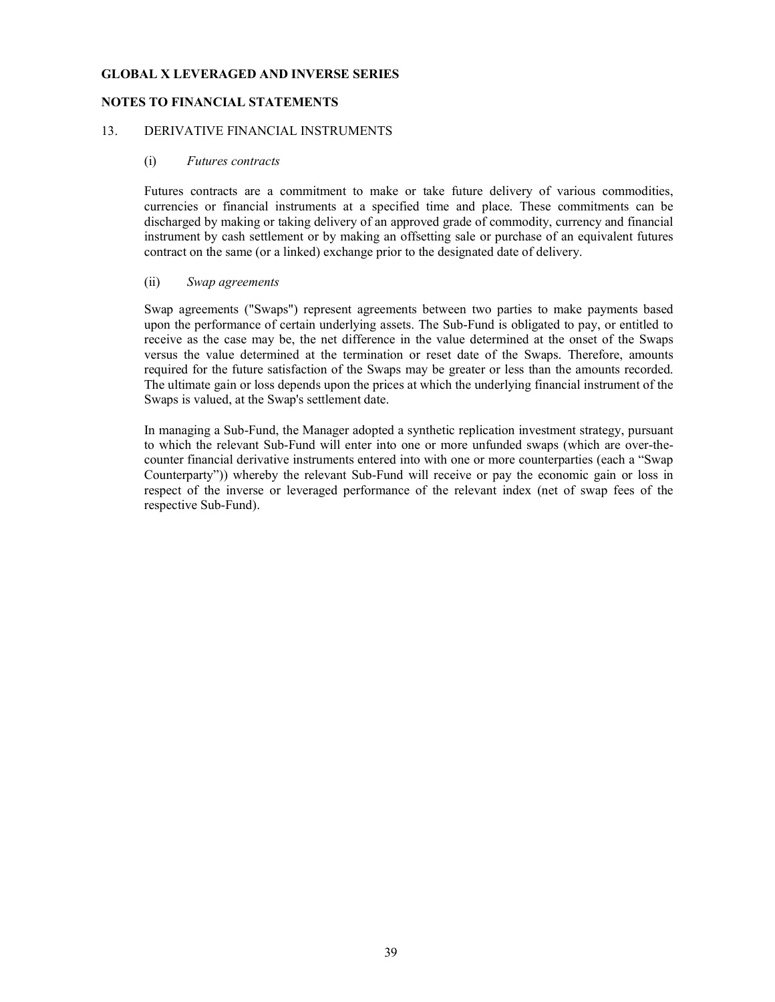### NOTES TO FINANCIAL STATEMENTS

#### 13. DERIVATIVE FINANCIAL INSTRUMENTS

#### (i) Futures contracts

Futures contracts are a commitment to make or take future delivery of various commodities, currencies or financial instruments at a specified time and place. These commitments can be discharged by making or taking delivery of an approved grade of commodity, currency and financial instrument by cash settlement or by making an offsetting sale or purchase of an equivalent futures contract on the same (or a linked) exchange prior to the designated date of delivery.

#### (ii) Swap agreements

Swap agreements ("Swaps") represent agreements between two parties to make payments based upon the performance of certain underlying assets. The Sub-Fund is obligated to pay, or entitled to receive as the case may be, the net difference in the value determined at the onset of the Swaps versus the value determined at the termination or reset date of the Swaps. Therefore, amounts required for the future satisfaction of the Swaps may be greater or less than the amounts recorded. The ultimate gain or loss depends upon the prices at which the underlying financial instrument of the Swaps is valued, at the Swap's settlement date.

In managing a Sub-Fund, the Manager adopted a synthetic replication investment strategy, pursuant to which the relevant Sub-Fund will enter into one or more unfunded swaps (which are over-thecounter financial derivative instruments entered into with one or more counterparties (each a "Swap Counterparty")) whereby the relevant Sub-Fund will receive or pay the economic gain or loss in respect of the inverse or leveraged performance of the relevant index (net of swap fees of the respective Sub-Fund).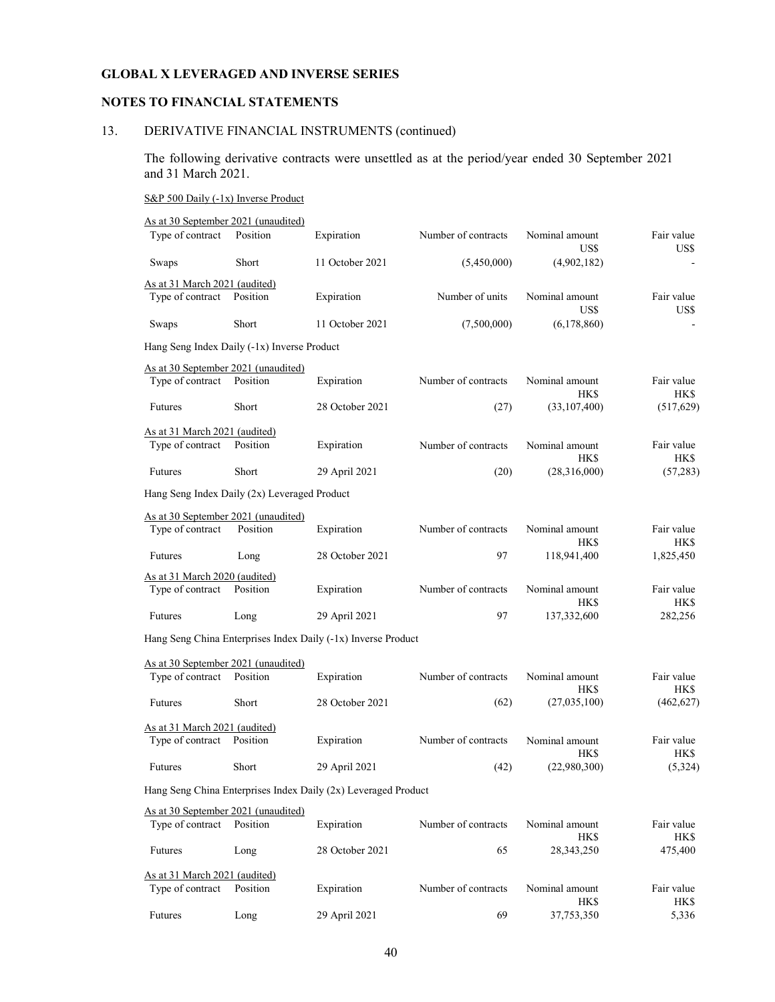### NOTES TO FINANCIAL STATEMENTS

## 13. DERIVATIVE FINANCIAL INSTRUMENTS (continued)

The following derivative contracts were unsettled as at the period/year ended 30 September 2021 and 31 March 2021.

#### S&P 500 Daily (-1x) Inverse Product

| As at 30 September 2021 (unaudited)                     |          |                                                                |                     |                              |                    |
|---------------------------------------------------------|----------|----------------------------------------------------------------|---------------------|------------------------------|--------------------|
| Type of contract                                        | Position | Expiration                                                     | Number of contracts | Nominal amount<br>US\$       | Fair value<br>US\$ |
| Swaps                                                   | Short    | 11 October 2021                                                | (5,450,000)         | (4,902,182)                  |                    |
| As at 31 March 2021 (audited)                           |          |                                                                |                     |                              |                    |
| Type of contract                                        | Position | Expiration                                                     | Number of units     | Nominal amount<br>US\$       | Fair value<br>US\$ |
| Swaps                                                   | Short    | 11 October 2021                                                | (7,500,000)         | (6,178,860)                  |                    |
| Hang Seng Index Daily (-1x) Inverse Product             |          |                                                                |                     |                              |                    |
| As at 30 September 2021 (unaudited)                     |          |                                                                |                     |                              |                    |
| Type of contract                                        | Position | Expiration                                                     | Number of contracts | Nominal amount<br><b>HKS</b> | Fair value<br>HK\$ |
| Futures                                                 | Short    | 28 October 2021                                                | (27)                | (33,107,400)                 | (517,629)          |
| As at 31 March 2021 (audited)                           |          |                                                                |                     |                              |                    |
| Type of contract                                        | Position | Expiration                                                     | Number of contracts | Nominal amount<br>HK\$       | Fair value<br>HK\$ |
| <b>Futures</b>                                          | Short    | 29 April 2021                                                  | (20)                | (28,316,000)                 | (57, 283)          |
| Hang Seng Index Daily (2x) Leveraged Product            |          |                                                                |                     |                              |                    |
| As at 30 September 2021 (unaudited)                     |          |                                                                |                     |                              |                    |
| Type of contract                                        | Position | Expiration                                                     | Number of contracts | Nominal amount<br>HK\$       | Fair value<br>HK\$ |
| <b>Futures</b>                                          | Long     | 28 October 2021                                                | 97                  | 118,941,400                  | 1,825,450          |
| As at 31 March 2020 (audited)                           |          |                                                                |                     |                              |                    |
| Type of contract                                        | Position | Expiration                                                     | Number of contracts | Nominal amount<br>HK\$       | Fair value<br>HK\$ |
| Futures                                                 | Long     | 29 April 2021                                                  | 97                  | 137,332,600                  | 282,256            |
|                                                         |          | Hang Seng China Enterprises Index Daily (-1x) Inverse Product  |                     |                              |                    |
| As at 30 September 2021 (unaudited)                     |          |                                                                |                     |                              |                    |
| Type of contract                                        | Position | Expiration                                                     | Number of contracts | Nominal amount<br><b>HKS</b> | Fair value<br>HK\$ |
| Futures                                                 | Short    | 28 October 2021                                                | (62)                | (27,035,100)                 | (462, 627)         |
| As at 31 March 2021 (audited)                           |          |                                                                |                     |                              |                    |
| Type of contract                                        | Position | Expiration                                                     | Number of contracts | Nominal amount<br><b>HKS</b> | Fair value<br>HK\$ |
| Futures                                                 | Short    | 29 April 2021                                                  | (42)                | (22,980,300)                 | (5,324)            |
|                                                         |          | Hang Seng China Enterprises Index Daily (2x) Leveraged Product |                     |                              |                    |
| As at 30 September 2021 (unaudited)<br>Type of contract | Position | Expiration                                                     | Number of contracts | Nominal amount               | Fair value         |
| Futures                                                 | Long     | 28 October 2021                                                | 65                  | HK\$<br>28, 343, 250         | HK\$<br>475,400    |
| As at 31 March 2021 (audited)<br>Type of contract       | Position | Expiration                                                     | Number of contracts | Nominal amount               | Fair value         |

Futures Long 29 April 2021 69 37,753,350 5,336

HK\$ HK\$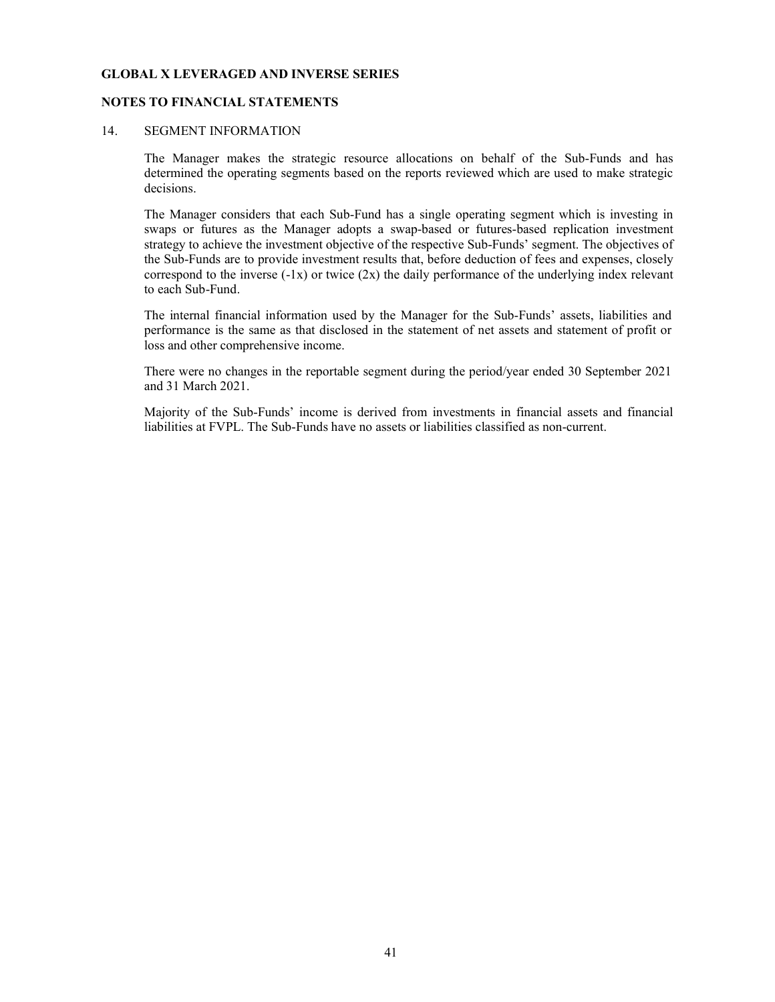#### NOTES TO FINANCIAL STATEMENTS

### 14. SEGMENT INFORMATION

 The Manager makes the strategic resource allocations on behalf of the Sub-Funds and has determined the operating segments based on the reports reviewed which are used to make strategic decisions.

 The Manager considers that each Sub-Fund has a single operating segment which is investing in swaps or futures as the Manager adopts a swap-based or futures-based replication investment strategy to achieve the investment objective of the respective Sub-Funds' segment. The objectives of the Sub-Funds are to provide investment results that, before deduction of fees and expenses, closely correspond to the inverse  $(-1x)$  or twice  $(2x)$  the daily performance of the underlying index relevant to each Sub-Fund.

The internal financial information used by the Manager for the Sub-Funds' assets, liabilities and performance is the same as that disclosed in the statement of net assets and statement of profit or loss and other comprehensive income.

There were no changes in the reportable segment during the period/year ended 30 September 2021 and 31 March 2021.

Majority of the Sub-Funds' income is derived from investments in financial assets and financial liabilities at FVPL. The Sub-Funds have no assets or liabilities classified as non-current.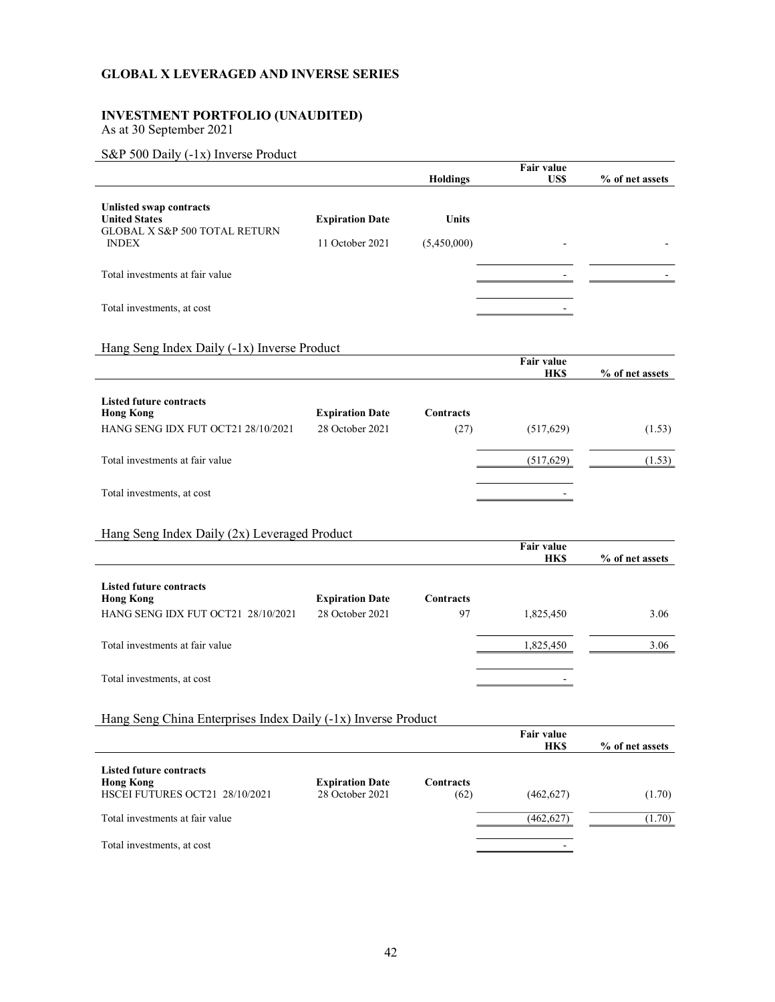## INVESTMENT PORTFOLIO (UNAUDITED)

As at 30 September 2021

## S&P 500 Daily (-1x) Inverse Product

|                                                                                  |                                           | <b>Holdings</b>          | <b>Fair value</b><br>US\$        | % of net assets |
|----------------------------------------------------------------------------------|-------------------------------------------|--------------------------|----------------------------------|-----------------|
|                                                                                  |                                           |                          |                                  |                 |
| Unlisted swap contracts<br><b>United States</b><br>GLOBAL X S&P 500 TOTAL RETURN | <b>Expiration Date</b>                    | Units                    |                                  |                 |
| <b>INDEX</b>                                                                     | 11 October 2021                           | (5,450,000)              |                                  |                 |
| Total investments at fair value                                                  |                                           |                          |                                  |                 |
| Total investments, at cost                                                       |                                           |                          |                                  |                 |
| Hang Seng Index Daily (-1x) Inverse Product                                      |                                           |                          |                                  |                 |
|                                                                                  |                                           |                          | <b>Fair value</b><br><b>HK\$</b> | % of net assets |
| <b>Listed future contracts</b><br><b>Hong Kong</b>                               | <b>Expiration Date</b>                    | <b>Contracts</b>         |                                  |                 |
| HANG SENG IDX FUT OCT21 28/10/2021                                               | 28 October 2021                           | (27)                     | (517, 629)                       | (1.53)          |
| Total investments at fair value                                                  |                                           |                          | (517, 629)                       | (1.53)          |
| Total investments, at cost                                                       |                                           |                          |                                  |                 |
| Hang Seng Index Daily (2x) Leveraged Product                                     |                                           |                          |                                  |                 |
|                                                                                  |                                           |                          | <b>Fair value</b><br><b>HK\$</b> | % of net assets |
| <b>Listed future contracts</b><br><b>Hong Kong</b>                               | <b>Expiration Date</b>                    | Contracts                |                                  |                 |
| HANG SENG IDX FUT OCT21 28/10/2021                                               | 28 October 2021                           | 97                       | 1,825,450                        | 3.06            |
| Total investments at fair value                                                  |                                           |                          | 1,825,450                        | 3.06            |
| Total investments, at cost                                                       |                                           |                          |                                  |                 |
| Hang Seng China Enterprises Index Daily (-1x) Inverse Product                    |                                           |                          |                                  |                 |
|                                                                                  |                                           |                          | Fair value<br><b>HK\$</b>        | % of net assets |
| <b>Listed future contracts</b>                                                   |                                           |                          |                                  |                 |
| <b>Hong Kong</b><br>HSCEI FUTURES OCT21 28/10/2021                               | <b>Expiration Date</b><br>28 October 2021 | <b>Contracts</b><br>(62) | (462, 627)                       | (1.70)          |
| Total investments at fair value                                                  |                                           |                          | (462, 627)                       | (1.70)          |
| Total investments, at cost                                                       |                                           |                          |                                  |                 |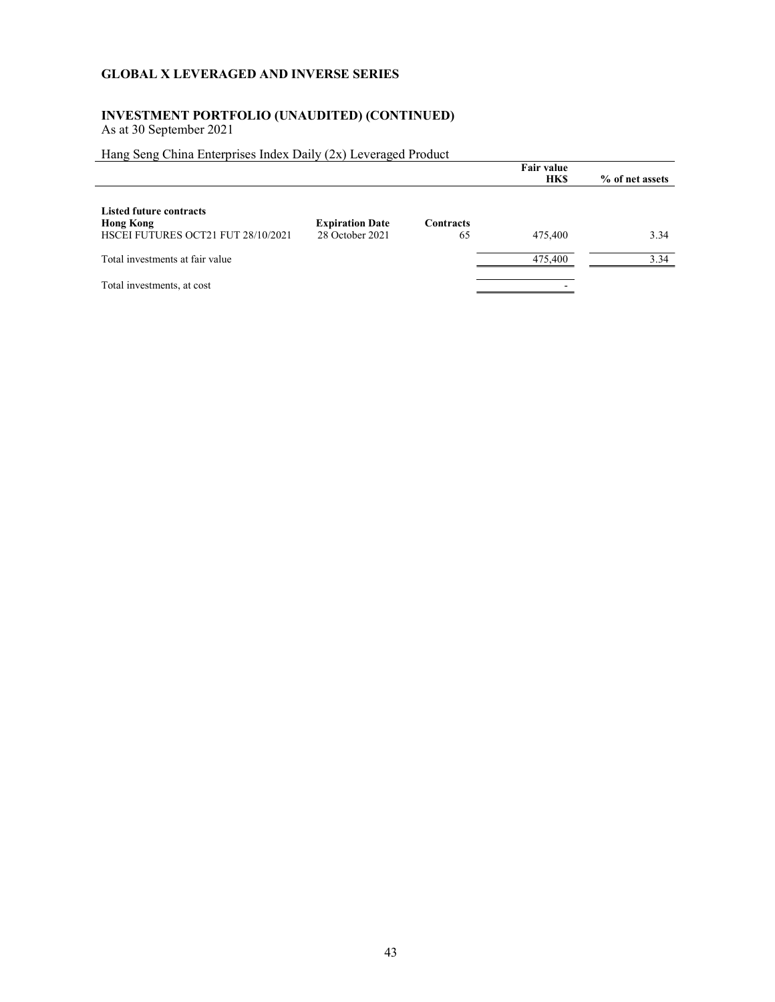## INVESTMENT PORTFOLIO (UNAUDITED) (CONTINUED)

As at 30 September 2021

## Hang Seng China Enterprises Index Daily (2x) Leveraged Product

|                                                                                          |                                           |                        | Fair value<br><b>HKS</b> | % of net assets |
|------------------------------------------------------------------------------------------|-------------------------------------------|------------------------|--------------------------|-----------------|
| <b>Listed future contracts</b><br><b>Hong Kong</b><br>HSCEI FUTURES OCT21 FUT 28/10/2021 | <b>Expiration Date</b><br>28 October 2021 | <b>Contracts</b><br>65 | 475,400                  | 3.34            |
| Total investments at fair value                                                          |                                           |                        | 475,400                  | 3.34            |
| Total investments, at cost                                                               |                                           |                        |                          |                 |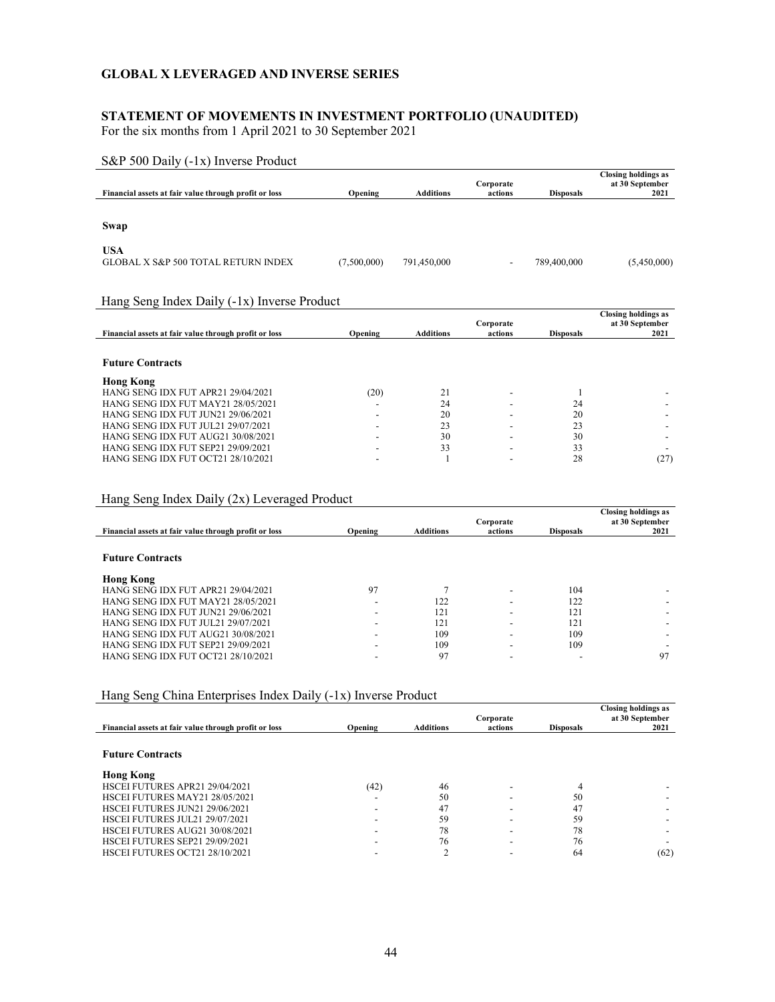## STATEMENT OF MOVEMENTS IN INVESTMENT PORTFOLIO (UNAUDITED)

For the six months from 1 April 2021 to 30 September 2021

| S&P 500 Daily (-1x) Inverse Product                                      |                                             |                  |                          |                  |                                                       |  |  |  |  |
|--------------------------------------------------------------------------|---------------------------------------------|------------------|--------------------------|------------------|-------------------------------------------------------|--|--|--|--|
| Financial assets at fair value through profit or loss                    | Opening                                     | <b>Additions</b> | Corporate<br>actions     | <b>Disposals</b> | <b>Closing holdings as</b><br>at 30 September<br>2021 |  |  |  |  |
|                                                                          |                                             |                  |                          |                  |                                                       |  |  |  |  |
| Swap                                                                     |                                             |                  |                          |                  |                                                       |  |  |  |  |
| <b>USA</b><br><b>GLOBAL X S&amp;P 500 TOTAL RETURN INDEX</b>             | (7,500,000)                                 | 791,450,000      | $\overline{\phantom{a}}$ | 789,400,000      | (5,450,000)                                           |  |  |  |  |
|                                                                          | Hang Seng Index Daily (-1x) Inverse Product |                  |                          |                  |                                                       |  |  |  |  |
|                                                                          |                                             |                  |                          |                  |                                                       |  |  |  |  |
| Financial assets at fair value through profit or loss                    | Opening                                     | <b>Additions</b> | Corporate<br>actions     | <b>Disposals</b> | <b>Closing holdings as</b><br>at 30 September<br>2021 |  |  |  |  |
| <b>Future Contracts</b>                                                  |                                             |                  |                          |                  |                                                       |  |  |  |  |
|                                                                          |                                             |                  |                          |                  |                                                       |  |  |  |  |
| <b>Hong Kong</b><br>HANG SENG IDX FUT APR21 29/04/2021                   | (20)                                        | 21               |                          | 1                |                                                       |  |  |  |  |
| HANG SENG IDX FUT MAY21 28/05/2021                                       |                                             | 24               |                          | 24               |                                                       |  |  |  |  |
| HANG SENG IDX FUT JUN21 29/06/2021                                       |                                             | 20               |                          | 20               |                                                       |  |  |  |  |
| HANG SENG IDX FUT JUL21 29/07/2021                                       |                                             | 23               |                          | 23               |                                                       |  |  |  |  |
| HANG SENG IDX FUT AUG21 30/08/2021                                       |                                             | 30               |                          | 30               |                                                       |  |  |  |  |
| HANG SENG IDX FUT SEP21 29/09/2021<br>HANG SENG IDX FUT OCT21 28/10/2021 |                                             | 33               |                          | 33<br>28         | (27)                                                  |  |  |  |  |

## Hang Seng Index Daily (2x) Leveraged Product

|                                                       |         |                  | Corporate |                  | <b>Closing holdings as</b><br>at 30 September |
|-------------------------------------------------------|---------|------------------|-----------|------------------|-----------------------------------------------|
| Financial assets at fair value through profit or loss | Opening | <b>Additions</b> | actions   | <b>Disposals</b> | 2021                                          |
|                                                       |         |                  |           |                  |                                               |
| <b>Future Contracts</b>                               |         |                  |           |                  |                                               |
| <b>Hong Kong</b>                                      |         |                  |           |                  |                                               |
| HANG SENG IDX FUT APR21 29/04/2021                    | 97      |                  | -         | 104              |                                               |
| HANG SENG IDX FUT MAY21 28/05/2021                    |         | 122              | -         | 122              |                                               |
| HANG SENG IDX FUT JUN21 29/06/2021                    |         | 121              | -         | 121              |                                               |
| <b>HANG SENG IDX FUT JUL21 29/07/2021</b>             |         | 121              | -         | 121              |                                               |
| HANG SENG IDX FUT AUG21 30/08/2021                    |         | 109              | -         | 109              |                                               |
| HANG SENG IDX FUT SEP21 29/09/2021                    |         | 109              | -         | 109              |                                               |
| HANG SENG IDX FUT OCT21 28/10/2021                    |         | 97               |           | ۰                | 97                                            |

# Hang Seng China Enterprises Index Daily (-1x) Inverse Product

|                                                       |         |                  | Corporate |                  | <b>Closing holdings as</b><br>at 30 September |
|-------------------------------------------------------|---------|------------------|-----------|------------------|-----------------------------------------------|
| Financial assets at fair value through profit or loss | Opening | <b>Additions</b> | actions   | <b>Disposals</b> | 2021                                          |
|                                                       |         |                  |           |                  |                                               |
| <b>Future Contracts</b>                               |         |                  |           |                  |                                               |
| <b>Hong Kong</b>                                      |         |                  |           |                  |                                               |
| HSCEI FUTURES APR21 29/04/2021                        | (42)    | 46               |           |                  |                                               |
| HSCEI FUTURES MAY21 28/05/2021                        |         | 50               |           | 50               |                                               |
| HSCEI FUTURES JUN21 29/06/2021                        |         | 47               |           | 47               |                                               |
| HSCEI FUTURES JUL21 29/07/2021                        |         | 59               |           | 59               |                                               |
| HSCEI FUTURES AUG21 30/08/2021                        |         | 78               |           | 78               |                                               |
| HSCEI FUTURES SEP21 29/09/2021                        |         | 76               |           | 76               |                                               |
| HSCEI FUTURES OCT21 28/10/2021                        |         |                  |           | 64               | (62)                                          |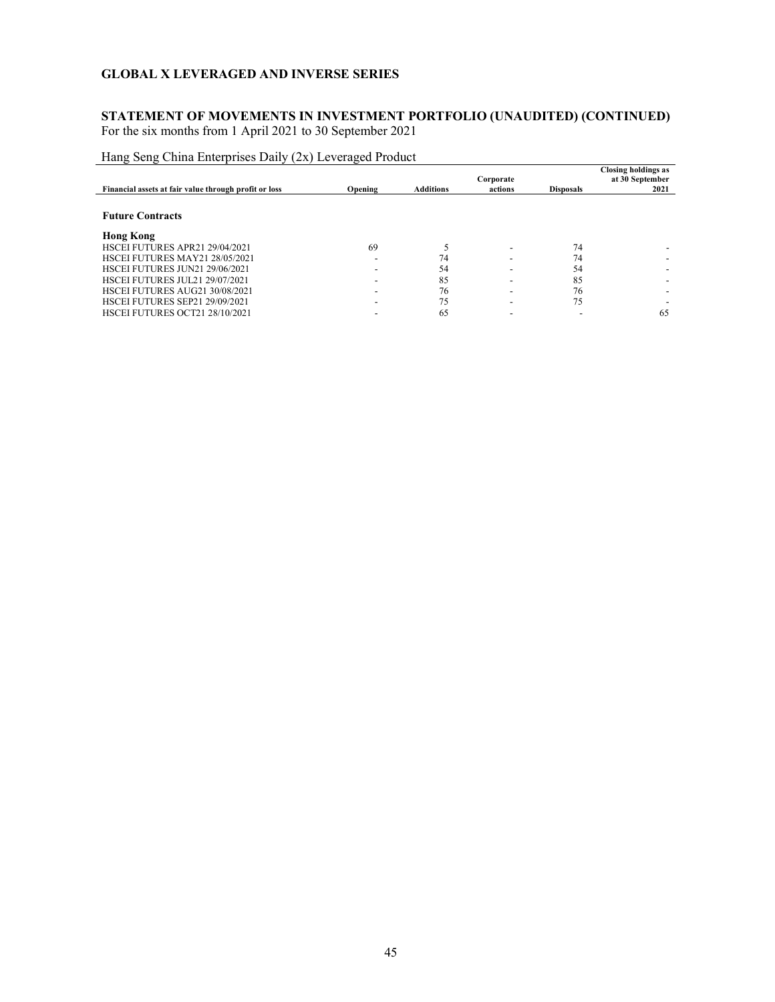## STATEMENT OF MOVEMENTS IN INVESTMENT PORTFOLIO (UNAUDITED) (CONTINUED) For the six months from 1 April 2021 to 30 September 2021

| Financial assets at fair value through profit or loss | Opening                  | <b>Additions</b> | Corporate<br>actions | <b>Disposals</b> | <b>Closing holdings as</b><br>at 30 September<br>2021 |
|-------------------------------------------------------|--------------------------|------------------|----------------------|------------------|-------------------------------------------------------|
| <b>Future Contracts</b>                               |                          |                  |                      |                  |                                                       |
| <b>Hong Kong</b>                                      |                          |                  |                      |                  |                                                       |
| HSCEI FUTURES APR21 29/04/2021                        | 69                       |                  |                      | 74               |                                                       |
| HSCEI FUTURES MAY21 28/05/2021                        | $\overline{\phantom{0}}$ | 74               |                      | 74               |                                                       |
| HSCEI FUTURES JUN21 29/06/2021                        |                          | 54               |                      | 54               |                                                       |
| HSCEI FUTURES JUL21 29/07/2021                        |                          | 85               |                      | 85               |                                                       |
| HSCEI FUTURES AUG21 30/08/2021                        |                          | 76               |                      | 76               |                                                       |
| HSCEI FUTURES SEP21 29/09/2021                        |                          | 75               |                      | 75               |                                                       |
| HSCEI FUTURES OCT21 28/10/2021                        |                          | 65               |                      |                  | 65                                                    |

Hang Seng China Enterprises Daily (2x) Leveraged Product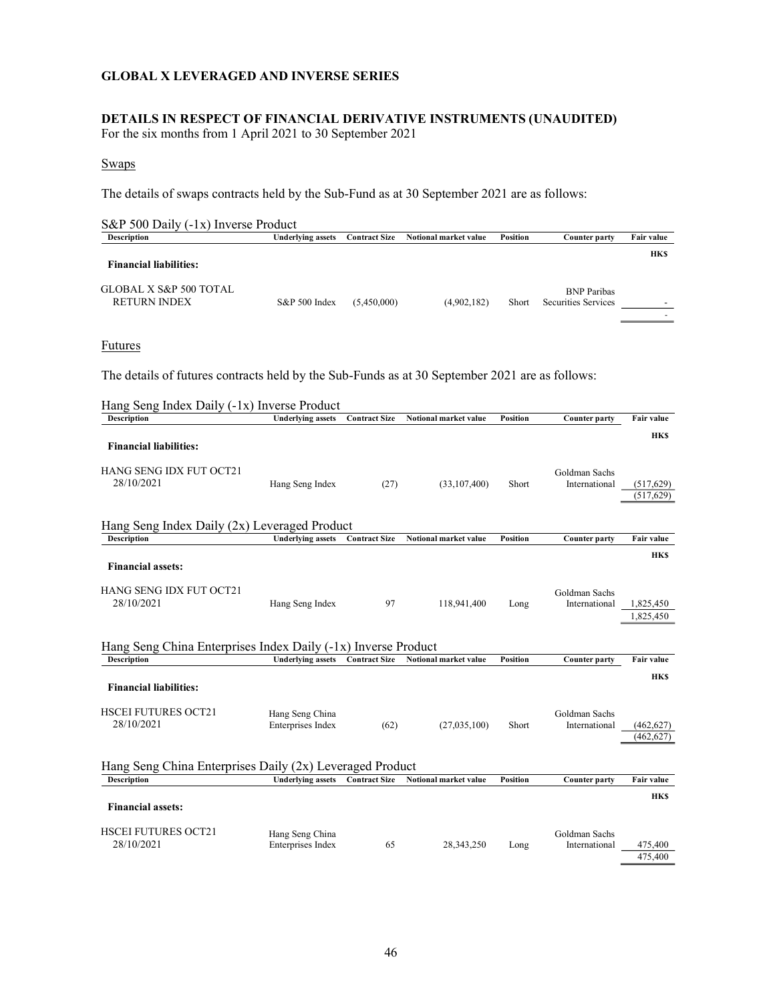### DETAILS IN RESPECT OF FINANCIAL DERIVATIVE INSTRUMENTS (UNAUDITED)

For the six months from 1 April 2021 to 30 September 2021

#### Swaps

The details of swaps contracts held by the Sub-Fund as at 30 September 2021 are as follows:

| $S\&P 500$ Daily (-1x) Inverse Product                   |                          |                      |                       |                 |                                           |            |  |  |
|----------------------------------------------------------|--------------------------|----------------------|-----------------------|-----------------|-------------------------------------------|------------|--|--|
| <b>Description</b>                                       | <b>Underlying assets</b> | <b>Contract Size</b> | Notional market value | <b>Position</b> | Counter party                             | Fair value |  |  |
| <b>Financial liabilities:</b>                            |                          |                      |                       |                 |                                           | <b>HKS</b> |  |  |
| <b>GLOBAL X S&amp;P 500 TOTAL</b><br><b>RETURN INDEX</b> | S&P 500 Index            | (5,450,000)          | (4,902,182)           | Short           | <b>BNP</b> Paribas<br>Securities Services |            |  |  |
|                                                          |                          |                      |                       |                 |                                           |            |  |  |

#### Futures

The details of futures contracts held by the Sub-Funds as at 30 September 2021 are as follows:

| Hang Seng Index Daily (-1x) Inverse Product                                         |                                      |                      |                       |                 |                                |                          |  |
|-------------------------------------------------------------------------------------|--------------------------------------|----------------------|-----------------------|-----------------|--------------------------------|--------------------------|--|
| <b>Description</b>                                                                  | <b>Underlying assets</b>             | <b>Contract Size</b> | Notional market value | <b>Position</b> | <b>Counter party</b>           | Fair value               |  |
| <b>Financial liabilities:</b>                                                       |                                      |                      |                       |                 |                                | <b>HKS</b>               |  |
| <b>HANG SENG IDX FUT OCT21</b><br>28/10/2021                                        | Hang Seng Index                      | (27)                 | (33,107,400)          | Short           | Goldman Sachs<br>International | (517, 629)<br>(517, 629) |  |
| Hang Seng Index Daily (2x) Leveraged Product                                        |                                      |                      |                       |                 |                                |                          |  |
| <b>Description</b>                                                                  | <b>Underlying assets</b>             | <b>Contract Size</b> | Notional market value | <b>Position</b> | <b>Counter party</b>           | <b>Fair value</b>        |  |
| <b>Financial assets:</b>                                                            |                                      |                      |                       |                 |                                | <b>HKS</b>               |  |
| HANG SENG IDX FUT OCT21<br>28/10/2021                                               | Hang Seng Index                      | 97                   | 118,941,400           | Long            | Goldman Sachs<br>International | 1,825,450                |  |
|                                                                                     |                                      |                      |                       |                 |                                | 1,825,450                |  |
| Hang Seng China Enterprises Index Daily (-1x) Inverse Product<br><b>Description</b> | <b>Underlying assets</b>             | <b>Contract Size</b> | Notional market value | <b>Position</b> | <b>Counter party</b>           | <b>Fair value</b>        |  |
|                                                                                     |                                      |                      |                       |                 |                                |                          |  |
| <b>Financial liabilities:</b>                                                       |                                      |                      |                       |                 |                                | <b>HKS</b>               |  |
| <b>HSCEI FUTURES OCT21</b><br>28/10/2021                                            | Hang Seng China                      |                      |                       |                 | Goldman Sachs                  |                          |  |
|                                                                                     | Enterprises Index                    | (62)                 | (27,035,100)          | Short           | International                  | (462, 627)<br>(462, 627) |  |
| Hang Seng China Enterprises Daily (2x) Leveraged Product                            |                                      |                      |                       |                 |                                |                          |  |
| <b>Description</b>                                                                  | <b>Underlying assets</b>             | <b>Contract Size</b> | Notional market value | <b>Position</b> | <b>Counter party</b>           | Fair value               |  |
| <b>Financial assets:</b>                                                            |                                      |                      |                       |                 |                                | <b>HKS</b>               |  |
| <b>HSCEI FUTURES OCT21</b><br>28/10/2021                                            | Hang Seng China<br>Enterprises Index | 65                   | 28,343,250            | Long            | Goldman Sachs<br>International | 475,400<br>475,400       |  |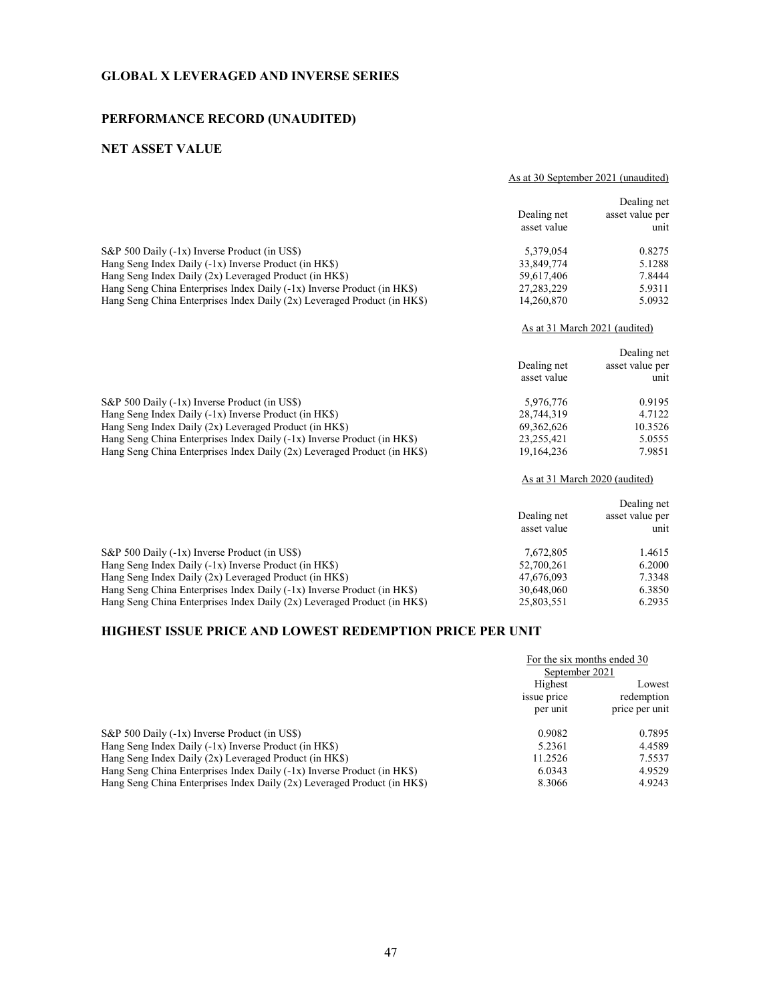## PERFORMANCE RECORD (UNAUDITED)

## NET ASSET VALUE

As at 30 September 2021 (unaudited)

|                                                                           | Dealing net<br>asset value | Dealing net<br>asset value per<br>unit |
|---------------------------------------------------------------------------|----------------------------|----------------------------------------|
| S&P 500 Daily (-1x) Inverse Product (in US\$)                             | 5,379,054                  | 0.8275                                 |
| Hang Seng Index Daily (-1x) Inverse Product (in HK\$)                     | 33,849,774                 | 5.1288                                 |
| Hang Seng Index Daily (2x) Leveraged Product (in HK\$)                    | 59,617,406                 | 7.8444                                 |
| Hang Seng China Enterprises Index Daily (-1x) Inverse Product (in HK\$)   | 27, 283, 229               | 5.9311                                 |
| Hang Seng China Enterprises Index Daily $(2x)$ Leveraged Product (in HKS) | 14,260,870                 | 5.0932                                 |
|                                                                           |                            | As at 31 March 2021 (audited)          |
|                                                                           |                            | Dealing net                            |
|                                                                           | Dealing net                | asset value per                        |
|                                                                           | asset value                | unit                                   |
| S&P 500 Daily (-1x) Inverse Product (in US\$)                             | 5,976,776                  | 0.9195                                 |
| Hang Seng Index Daily $(-1x)$ Inverse Product (in HK\$)                   | 28,744,319                 | 4.7122                                 |
| Hang Seng Index Daily (2x) Leveraged Product (in HK\$)                    | 69, 362, 626               | 10.3526                                |
| Hang Seng China Enterprises Index Daily (-1x) Inverse Product (in HK\$)   | 23,255,421                 | 5.0555                                 |
| Hang Seng China Enterprises Index Daily $(2x)$ Leveraged Product (in HKS) | 19,164,236                 | 7.9851                                 |
|                                                                           |                            | As at 31 March 2020 (audited)          |
|                                                                           |                            | Dealing net                            |
|                                                                           | Dealing net                | asset value per                        |
|                                                                           | asset value                | unit                                   |
| S&P 500 Daily (-1x) Inverse Product (in US\$)                             | 7,672,805                  | 1.4615                                 |
| Hang Seng Index Daily (-1x) Inverse Product (in HK\$)                     | 52,700,261                 | 6.2000                                 |
| Hang Seng Index Daily (2x) Leveraged Product (in HK\$)                    | 47,676,093                 | 7.3348                                 |

### HIGHEST ISSUE PRICE AND LOWEST REDEMPTION PRICE PER UNIT

|                                                                           |             | For the six months ended 30<br>September 2021 |  |
|---------------------------------------------------------------------------|-------------|-----------------------------------------------|--|
|                                                                           |             |                                               |  |
|                                                                           | Highest     | Lowest<br>redemption                          |  |
|                                                                           | issue price |                                               |  |
|                                                                           | per unit    | price per unit                                |  |
| S&P 500 Daily (-1x) Inverse Product (in US\$)                             | 0.9082      | 0.7895                                        |  |
| Hang Seng Index Daily $(-1x)$ Inverse Product (in HK\$)                   | 5.2361      | 4.4589                                        |  |
| Hang Seng Index Daily $(2x)$ Leveraged Product (in HK\$)                  | 11.2526     | 7.5537                                        |  |
| Hang Seng China Enterprises Index Daily $(-1x)$ Inverse Product (in HK\$) | 6.0343      | 4.9529                                        |  |
| Hang Seng China Enterprises Index Daily (2x) Leveraged Product (in HK\$)  | 8.3066      | 4.9243                                        |  |

Hang Seng China Enterprises Index Daily (-1x) Inverse Product (in HK\$) 30,648,060 6.3850 Hang Seng China Enterprises Index Daily (2x) Leveraged Product (in HK\$) 25,803,551 6.2935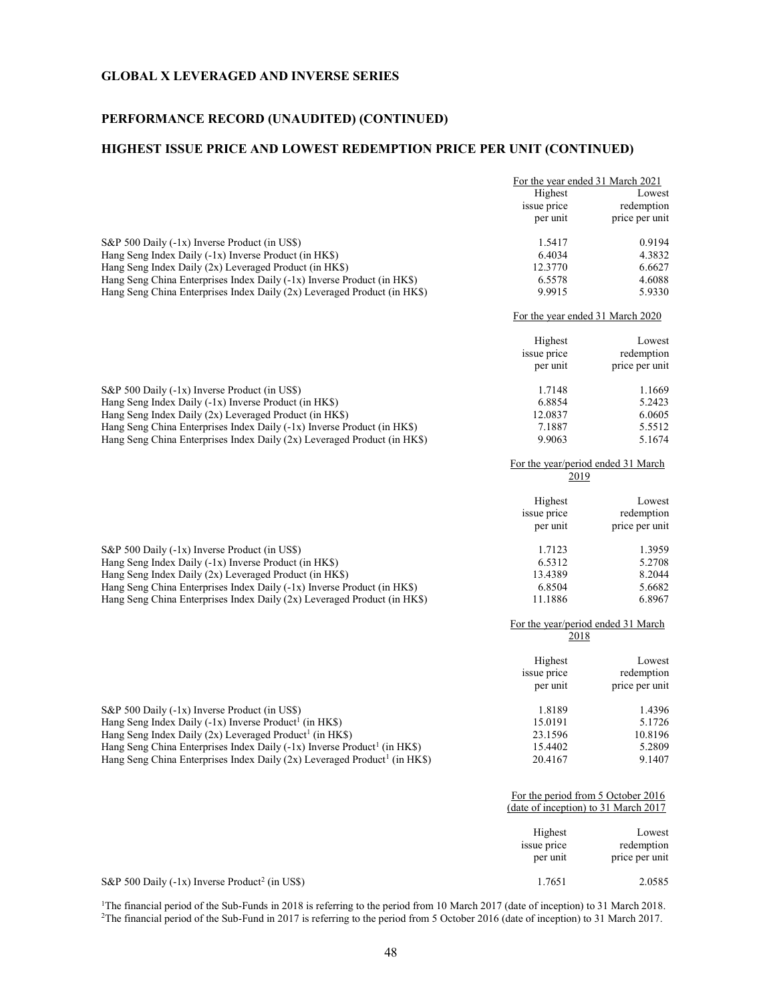## PERFORMANCE RECORD (UNAUDITED) (CONTINUED)

## HIGHEST ISSUE PRICE AND LOWEST REDEMPTION PRICE PER UNIT (CONTINUED)

|                                                                                         | For the year ended 31 March 2021                                           |                |
|-----------------------------------------------------------------------------------------|----------------------------------------------------------------------------|----------------|
|                                                                                         | Highest                                                                    | Lowest         |
|                                                                                         | issue price                                                                | redemption     |
|                                                                                         | per unit                                                                   | price per unit |
| S&P 500 Daily (-1x) Inverse Product (in US\$)                                           | 1.5417                                                                     | 0.9194         |
| Hang Seng Index Daily (-1x) Inverse Product (in HK\$)                                   | 6.4034                                                                     | 4.3832         |
| Hang Seng Index Daily (2x) Leveraged Product (in HK\$)                                  | 12.3770                                                                    | 6.6627         |
| Hang Seng China Enterprises Index Daily (-1x) Inverse Product (in HK\$)                 | 6.5578                                                                     | 4.6088         |
| Hang Seng China Enterprises Index Daily (2x) Leveraged Product (in HK\$)                | 9.9915                                                                     | 5.9330         |
|                                                                                         | For the year ended 31 March 2020                                           |                |
|                                                                                         | Highest                                                                    | Lowest         |
|                                                                                         | issue price                                                                | redemption     |
|                                                                                         | per unit                                                                   | price per unit |
| S&P 500 Daily (-1x) Inverse Product (in US\$)                                           | 1.7148                                                                     | 1.1669         |
| Hang Seng Index Daily (-1x) Inverse Product (in HK\$)                                   | 6.8854                                                                     | 5.2423         |
|                                                                                         |                                                                            |                |
| Hang Seng Index Daily (2x) Leveraged Product (in HK\$)                                  | 12.0837                                                                    | 6.0605         |
| Hang Seng China Enterprises Index Daily (-1x) Inverse Product (in HK\$)                 | 7.1887                                                                     | 5.5512         |
| Hang Seng China Enterprises Index Daily (2x) Leveraged Product (in HK\$)                | 9.9063                                                                     | 5.1674         |
|                                                                                         | For the year/period ended 31 March                                         |                |
|                                                                                         | 2019                                                                       |                |
|                                                                                         | Highest                                                                    | Lowest         |
|                                                                                         | issue price                                                                | redemption     |
|                                                                                         | per unit                                                                   | price per unit |
| S&P 500 Daily (-1x) Inverse Product (in US\$)                                           | 1.7123                                                                     | 1.3959         |
| Hang Seng Index Daily (-1x) Inverse Product (in HK\$)                                   | 6.5312                                                                     | 5.2708         |
| Hang Seng Index Daily (2x) Leveraged Product (in HK\$)                                  | 13.4389                                                                    | 8.2044         |
| Hang Seng China Enterprises Index Daily (-1x) Inverse Product (in HK\$)                 | 6.8504                                                                     | 5.6682         |
| Hang Seng China Enterprises Index Daily (2x) Leveraged Product (in HK\$)                | 11.1886                                                                    | 6.8967         |
|                                                                                         | For the year/period ended 31 March<br>2018                                 |                |
|                                                                                         | Highest                                                                    | Lowest         |
|                                                                                         | issue price                                                                | redemption     |
|                                                                                         | per unit                                                                   | price per unit |
| S&P 500 Daily (-1x) Inverse Product (in US\$)                                           | 1.8189                                                                     | 1.4396         |
|                                                                                         |                                                                            |                |
| Hang Seng Index Daily (-1x) Inverse Product <sup>1</sup> (in HK\$)                      | 15.0191                                                                    | 5.1726         |
| Hang Seng Index Daily $(2x)$ Leveraged Product <sup>1</sup> (in HK\$)                   | 23.1596                                                                    | 10.8196        |
| Hang Seng China Enterprises Index Daily $(-1x)$ Inverse Product <sup>1</sup> (in HK\$)  | 15.4402                                                                    | 5.2809         |
| Hang Seng China Enterprises Index Daily $(2x)$ Leveraged Product <sup>1</sup> (in HK\$) | 20.4167                                                                    | 9.1407         |
|                                                                                         | For the period from 5 October 2016<br>(date of inception) to 31 March 2017 |                |
|                                                                                         |                                                                            |                |
|                                                                                         | Highest                                                                    | Lowest         |
|                                                                                         | issue price                                                                | redemption     |
|                                                                                         | per unit                                                                   | price per unit |
| S&P 500 Daily (-1x) Inverse Product <sup>2</sup> (in US\$)                              | 1.7651                                                                     | 2.0585         |

<sup>1</sup>The financial period of the Sub-Funds in 2018 is referring to the period from 10 March 2017 (date of inception) to 31 March 2018. <sup>2</sup>The financial period of the Sub-Fund in 2017 is referring to the period from 5 October 2016 (date of inception) to 31 March 2017.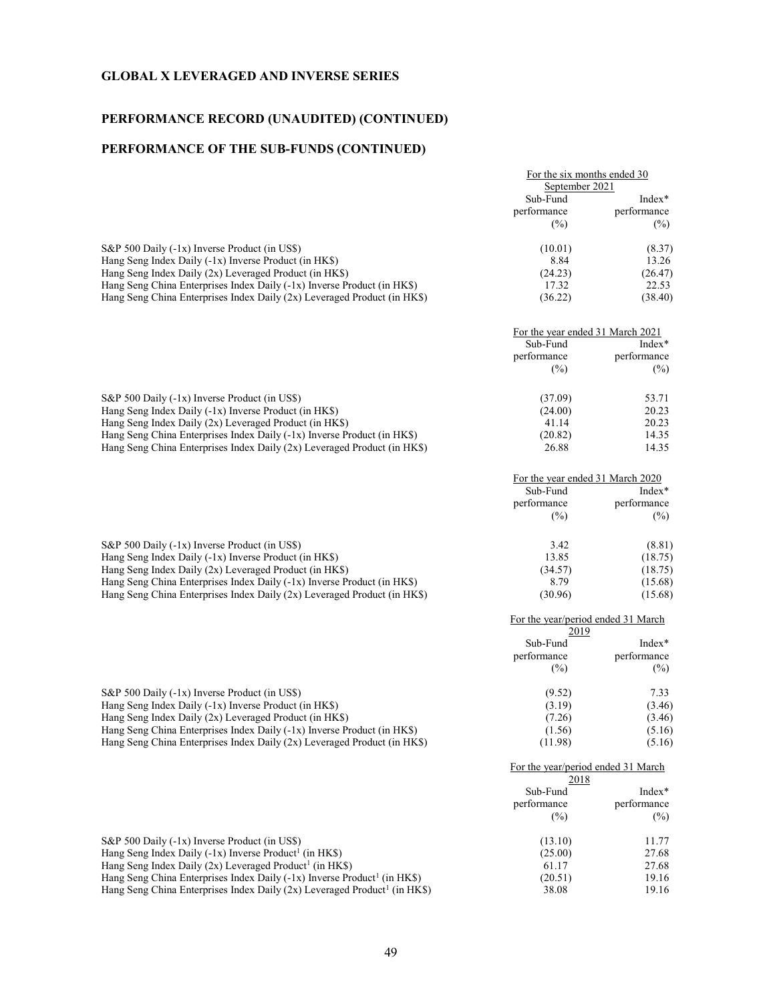## PERFORMANCE RECORD (UNAUDITED) (CONTINUED)

## PERFORMANCE OF THE SUB-FUNDS (CONTINUED)

|                                                                          | For the six months ended 30<br>September 2021 |             |
|--------------------------------------------------------------------------|-----------------------------------------------|-------------|
|                                                                          |                                               |             |
|                                                                          | Sub-Fund                                      | $Index*$    |
|                                                                          | performance<br>$(\%)$                         | performance |
|                                                                          |                                               |             |
| S&P 500 Daily (-1x) Inverse Product (in US\$)                            | (10.01)                                       | (8.37)      |
| Hang Seng Index Daily (-1x) Inverse Product (in HK\$)                    | 8.84                                          | 13.26       |
| Hang Seng Index Daily (2x) Leveraged Product (in HK\$)                   | (24.23)                                       | (26.47)     |
| Hang Seng China Enterprises Index Daily (-1x) Inverse Product (in HK\$)  | 17.32                                         | 22.53       |
| Hang Seng China Enterprises Index Daily (2x) Leveraged Product (in HK\$) | (36.22)                                       | (38.40)     |
|                                                                          |                                               |             |

|                                                                           | Sub-Fund<br>performance<br>$(\%)$ | For the year ended 31 March 2021<br>$Index*$<br>performance<br>(%) |
|---------------------------------------------------------------------------|-----------------------------------|--------------------------------------------------------------------|
| S&P 500 Daily (-1x) Inverse Product (in US\$)                             | (37.09)                           | 53.71                                                              |
| Hang Seng Index Daily $(-1x)$ Inverse Product (in HK\$)                   | (24.00)                           | 20.23                                                              |
| Hang Seng Index Daily $(2x)$ Leveraged Product (in HK\$)                  | 41.14                             | 20.23                                                              |
| Hang Seng China Enterprises Index Daily $(-1x)$ Inverse Product (in HK\$) | (20.82)                           | 14.35                                                              |
| Hang Seng China Enterprises Index Daily (2x) Leveraged Product (in HK\$)  | 26.88                             | 14.35                                                              |

|                                                                          | For the year ended 31 March 2020  |                         |
|--------------------------------------------------------------------------|-----------------------------------|-------------------------|
|                                                                          | Sub-Fund<br>performance<br>$(\%)$ | $Index*$<br>performance |
|                                                                          |                                   | $(\%)$                  |
| S&P 500 Daily (-1x) Inverse Product (in US\$)                            | 3.42                              | (8.81)                  |
| Hang Seng Index Daily $(-1x)$ Inverse Product (in HK\$)                  | 13.85                             | (18.75)                 |
| Hang Seng Index Daily (2x) Leveraged Product (in HK\$)                   | (34.57)                           | (18.75)                 |
| Hang Seng China Enterprises Index Daily $(-1x)$ Inverse Product (in HKS) | 8.79                              | (15.68)                 |
| Hang Seng China Enterprises Index Daily (2x) Leveraged Product (in HK\$) | (30.96)                           | (15.68)                 |

|                                                                           | 2019                           |             |
|---------------------------------------------------------------------------|--------------------------------|-------------|
|                                                                           | Sub-Fund<br>performance<br>(%) | Index*      |
|                                                                           |                                | performance |
|                                                                           |                                | $(\%)$      |
| S&P 500 Daily (-1x) Inverse Product (in US\$)                             | (9.52)                         | 7.33        |
| Hang Seng Index Daily $(-1x)$ Inverse Product (in HK\$)                   | (3.19)                         | (3.46)      |
| Hang Seng Index Daily (2x) Leveraged Product (in HK\$)                    | (7.26)                         | (3.46)      |
| Hang Seng China Enterprises Index Daily $(-1x)$ Inverse Product (in HK\$) | (1.56)                         | (5.16)      |
| Hang Seng China Enterprises Index Daily (2x) Leveraged Product (in HK\$)  | (11.98)                        | (5.16)      |

|                                                                                        | For the year/period ended 31 March<br>2018 |             |
|----------------------------------------------------------------------------------------|--------------------------------------------|-------------|
|                                                                                        | Sub-Fund                                   | $Index*$    |
|                                                                                        | performance                                | performance |
|                                                                                        | $(\%)$                                     | (%)         |
| S&P 500 Daily (-1x) Inverse Product (in US\$)                                          | (13.10)                                    | 11.77       |
| Hang Seng Index Daily $(-1x)$ Inverse Product <sup>1</sup> (in HK\$)                   | (25.00)                                    | 27.68       |
| Hang Seng Index Daily $(2x)$ Leveraged Product <sup>1</sup> (in HK\$)                  | 61.17                                      | 27.68       |
| Hang Seng China Enterprises Index Daily (-1x) Inverse Product <sup>1</sup> (in HK\$)   | (20.51)                                    | 19.16       |
| Hang Seng China Enterprises Index Daily $(2x)$ Leveraged Product <sup>1</sup> (in HKS) | 38.08                                      | 19.16       |

For the year/period ended 31 March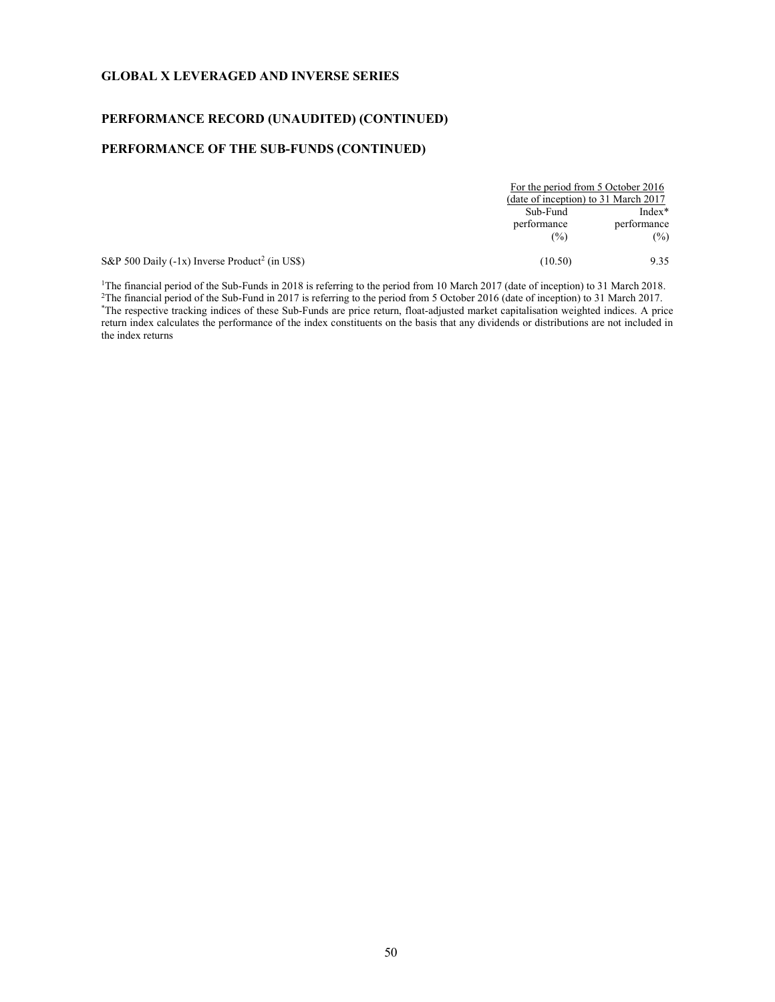## PERFORMANCE RECORD (UNAUDITED) (CONTINUED)

## PERFORMANCE OF THE SUB-FUNDS (CONTINUED)

|                                                            | For the period from 5 October 2016<br>(date of inception) to 31 March 2017 |             |
|------------------------------------------------------------|----------------------------------------------------------------------------|-------------|
|                                                            |                                                                            |             |
|                                                            | Sub-Fund                                                                   | $Index^*$   |
|                                                            | performance                                                                | performance |
|                                                            | (%)                                                                        | $(\%)$      |
| S&P 500 Daily (-1x) Inverse Product <sup>2</sup> (in US\$) | (10.50)                                                                    | 9.35        |

<sup>1</sup>The financial period of the Sub-Funds in 2018 is referring to the period from 10 March 2017 (date of inception) to 31 March 2018. <sup>2</sup>The financial period of the Sub-Fund in 2017 is referring to the period from 5 October 2016 (date of inception) to 31 March 2017. \*The respective tracking indices of these Sub-Funds are price return, float-adjusted market capitalisation weighted indices. A price return index calculates the performance of the index constituents on the basis that any dividends or distributions are not included in the index returns